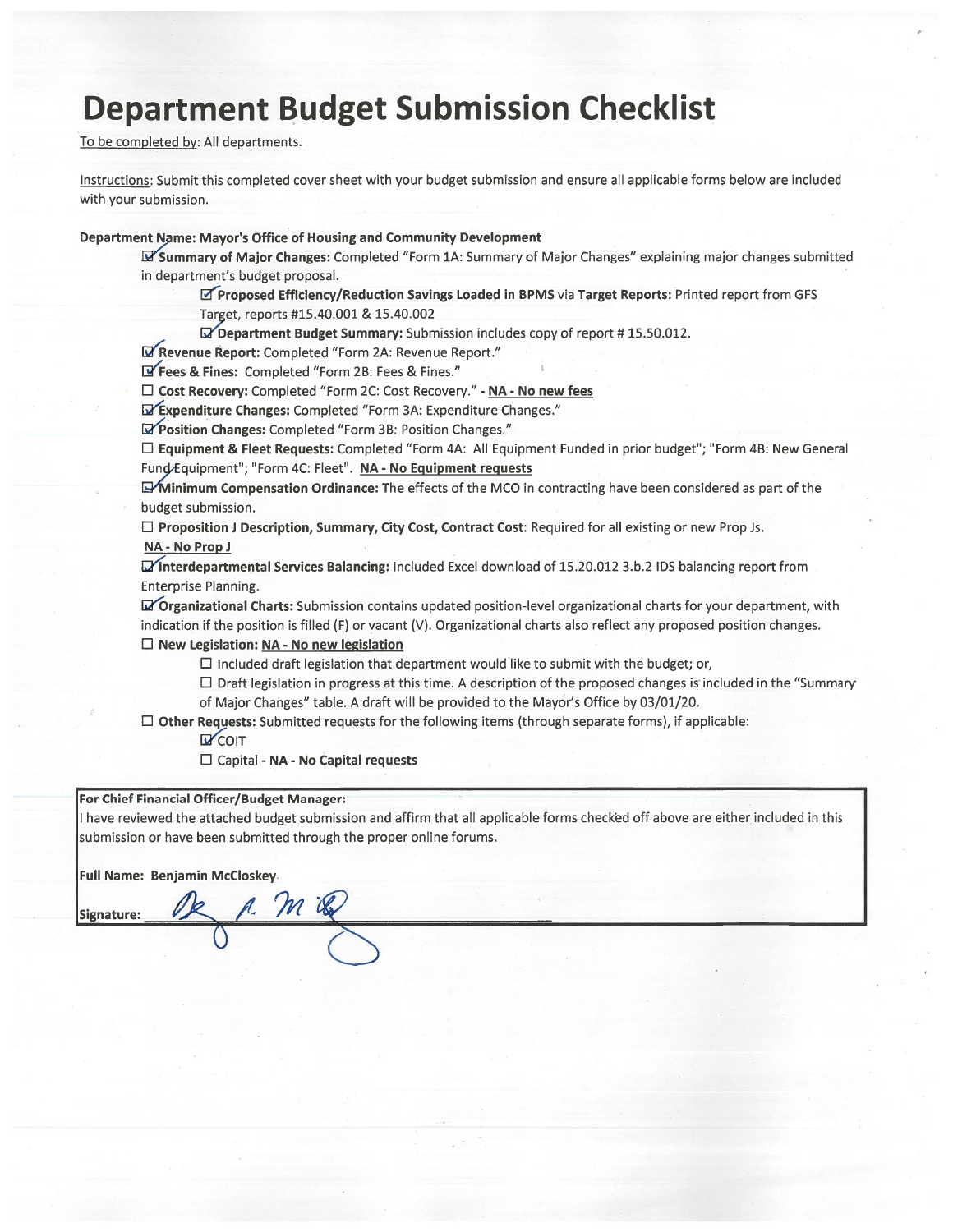# **Department Budget Submission Checklist**

To be completed by: All departments.

Instructions: Submit this completed cover sheet with your budget submission and ensure all applicable forms below are included with your submission.

#### Department Name: Mayor's Office of Housing and Community Development

Summary of Major Changes: Completed "Form 1A: Summary of Major Changes" explaining major changes submitted in department's budget proposal.

Proposed Efficiency/Reduction Savings Loaded in BPMS via Target Reports: Printed report from GFS Target, reports #15.40.001 & 15.40.002

Department Budget Summary: Submission includes copy of report #15.50.012.

Revenue Report: Completed "Form 2A: Revenue Report."

T' Fees & Fines: Completed "Form 2B: Fees & Fines."

□ Cost Recovery: Completed "Form 2C: Cost Recovery." - NA - No new fees

Expenditure Changes: Completed "Form 3A: Expenditure Changes."

"Position Changes: Completed "Form 3B: Position Changes."

□ Equipment & Fleet Requests: Completed "Form 4A: All Equipment Funded in prior budget"; "Form 4B: New General Fund Equipment"; "Form 4C: Fleet". NA - No Equipment requests

Minimum Compensation Ordinance: The effects of the MCO in contracting have been considered as part of the budget submission.

 $\Box$  Proposition J Description, Summary, City Cost, Contract Cost: Required for all existing or new Prop Js.

#### NA - No Prop J

Minterdepartmental Services Balancing: Included Excel download of 15.20.012 3.b.2 IDS balancing report from Enterprise Planning.

Grganizational Charts: Submission contains updated position-level organizational charts for your department, with indication if the position is filled (F) or vacant (V). Organizational charts also reflect any proposed position changes.  $\Box$  New Legislation: NA - No new legislation

 $\Box$  Included draft legislation that department would like to submit with the budget; or,

□ Draft legislation in progress at this time. A description of the proposed changes is included in the "Summary of Major Changes" table. A draft will be provided to the Mayor's Office by 03/01/20.

 $\Box$  Other Requests: Submitted requests for the following items (through separate forms), if applicable:

**D** COIT

□ Capital - NA - No Capital requests

#### For Chief Financial Officer/Budget Manager:

I have reviewed the attached budget submission and affirm that all applicable forms checked off above are either included in this submission or have been submitted through the proper online forums.

Full Name: Benjamin McCloskey

Signature: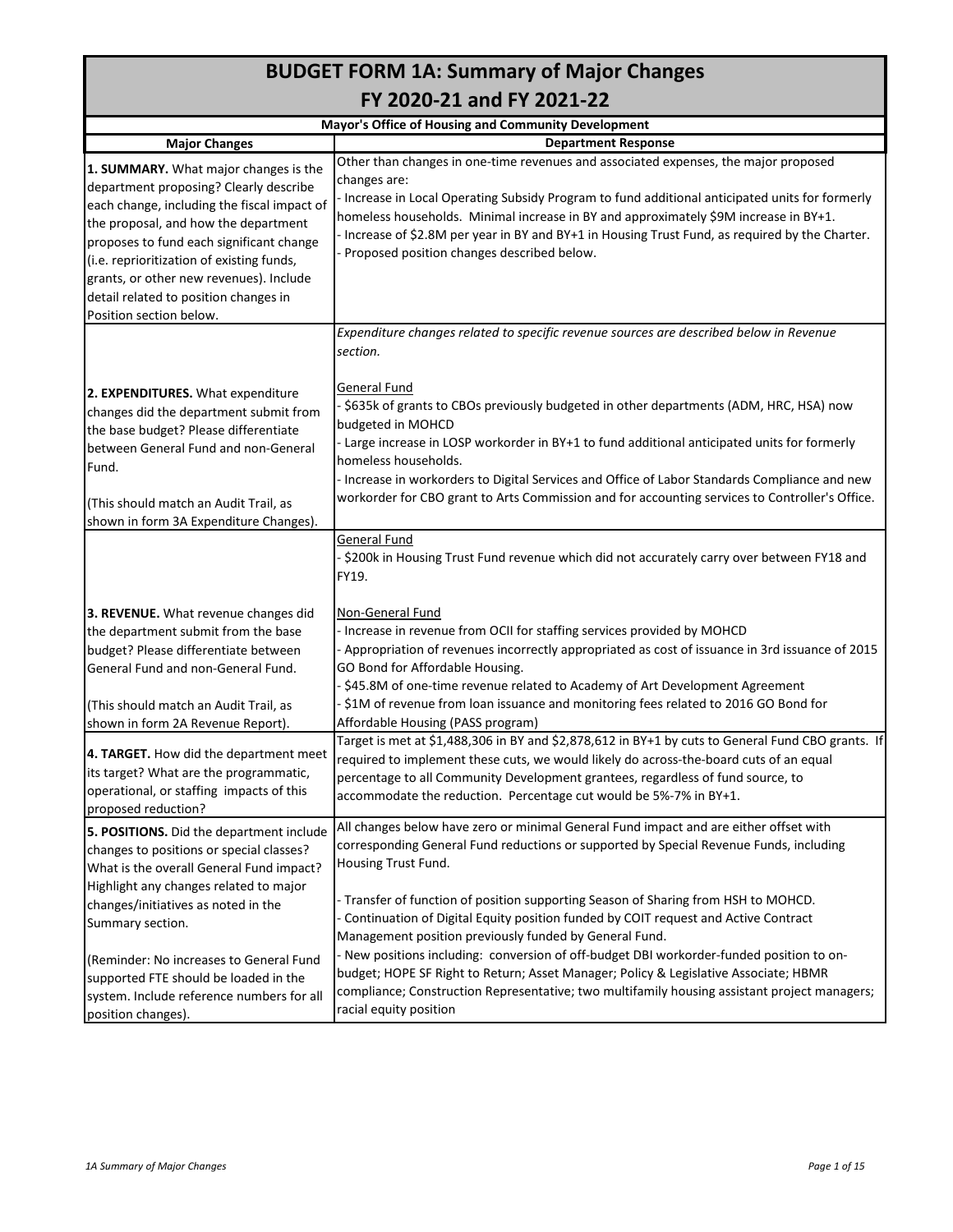# **BUDGET FORM 1A: Summary of Major Changes FY 2020-21 and FY 2021-22**

|                                                                                                                                                                                                                                                                                                                                                                                | Mayor's Office of Housing and Community Development                                                                                                                                                                                                                                                                                                                                                                                                                                                                                                           |
|--------------------------------------------------------------------------------------------------------------------------------------------------------------------------------------------------------------------------------------------------------------------------------------------------------------------------------------------------------------------------------|---------------------------------------------------------------------------------------------------------------------------------------------------------------------------------------------------------------------------------------------------------------------------------------------------------------------------------------------------------------------------------------------------------------------------------------------------------------------------------------------------------------------------------------------------------------|
| <b>Major Changes</b>                                                                                                                                                                                                                                                                                                                                                           | <b>Department Response</b>                                                                                                                                                                                                                                                                                                                                                                                                                                                                                                                                    |
| 1. SUMMARY. What major changes is the<br>department proposing? Clearly describe<br>each change, including the fiscal impact of<br>the proposal, and how the department<br>proposes to fund each significant change<br>(i.e. reprioritization of existing funds,<br>grants, or other new revenues). Include<br>detail related to position changes in<br>Position section below. | Other than changes in one-time revenues and associated expenses, the major proposed<br>changes are:<br>- Increase in Local Operating Subsidy Program to fund additional anticipated units for formerly<br>homeless households. Minimal increase in BY and approximately \$9M increase in BY+1.<br>- Increase of \$2.8M per year in BY and BY+1 in Housing Trust Fund, as required by the Charter.<br>Proposed position changes described below.                                                                                                               |
| 2. EXPENDITURES. What expenditure<br>changes did the department submit from<br>the base budget? Please differentiate<br>between General Fund and non-General<br>Fund.<br>(This should match an Audit Trail, as<br>shown in form 3A Expenditure Changes).                                                                                                                       | Expenditure changes related to specific revenue sources are described below in Revenue<br>section.<br>General Fund<br>- \$635k of grants to CBOs previously budgeted in other departments (ADM, HRC, HSA) now<br>budgeted in MOHCD<br>- Large increase in LOSP workorder in BY+1 to fund additional anticipated units for formerly<br>homeless households.<br>- Increase in workorders to Digital Services and Office of Labor Standards Compliance and new<br>workorder for CBO grant to Arts Commission and for accounting services to Controller's Office. |
| 3. REVENUE. What revenue changes did                                                                                                                                                                                                                                                                                                                                           | <b>General Fund</b><br>- \$200k in Housing Trust Fund revenue which did not accurately carry over between FY18 and<br>FY19.<br>Non-General Fund                                                                                                                                                                                                                                                                                                                                                                                                               |
| the department submit from the base                                                                                                                                                                                                                                                                                                                                            | - Increase in revenue from OCII for staffing services provided by MOHCD                                                                                                                                                                                                                                                                                                                                                                                                                                                                                       |
| budget? Please differentiate between<br>General Fund and non-General Fund.                                                                                                                                                                                                                                                                                                     | - Appropriation of revenues incorrectly appropriated as cost of issuance in 3rd issuance of 2015<br>GO Bond for Affordable Housing.<br>- \$45.8M of one-time revenue related to Academy of Art Development Agreement                                                                                                                                                                                                                                                                                                                                          |
| (This should match an Audit Trail, as                                                                                                                                                                                                                                                                                                                                          | -\$1M of revenue from loan issuance and monitoring fees related to 2016 GO Bond for                                                                                                                                                                                                                                                                                                                                                                                                                                                                           |
| shown in form 2A Revenue Report).                                                                                                                                                                                                                                                                                                                                              | Affordable Housing (PASS program)                                                                                                                                                                                                                                                                                                                                                                                                                                                                                                                             |
| 4. TARGET. How did the department meet<br>its target? What are the programmatic,<br>operational, or staffing impacts of this<br>proposed reduction?                                                                                                                                                                                                                            | Target is met at \$1,488,306 in BY and \$2,878,612 in BY+1 by cuts to General Fund CBO grants. If<br>required to implement these cuts, we would likely do across-the-board cuts of an equal<br>percentage to all Community Development grantees, regardless of fund source, to<br>accommodate the reduction. Percentage cut would be 5%-7% in BY+1.                                                                                                                                                                                                           |
| 5. POSITIONS. Did the department include<br>changes to positions or special classes?<br>What is the overall General Fund impact?<br>Highlight any changes related to major<br>changes/initiatives as noted in the                                                                                                                                                              | All changes below have zero or minimal General Fund impact and are either offset with<br>corresponding General Fund reductions or supported by Special Revenue Funds, including<br>Housing Trust Fund.<br>- Transfer of function of position supporting Season of Sharing from HSH to MOHCD.<br>Continuation of Digital Equity position funded by COIT request and Active Contract                                                                                                                                                                            |
| Summary section.<br>(Reminder: No increases to General Fund<br>supported FTE should be loaded in the<br>system. Include reference numbers for all<br>position changes).                                                                                                                                                                                                        | Management position previously funded by General Fund.<br>- New positions including: conversion of off-budget DBI workorder-funded position to on-<br>budget; HOPE SF Right to Return; Asset Manager; Policy & Legislative Associate; HBMR<br>compliance; Construction Representative; two multifamily housing assistant project managers;<br>racial equity position                                                                                                                                                                                          |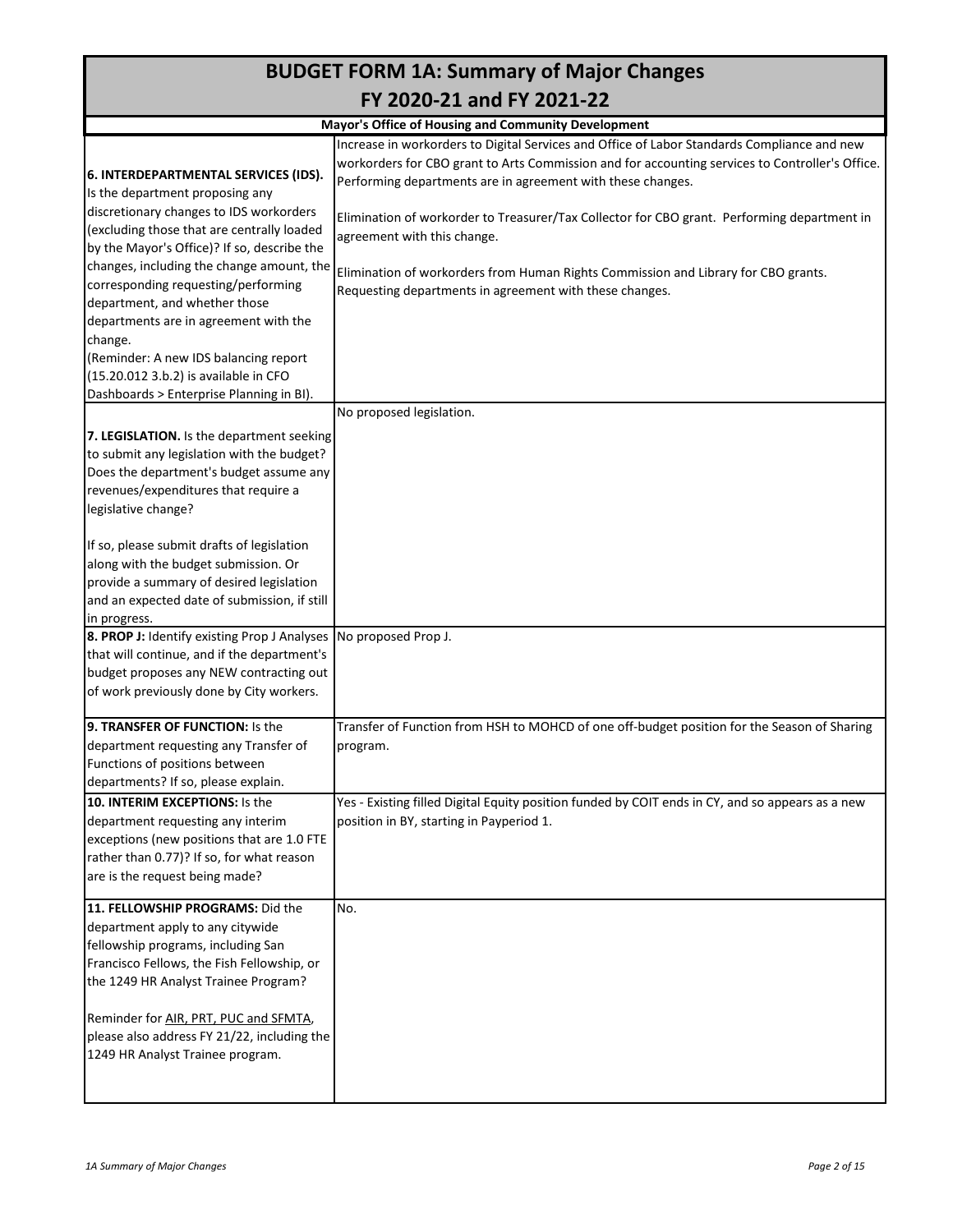|                                                                                                                                                                                                                                                                                                        | <b>BUDGET FORM 1A: Summary of Major Changes</b>                                                                                                                                                                                                                                                                                                                                             |
|--------------------------------------------------------------------------------------------------------------------------------------------------------------------------------------------------------------------------------------------------------------------------------------------------------|---------------------------------------------------------------------------------------------------------------------------------------------------------------------------------------------------------------------------------------------------------------------------------------------------------------------------------------------------------------------------------------------|
|                                                                                                                                                                                                                                                                                                        | FY 2020-21 and FY 2021-22                                                                                                                                                                                                                                                                                                                                                                   |
|                                                                                                                                                                                                                                                                                                        | Mayor's Office of Housing and Community Development                                                                                                                                                                                                                                                                                                                                         |
| 6. INTERDEPARTMENTAL SERVICES (IDS).<br>Is the department proposing any<br>discretionary changes to IDS workorders<br>(excluding those that are centrally loaded                                                                                                                                       | Increase in workorders to Digital Services and Office of Labor Standards Compliance and new<br>workorders for CBO grant to Arts Commission and for accounting services to Controller's Office.<br>Performing departments are in agreement with these changes.<br>Elimination of workorder to Treasurer/Tax Collector for CBO grant. Performing department in<br>agreement with this change. |
| by the Mayor's Office)? If so, describe the<br>changes, including the change amount, the<br>corresponding requesting/performing<br>department, and whether those<br>departments are in agreement with the<br>change.<br>(Reminder: A new IDS balancing report<br>(15.20.012 3.b.2) is available in CFO | Elimination of workorders from Human Rights Commission and Library for CBO grants.<br>Requesting departments in agreement with these changes.                                                                                                                                                                                                                                               |
| Dashboards > Enterprise Planning in BI).                                                                                                                                                                                                                                                               |                                                                                                                                                                                                                                                                                                                                                                                             |
| 7. LEGISLATION. Is the department seeking<br>to submit any legislation with the budget?<br>Does the department's budget assume any<br>revenues/expenditures that require a<br>legislative change?                                                                                                      | No proposed legislation.                                                                                                                                                                                                                                                                                                                                                                    |
| If so, please submit drafts of legislation<br>along with the budget submission. Or<br>provide a summary of desired legislation<br>and an expected date of submission, if still<br>in progress.                                                                                                         |                                                                                                                                                                                                                                                                                                                                                                                             |
| <b>8. PROP J:</b> Identify existing Prop J Analyses<br>that will continue, and if the department's<br>budget proposes any NEW contracting out<br>of work previously done by City workers.                                                                                                              | No proposed Prop J.                                                                                                                                                                                                                                                                                                                                                                         |
| 9. TRANSFER OF FUNCTION: Is the<br>department requesting any Transfer of<br>Functions of positions between<br>departments? If so, please explain.                                                                                                                                                      | Transfer of Function from HSH to MOHCD of one off-budget position for the Season of Sharing<br>program.                                                                                                                                                                                                                                                                                     |
| 10. INTERIM EXCEPTIONS: Is the<br>department requesting any interim<br>exceptions (new positions that are 1.0 FTE<br>rather than 0.77)? If so, for what reason<br>are is the request being made?                                                                                                       | Yes - Existing filled Digital Equity position funded by COIT ends in CY, and so appears as a new<br>position in BY, starting in Payperiod 1.                                                                                                                                                                                                                                                |
| 11. FELLOWSHIP PROGRAMS: Did the<br>department apply to any citywide<br>fellowship programs, including San<br>Francisco Fellows, the Fish Fellowship, or<br>the 1249 HR Analyst Trainee Program?                                                                                                       | No.                                                                                                                                                                                                                                                                                                                                                                                         |
| Reminder for AIR, PRT, PUC and SFMTA,<br>please also address FY 21/22, including the<br>1249 HR Analyst Trainee program.                                                                                                                                                                               |                                                                                                                                                                                                                                                                                                                                                                                             |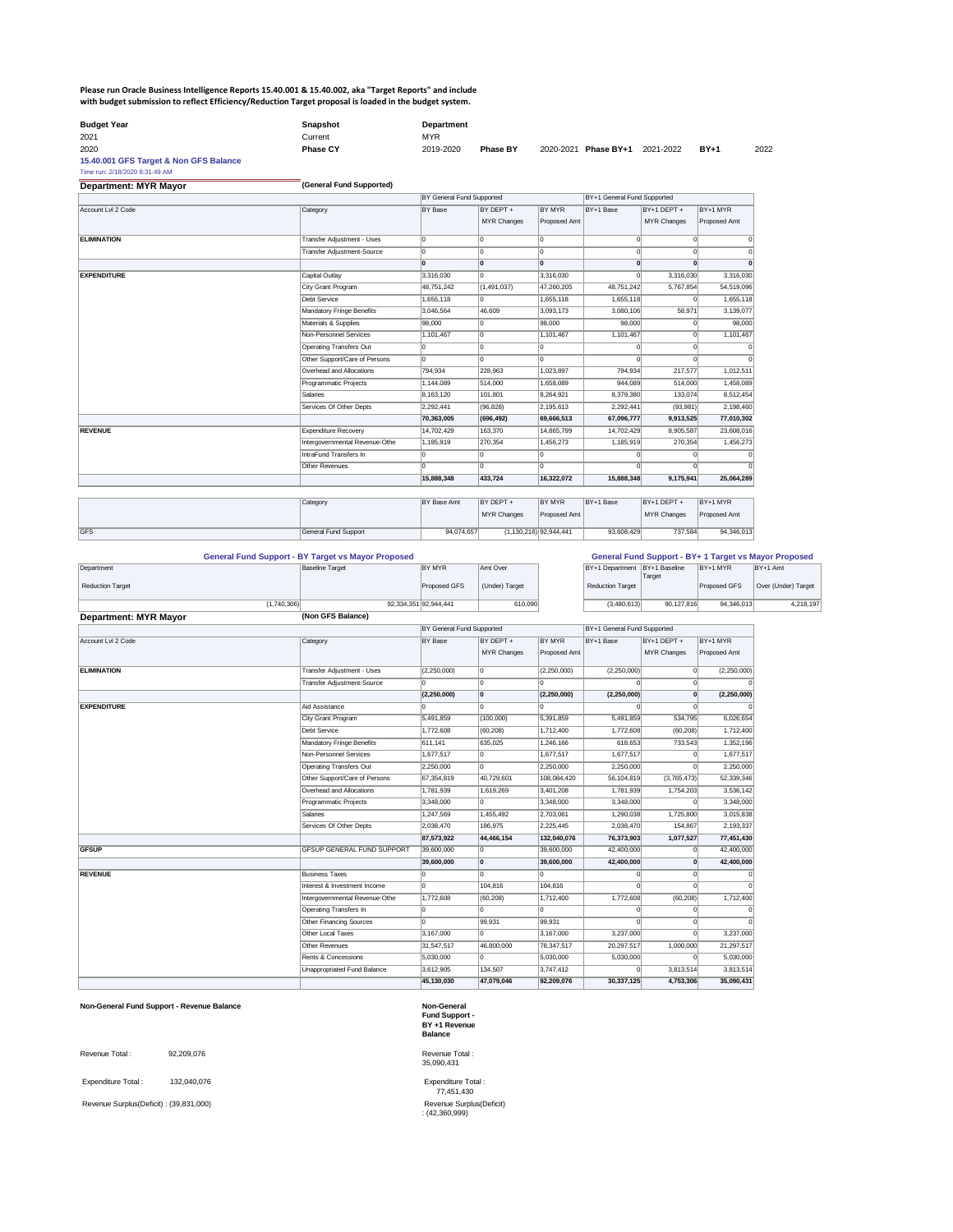## **Please run Oracle Business Intelligence Reports 15.40.001 & 15.40.002, aka "Target Reports" and include with budget submission to reflect Efficiency/Reduction Target proposal is loaded in the budget system.**

| <b>Budget Year</b>                                | Snapshot        | <b>Department</b> |                 |                      |           |        |      |
|---------------------------------------------------|-----------------|-------------------|-----------------|----------------------|-----------|--------|------|
| 2021                                              | Current         | <b>MYR</b>        |                 |                      |           |        |      |
| 2020                                              | <b>Phase CY</b> | 2019-2020         | <b>Phase BY</b> | 2020-2021 Phase BY+1 | 2021-2022 | $BY+1$ | 2022 |
| <b>4E 40 004 CEC Tovant &amp; New CEC Delence</b> |                 |                   |                 |                      |           |        |      |

**15.40.001 GFS Target & Non GFS Balance**

Time run: 2/18/2020 8:31:49 AM

| <b>Department: MYR Mayor</b> | (General Fund Supported)          |                                  |                    |                    |                             |                       |                       |  |  |  |  |
|------------------------------|-----------------------------------|----------------------------------|--------------------|--------------------|-----------------------------|-----------------------|-----------------------|--|--|--|--|
|                              |                                   | <b>BY General Fund Supported</b> |                    |                    | BY+1 General Fund Supported |                       |                       |  |  |  |  |
| Account Lvl 2 Code           | Category                          | BY Base                          | BY DEPT +          | BY MYR             | BY+1 Base                   | BY+1 DEPT +           | BY+1 MYR              |  |  |  |  |
|                              |                                   |                                  | <b>MYR Changes</b> | Proposed Amt       |                             | <b>MYR Changes</b>    | Proposed Amt          |  |  |  |  |
| <b>ELIMINATION</b>           | Transfer Adjustment - Uses        | l0.                              | 10                 | 10                 |                             | 0                     | $\Omega$<br>$\Omega$  |  |  |  |  |
|                              | <b>Transfer Adjustment-Source</b> | 10                               | 10                 | I٥                 |                             | $\overline{0}$        | $\Omega$              |  |  |  |  |
|                              |                                   | l0                               | ١o                 | l0.                |                             | $\mathbf{0}$          | $\mathbf{0}$          |  |  |  |  |
| <b>EXPENDITURE</b>           | Capital Outlay                    | 3,316,030                        | I٥                 | 3,316,030          |                             | 3,316,030<br>$\Omega$ | 3,316,030             |  |  |  |  |
|                              | City Grant Program                | 48,751,242                       | (1,491,037)        | 47,260,205         | 48,751,242                  | 5,767,854             | 54,519,096            |  |  |  |  |
|                              | Debt Service                      | 1,655,118                        | ۱n                 | 1,655,118          | 1,655,118                   |                       | 1,655,118<br>$\Omega$ |  |  |  |  |
|                              | <b>Mandatory Fringe Benefits</b>  | 3,046,564                        | 46,609             | 3,093,173          | 3,080,106                   | 58,971                | 3,139,077             |  |  |  |  |
|                              | Materials & Supplies              | 98,000                           | l0                 | 98,000             | 98,000                      |                       | 98,000<br>$\Omega$    |  |  |  |  |
|                              | Non-Personnel Services            | 1,101,467                        | 10                 | 1,101,467          | 1,101,467                   |                       | 1,101,467<br>$\Omega$ |  |  |  |  |
|                              | <b>Operating Transfers Out</b>    | l0.                              | I٥                 | 10.                |                             | $\Omega$              | $\Omega$<br> 0        |  |  |  |  |
|                              | Other Support/Care of Persons     | 10                               | I٥                 | lo.                |                             | $\Omega$              | $\Omega$              |  |  |  |  |
|                              | Overhead and Allocations          | 794,934                          | 228,963            | 1,023,897          | 794,934                     | 217,577               | 1,012,511             |  |  |  |  |
|                              | Programmatic Projects             | 1,144,089                        | 514,000            | 1,658,089          | 944,089                     | 514,000               | 1,458,089             |  |  |  |  |
|                              | Salaries                          | 8,163,120                        | 101,801            | 8,264,921          | 8,379,380                   | 133,074               | 8,512,454             |  |  |  |  |
|                              | Services Of Other Depts           | 2,292,441                        | (96, 828)          | $\sqrt{2,195,613}$ | 2,292,441                   | (93,981)              | 2,198,460             |  |  |  |  |
|                              |                                   | 70,363,005                       | (696, 492)         | 69,666,513         | 67,096,777                  | 9,913,525             | 77,010,302            |  |  |  |  |
| <b>REVENUE</b>               | <b>Expenditure Recovery</b>       | 14,702,429                       | 163,370            | 14,865,799         | 14,702,429                  | 8,905,587             | 23,608,016            |  |  |  |  |
|                              | Intergovernmental Revenue-Othe    | 1,185,919                        | 270,354            | 1,456,273          | 1,185,919                   | 270,354               | 1,456,273             |  |  |  |  |
|                              | IntraFund Transfers In            | l0                               | ۱n                 |                    |                             |                       | 0                     |  |  |  |  |
|                              | <b>Other Revenues</b>             | I٥                               | I∩                 | ln.                |                             |                       | 0                     |  |  |  |  |
|                              |                                   | 15,888,348                       | 433,724            | 16,322,072         | 15,888,348                  | 9,175,941             | 25,064,289            |  |  |  |  |

|            | Category             | <b>IBY Base Amt</b> | <b>BY DEPT +</b>   | <b>BY MYR</b>            | BY+1 Base  | $BY+1$ DEPT +      | BY+1 MYR            |
|------------|----------------------|---------------------|--------------------|--------------------------|------------|--------------------|---------------------|
|            |                      |                     | <b>MYR Changes</b> | Proposed Amt             |            | <b>MYR Changes</b> | <b>Proposed Amt</b> |
|            |                      |                     |                    |                          |            |                    |                     |
| <b>GFS</b> | General Fund Support | 94,074,657          |                    | $(1,130,216)$ 92,944,441 | 93,608,429 | 737,584            | 94,346,013          |

|                              | <b>General Fund Support - BY Target vs Mayor Proposed</b> |                       |                |                               |            |              | <b>General Fund Support - BY+ 1 Target vs Mayor Proposed</b> |
|------------------------------|-----------------------------------------------------------|-----------------------|----------------|-------------------------------|------------|--------------|--------------------------------------------------------------|
| Department                   | <b>Baseline Target</b>                                    | BY MYR                | Amt Over       | BY+1 Department BY+1 Baseline |            | $BY+1$ MYR   | $BY+1$ Amt                                                   |
|                              |                                                           |                       |                |                               | Target     |              |                                                              |
| <b>Reduction Target</b>      |                                                           | Proposed GFS          | (Under) Target | Reduction Target              |            | Proposed GFS | Over (Under) Target                                          |
|                              |                                                           |                       |                |                               |            |              |                                                              |
| (1,740,306)                  |                                                           | 92,334,351 92,944,441 | 610,090        | (3,480,613)                   | 90,127,816 | 94,346,013   | 4,218,197                                                    |
| <b>Department: MYR Mayor</b> | (Non GFS Balance)                                         |                       |                |                               |            |              |                                                              |

|                    |                                   | BY General Fund Supported |                    |               | BY+1 General Fund Supported |                    |              |  |
|--------------------|-----------------------------------|---------------------------|--------------------|---------------|-----------------------------|--------------------|--------------|--|
| Account Lvl 2 Code | Category                          | <b>BY Base</b>            | BY DEPT +          | <b>BY MYR</b> | BY+1 Base                   | BY+1 DEPT +        | BY+1 MYR     |  |
|                    |                                   |                           | <b>MYR Changes</b> | Proposed Amt  |                             | <b>MYR Changes</b> | Proposed Amt |  |
| <b>ELIMINATION</b> | Transfer Adjustment - Uses        | (2,250,000)               | ۱n                 | (2,250,000)   | (2,250,000)                 | 0                  | (2,250,000)  |  |
|                    | Transfer Adjustment-Source        | 10.                       | $\Omega$           | lo.           |                             | 0                  |              |  |
|                    |                                   | (2, 250, 000)             | 0                  | (2, 250, 000) | (2,250,000)                 | 0                  | (2,250,000)  |  |
| <b>EXPENDITURE</b> | Aid Assistance                    | l0.                       | $\Omega$           | l٥            |                             | 0                  |              |  |
|                    | City Grant Program                | 5,491,859                 | (100,000)          | 5,391,859     | 5,491,859                   | 534,795            | 6,026,654    |  |
|                    | Debt Service                      | 1,772,608                 | (60, 208)          | 1,712,400     | 1,772,608                   | (60, 208)          | 1,712,400    |  |
|                    | <b>Mandatory Fringe Benefits</b>  | 611,141                   | 635,025            | 1,246,166     | 618,653                     | 733,543            | 1,352,196    |  |
|                    | Non-Personnel Services            | 1,677,517                 | 10                 | 1,677,517     | 1,677,517                   | 0                  | 1,677,517    |  |
|                    | <b>Operating Transfers Out</b>    | 2,250,000                 | $\Omega$           | 2,250,000     | 2,250,000                   | $\Omega$           | 2,250,000    |  |
|                    | Other Support/Care of Persons     | 67,354,819                | 40,729,601         | 108,084,420   | 56,104,819                  | (3,765,473)        | 52,339,346   |  |
|                    | Overhead and Allocations          | 1,781,939                 | 1,619,269          | 3,401,208     | 1,781,939                   | 1,754,203          | 3,536,142    |  |
|                    | Programmatic Projects             | 3,348,000                 | $\Omega$           | 3,348,000     | 3,348,000                   | 0                  | 3,348,000    |  |
|                    | <b>Salaries</b>                   | 1,247,569                 | 1,455,492          | 2,703,061     | 1,290,038                   | 1,725,800          | 3,015,838    |  |
|                    | Services Of Other Depts           | 2,038,470                 | 186,975            | 2,225,445     | 2,038,470                   | 154,867            | 2,193,337    |  |
|                    |                                   | 87,573,922                | 44,466,154         | 132,040,076   | 76,373,903                  | 1,077,527          | 77,451,430   |  |
| <b>GFSUP</b>       | <b>GFSUP GENERAL FUND SUPPORT</b> | 39,600,000                | l0                 | 39,600,000    | 42,400,000                  | 0                  | 42,400,000   |  |
|                    |                                   | 39,600,000                | 10                 | 39,600,000    | 42,400,000                  | 0                  | 42,400,000   |  |
| <b>REVENUE</b>     | <b>Business Taxes</b>             | 10                        |                    | I٥            |                             | $\Omega$           |              |  |
|                    | Interest & Investment Income      | 10.                       | 104,816            | 104,816       |                             | $\overline{0}$     |              |  |
|                    | Intergovernmental Revenue-Othe    | 1,772,608                 | (60, 208)          | 1,712,400     | 1,772,608                   | (60, 208)          | 1,712,400    |  |
|                    | Operating Transfers In            | l0.                       |                    | l٥            |                             | $\Omega$           | $\Omega$     |  |
|                    | <b>Other Financing Sources</b>    | 0                         | 99,931             | 99,931        |                             | $\Omega$           | $\Omega$     |  |
|                    | Other Local Taxes                 | 3,167,000                 | $\Omega$           | 3,167,000     | 3,237,000                   | $\Omega$           | 3,237,000    |  |
|                    | Other Revenues                    | 31,547,517                | 46,800,000         | 78,347,517    | 20,297,517                  | 1,000,000          | 21,297,517   |  |
|                    | Rents & Concessions               | 5,030,000                 | $\Omega$           | 5,030,000     | 5,030,000                   | 0                  | 5,030,000    |  |
|                    | Unappropriated Fund Balance       | 3,612,905                 | 134,507            | 3,747,412     |                             | 3,813,514          | 3,813,514    |  |
|                    |                                   | 45,130,030                | 47,079,046         | 92,209,076    | 30,337,125                  | 4,753,306          | 35,090,431   |  |

### **Non-General Fund Support - Revenue Balance Non-General** *Non-General* **Non-General**

**Fund Support - BY +1 Revenue Balance** 

Revenue Total : 92,209,076

Expenditure Total : 132,040,076

Revenue Surplus(Deficit) : (39,831,000)

 Expenditure Total : 77,451,430 Revenue Surplus(Deficit) : (42,360,999)

Revenue Total : 35,090,431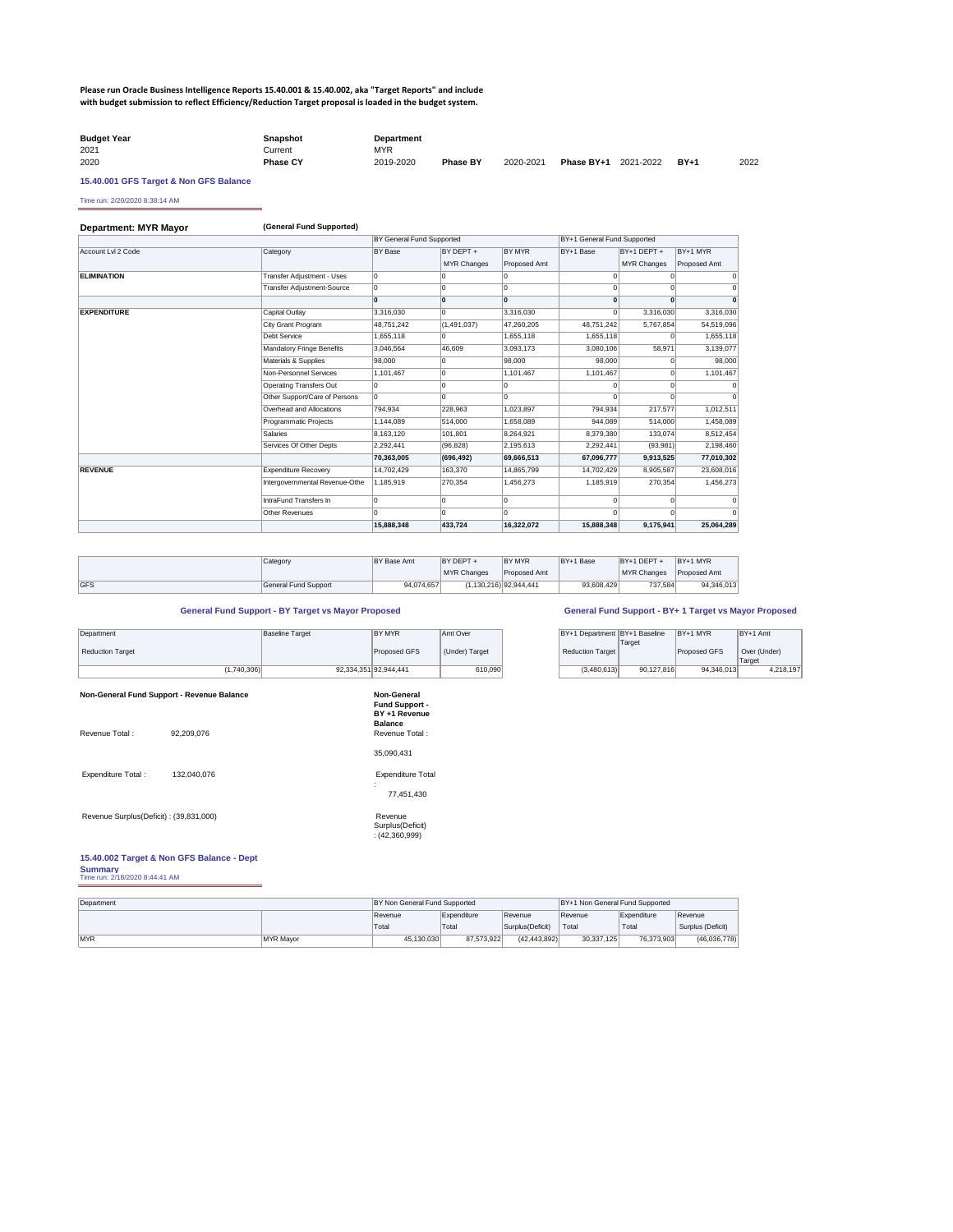### **Please run Oracle Business Intelligence Reports 15.40.001 & 15.40.002, aka "Target Reports" and include with budget submission to reflect Efficiency/Reduction Target proposal is loaded in the budget system.**

| <b>Budget Year</b> | Snapshot        | <b>Department</b> |                 |           |                             |        |      |
|--------------------|-----------------|-------------------|-----------------|-----------|-----------------------------|--------|------|
| 2021               | Current ⊃       | <b>MYR</b>        |                 |           |                             |        |      |
| 2020               | <b>Phase CY</b> | 2019-2020         | <b>Phase BY</b> | 2020-2021 | <b>Phase BY+1</b> 2021-2022 | $BY+1$ | 2022 |

### **15.40.001 GFS Target & Non GFS Balance**

Time run: 2/20/2020 8:38:14 AM

| Department: MYR Mayor | (General Fund Supported)          |                           |                    |                     |                             |                    |                |  |  |  |  |
|-----------------------|-----------------------------------|---------------------------|--------------------|---------------------|-----------------------------|--------------------|----------------|--|--|--|--|
|                       |                                   | BY General Fund Supported |                    |                     | BY+1 General Fund Supported |                    |                |  |  |  |  |
| Account Lvl 2 Code    | Category                          | BY Base                   | BY DEPT +          | <b>BY MYR</b>       | BY+1 Base                   | BY+1 DEPT +        | BY+1 MYR       |  |  |  |  |
|                       |                                   |                           | <b>MYR Changes</b> | <b>Proposed Amt</b> |                             | <b>MYR Changes</b> | Proposed Amt   |  |  |  |  |
| <b>ELIMINATION</b>    | Transfer Adjustment - Uses        | 0                         | 0                  | 0                   | $\Omega$                    | $\Omega$           | $\overline{0}$ |  |  |  |  |
|                       | <b>Transfer Adjustment-Source</b> | 0                         | $\Omega$           | l0                  | $\Omega$                    |                    | $\Omega$       |  |  |  |  |
|                       |                                   | l0                        | 0                  | l0                  | $\mathbf{0}$                |                    | $\mathbf{0}$   |  |  |  |  |
| <b>EXPENDITURE</b>    | Capital Outlay                    | 3,316,030                 | 0                  | 3,316,030           | U                           | 3,316,030          | 3,316,030      |  |  |  |  |
|                       | City Grant Program                | 48,751,242                | (1,491,037)        | 47,260,205          | 48,751,242                  | 5,767,854          | 54,519,096     |  |  |  |  |
|                       | Debt Service                      | 1,655,118                 | $\overline{0}$     | 1,655,118           | 1,655,118                   |                    | 1,655,118      |  |  |  |  |
|                       | Mandatory Fringe Benefits         | 3,046,564                 | 46,609             | 3,093,173           | 3,080,106                   | 58,971             | 3,139,077      |  |  |  |  |
|                       | Materials & Supplies              | 98,000                    | 0                  | 98,000              | 98.000                      |                    | 98,000         |  |  |  |  |
|                       | Non-Personnel Services            | 1,101,467                 | 0                  | 1,101,467           | 1,101,467                   |                    | 1,101,467      |  |  |  |  |
|                       | <b>Operating Transfers Out</b>    |                           | 0                  | I٥                  |                             |                    | $\Omega$       |  |  |  |  |
|                       | Other Support/Care of Persons     | 0                         | $\overline{0}$     | l0                  | $\Omega$                    |                    | $\Omega$       |  |  |  |  |
|                       | Overhead and Allocations          | 794,934                   | 228,963            | 1,023,897           | 794,934                     | 217,577            | 1,012,511      |  |  |  |  |
|                       | Programmatic Projects             | 1,144,089                 | 514,000            | 1,658,089           | 944,089                     | 514,000            | 1,458,089      |  |  |  |  |
|                       | Salaries                          | 8,163,120                 | 101,801            | 8,264,921           | 8,379,380                   | 133,074            | 8,512,454      |  |  |  |  |
|                       | Services Of Other Depts           | 2,292,441                 | (96, 828)          | 2,195,613           | 2,292,441                   | (93,981)           | 2,198,460      |  |  |  |  |
|                       |                                   | 70,363,005                | (696, 492)         | 69,666,513          | 67,096,777                  | 9,913,525          | 77,010,302     |  |  |  |  |
| <b>REVENUE</b>        | <b>Expenditure Recovery</b>       | 14,702,429                | 163,370            | 14,865,799          | 14,702,429                  | 8,905,587          | 23,608,016     |  |  |  |  |
|                       | Intergovernmental Revenue-Othe    | 1,185,919                 | 270,354            | 1,456,273           | 1,185,919                   | 270,354            | 1,456,273      |  |  |  |  |
|                       | IntraFund Transfers In            |                           | 0                  | I٥                  | $\Omega$                    |                    | $\Omega$       |  |  |  |  |
|                       | <b>Other Revenues</b>             | l0                        | $\overline{0}$     | 10                  |                             |                    | $\Omega$       |  |  |  |  |
|                       |                                   | 15,888,348                | 433,724            | 16,322,072          | 15,888,348                  | 9,175,941          | 25,064,289     |  |  |  |  |

**Fund Support - BY +1 Revenue Balance** 

Expenditure Total : 132,040,076 Expenditure Total

:

77,451,430

Revenue Surplus(Deficit) : (39,831,000) Revenue

|             | Category             | <b>BY Base Amt</b> | <b>BY DEPT +</b>   | <b>BY MYR</b>          | BY+1 Base  | BY+1 DEPT   | $BY+1$ MYR          |
|-------------|----------------------|--------------------|--------------------|------------------------|------------|-------------|---------------------|
|             |                      |                    | <b>MYR Changes</b> | <b>Proposed Amt</b>    |            | MYR Changes | <b>Proposed Amt</b> |
| <b>IGFS</b> | General Fund Support | 94,074,657         |                    | (1,130,216) 92,944,441 | 93,608,429 | 737,584     | 94,346,013          |

Surplus(Deficit) : (42,360,999)

| Department              | Baseline Target | <b>BY MYR</b>         | Amt Over       | BY+1 Department BY+1 Baseline |            | $BY+1$ MYR          | $BY+1$ Amt   |
|-------------------------|-----------------|-----------------------|----------------|-------------------------------|------------|---------------------|--------------|
|                         |                 |                       |                |                               | Target     |                     |              |
| <b>Reduction Target</b> |                 | Proposed GFS          | (Under) Target | Reduction Target              |            | <b>Proposed GFS</b> | Over (Under) |
|                         |                 |                       |                |                               |            |                     | Target       |
| (1,740,306)             |                 | 92,334,351 92,944,441 | 610,090        | (3,480,613)                   | 90,127,816 | 94.346.013          | 4,218,197    |

**Non-General Fund Support - Revenue Balance Mon-General Revenue Revenue Balance** Non-General

**15.40.002 Target & Non GFS Balance - Dept Summary** Time run: 2/18/2020 8:44:41 AM

| BY+1 Department BY+1 Baseline | Target     | BY+1 MYR            | BY+1 Amt     |
|-------------------------------|------------|---------------------|--------------|
| <b>Reduction Target</b>       |            | <b>Proposed GFS</b> | Over (Under) |
|                               |            |                     | Target       |
| (3,480,613)                   | 90,127,816 | 94,346,013          | 4,218,197    |

Revenue Total : 92,209,076 <br>Revenue Total : 92,209,076

| Department |           | BY Non General Fund Supported |             |                   | BY+1 Non General Fund Supported |             |                   |
|------------|-----------|-------------------------------|-------------|-------------------|---------------------------------|-------------|-------------------|
|            |           | ∣Revenue                      | Expenditure | Revenue           | Revenue                         | Expenditure | Revenue           |
|            |           | 'Total                        | Total       | Surplus (Deficit) | Total                           | Total       | Surplus (Deficit) |
| MYR        | MYR Mavor | 45,130,030                    | 87,573,922  | (42, 443, 892)    | 30,337,125                      | 76,373,903  | (46,036,778)      |

### **General Fund Support - BY Target vs Mayor Proposed General Fund Support - BY+ 1 Target vs Mayor Proposed**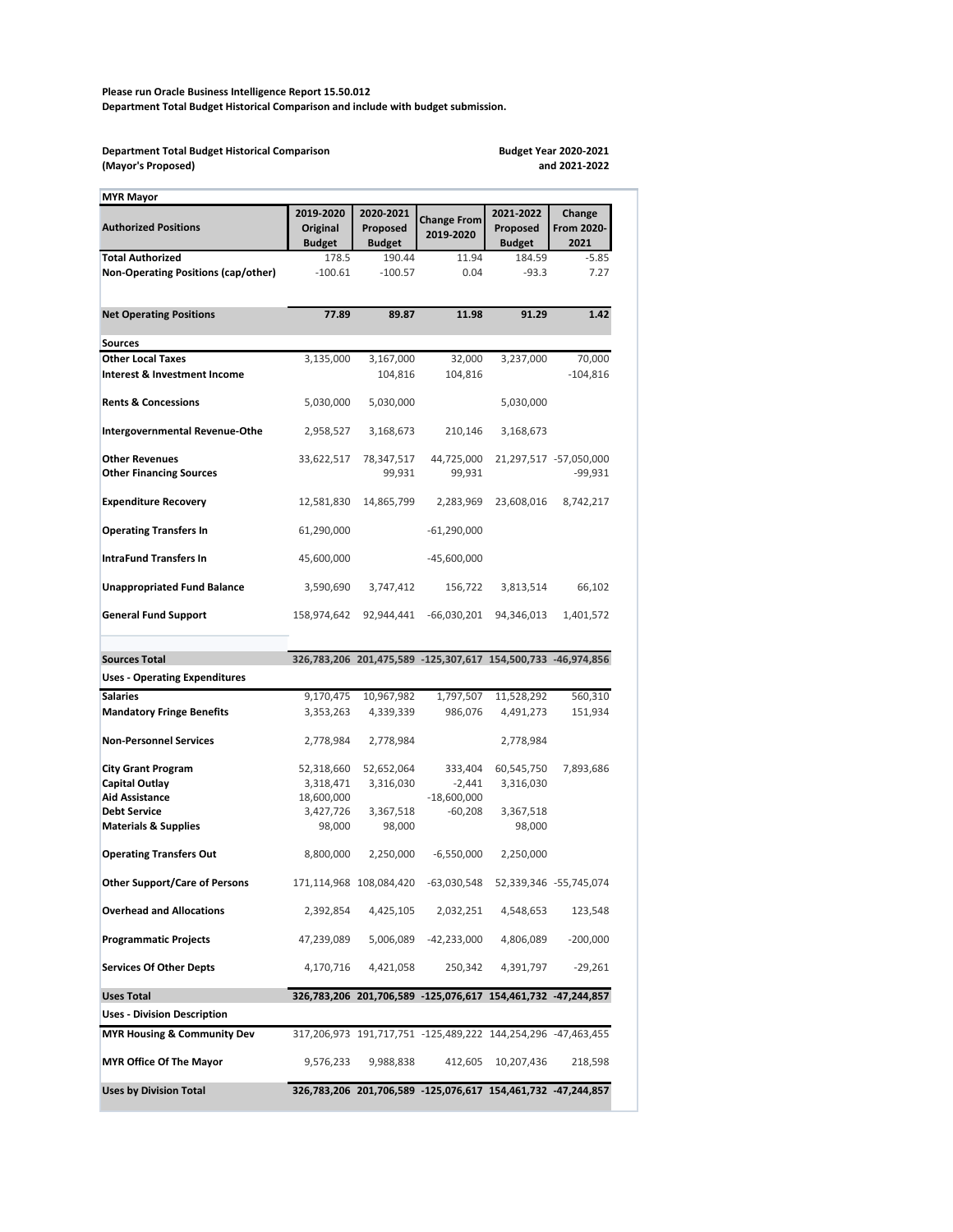**Please run Oracle Business Intelligence Report 15.50.012 Department Total Budget Historical Comparison and include with budget submission.**

| <b>MYR Mayor</b>                                                             |                                               |                                        |                                                              |                                        |                                     |
|------------------------------------------------------------------------------|-----------------------------------------------|----------------------------------------|--------------------------------------------------------------|----------------------------------------|-------------------------------------|
| <b>Authorized Positions</b>                                                  | 2019-2020<br><b>Original</b><br><b>Budget</b> | 2020-2021<br>Proposed<br><b>Budget</b> | <b>Change From</b><br>2019-2020                              | 2021-2022<br>Proposed<br><b>Budget</b> | Change<br>From 2020-<br>2021        |
| <b>Total Authorized</b>                                                      | 178.5                                         | 190.44                                 | 11.94                                                        | 184.59                                 | $-5.85$                             |
| <b>Non-Operating Positions (cap/other)</b>                                   | $-100.61$                                     | $-100.57$                              | 0.04                                                         | $-93.3$                                | 7.27                                |
| <b>Net Operating Positions</b>                                               | 77.89                                         | 89.87                                  | 11.98                                                        | 91.29                                  | 1.42                                |
| <b>Sources</b>                                                               |                                               |                                        |                                                              |                                        |                                     |
| <b>Other Local Taxes</b><br><b>Interest &amp; Investment Income</b>          | 3,135,000                                     | 3,167,000<br>104,816                   | 32,000<br>104,816                                            | 3,237,000                              | 70,000<br>$-104,816$                |
| <b>Rents &amp; Concessions</b>                                               | 5,030,000                                     | 5,030,000                              |                                                              | 5,030,000                              |                                     |
| <b>Intergovernmental Revenue-Othe</b>                                        | 2,958,527                                     | 3,168,673                              | 210,146                                                      | 3,168,673                              |                                     |
| <b>Other Revenues</b><br><b>Other Financing Sources</b>                      | 33,622,517                                    | 78,347,517<br>99,931                   | 44,725,000<br>99,931                                         |                                        | 21,297,517 -57,050,000<br>$-99,931$ |
| <b>Expenditure Recovery</b>                                                  | 12,581,830                                    | 14,865,799                             | 2,283,969                                                    | 23,608,016                             | 8,742,217                           |
| <b>Operating Transfers In</b>                                                | 61,290,000                                    |                                        | $-61,290,000$                                                |                                        |                                     |
| <b>IntraFund Transfers In</b>                                                | 45,600,000                                    |                                        | $-45,600,000$                                                |                                        |                                     |
| <b>Unappropriated Fund Balance</b>                                           | 3,590,690                                     | 3,747,412                              | 156,722                                                      | 3,813,514                              | 66,102                              |
| <b>General Fund Support</b>                                                  | 158,974,642                                   | 92,944,441                             | $-66,030,201$                                                | 94,346,013                             | 1,401,572                           |
|                                                                              |                                               |                                        |                                                              |                                        |                                     |
|                                                                              |                                               |                                        |                                                              |                                        |                                     |
| <b>Sources Total</b>                                                         |                                               |                                        | 326,783,206 201,475,589 -125,307,617 154,500,733 -46,974,856 |                                        |                                     |
| <b>Uses - Operating Expenditures</b>                                         |                                               |                                        |                                                              |                                        |                                     |
| <b>Salaries</b>                                                              | 9,170,475                                     | 10,967,982                             | 1,797,507                                                    | 11,528,292                             | 560,310                             |
| <b>Mandatory Fringe Benefits</b>                                             | 3,353,263                                     | 4,339,339                              | 986,076                                                      | 4,491,273                              | 151,934                             |
| <b>Non-Personnel Services</b>                                                | 2,778,984                                     | 2,778,984                              |                                                              | 2,778,984                              |                                     |
| <b>City Grant Program</b>                                                    | 52,318,660                                    | 52,652,064                             | 333,404                                                      | 60,545,750                             | 7,893,686                           |
| <b>Capital Outlay</b>                                                        | 3,318,471                                     | 3,316,030                              | $-2,441$                                                     | 3,316,030                              |                                     |
| <b>Aid Assistance</b><br><b>Debt Service</b>                                 | 18,600,000                                    |                                        | $-18,600,000$                                                |                                        |                                     |
| <b>Materials &amp; Supplies</b>                                              | 3,427,726<br>98,000                           | 3,367,518<br>98,000                    | $-60,208$                                                    | 3,367,518<br>98,000                    |                                     |
| <b>Operating Transfers Out</b>                                               | 8,800,000                                     | 2,250,000                              | $-6,550,000$                                                 | 2,250,000                              |                                     |
| <b>Other Support/Care of Persons</b>                                         |                                               | 171,114,968 108,084,420                | $-63,030,548$                                                |                                        | 52,339,346 -55,745,074              |
| <b>Overhead and Allocations</b>                                              | 2,392,854                                     | 4,425,105                              | 2,032,251                                                    | 4,548,653                              | 123,548                             |
| <b>Programmatic Projects</b>                                                 | 47,239,089                                    | 5,006,089                              | $-42,233,000$                                                | 4,806,089                              | $-200,000$                          |
| <b>Services Of Other Depts</b>                                               | 4,170,716                                     | 4,421,058                              | 250,342                                                      | 4,391,797                              | $-29,261$                           |
| <b>Uses Total</b>                                                            |                                               |                                        | 326,783,206 201,706,589 -125,076,617 154,461,732 -47,244,857 |                                        |                                     |
| <b>Uses - Division Description</b><br><b>MYR Housing &amp; Community Dev</b> |                                               |                                        | 317,206,973 191,717,751 -125,489,222 144,254,296 -47,463,455 |                                        |                                     |
| <b>MYR Office Of The Mayor</b>                                               | 9,576,233                                     | 9,988,838                              | 412,605                                                      | 10,207,436                             | 218,598                             |

**Department Total Budget Historical Comparison (Mayor's Proposed)**

**Budget Year 2020-2021 and 2021-2022**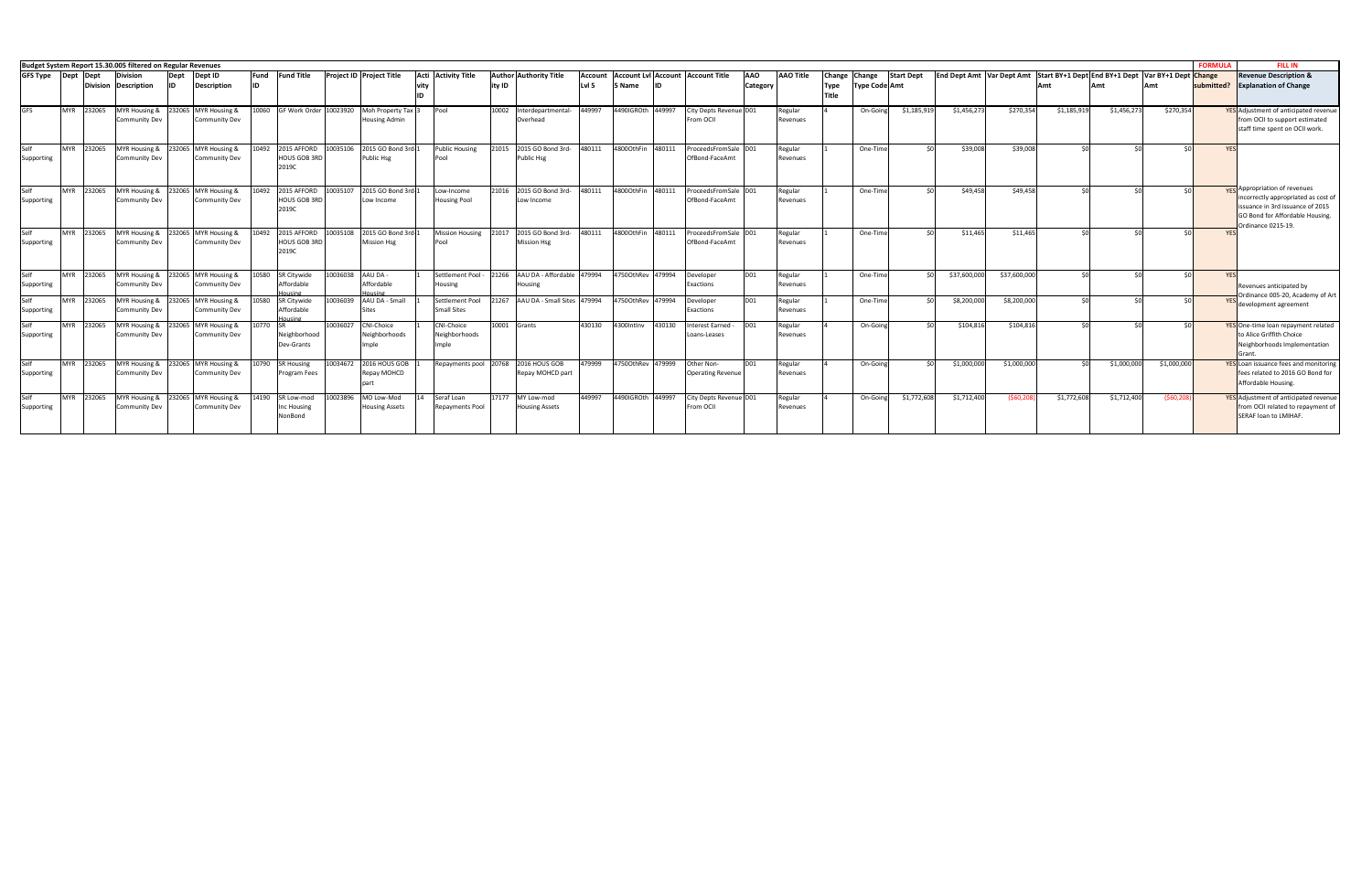|                    |              |            | Budget System Report 15.30.005 filtered on Regular Revenues |             |                                                                                        |                   |                                             |          |                                              |                                             |        |                                                         |                         |                          |        |                                        |                               |                     |                                              |                                       |                   |                                  |              |                                                    |             |              | <b>FORMULA</b> | <b>FILL IN</b>                                                                                                                                    |
|--------------------|--------------|------------|-------------------------------------------------------------|-------------|----------------------------------------------------------------------------------------|-------------------|---------------------------------------------|----------|----------------------------------------------|---------------------------------------------|--------|---------------------------------------------------------|-------------------------|--------------------------|--------|----------------------------------------|-------------------------------|---------------------|----------------------------------------------|---------------------------------------|-------------------|----------------------------------|--------------|----------------------------------------------------|-------------|--------------|----------------|---------------------------------------------------------------------------------------------------------------------------------------------------|
| <b>GFS Type</b>    | $\vert$ Dept | Dept       | <b>Division</b><br>Division Description                     | Dept<br>lID | Dept ID<br>Description                                                                 | Fund<br><b>ID</b> | <b>Fund Title</b>                           |          | <b>Project ID Project Title</b>              | Acti Activity Title                         | ity ID | <b>Author Authority Title</b>                           | <b>Account</b><br>Lvl 5 | 5 Name                   |        | Account LvI Account Account Title      | <b>AAO</b><br><b>Category</b> | <b>AAO Title</b>    | <b>Change</b><br><b>Type</b><br><b>Title</b> | <b>Change</b><br><b>Type Code Amt</b> | <b>Start Dept</b> | <b>End Dept Amt Var Dept Amt</b> |              | Start BY+1 Dept End BY+1 Dept Var BY+1 Dept Change |             |              | submitted?     | <b>Revenue Description &amp;</b><br><b>Explanation of Change</b>                                                                                  |
| <b>GFS</b>         | <b>MYR</b>   | 232065     | MYR Housing &<br><b>Community Dev</b>                       |             | 232065 MYR Housing &<br><b>Community Dev</b>                                           | 10060             | GF Work Order 10023920                      |          | Moh Property Tax 3<br><b>Housing Admin</b>   | Pool                                        | 10002  | Interdepartmental<br>Overhead                           | 449997                  | 4490IGROth 449997        |        | City Depts Revenue D01<br>From OCII    |                               | Regular<br>Revenues |                                              | On-Goin                               | \$1,185,91        | \$1,456,273                      | \$270,354    | \$1,185,919                                        | \$1,456,273 | \$270,354    |                | <b>YES</b> Adjustment of anticipated revenue<br>from OCII to support estimated<br>staff time spent on OCII work                                   |
| Self<br>Supporting | <b>MYR</b>   | 232065     | <b>Community Dev</b>                                        |             | MYR Housing & 232065 MYR Housing &<br>Community Dev                                    | 10492             | 2015 AFFORD<br><b>HOUS GOB 3RD</b><br>2019C | 10035106 | 2015 GO Bond 3rd-1<br>Public Hsg             | <b>Public Housing</b><br>IPool              | 21015  | 2015 GO Bond 3rd-<br><b>Public Hsg</b>                  | 480111                  | 4800OthFin 480111        |        | ProceedsFromSale D01<br>OfBond-FaceAmt |                               | Regular<br>Revenues |                                              | One-Time                              |                   | \$39,008                         | \$39,008     | ≮∩l                                                | ≮∩l         | ∣∩>          | <b>YES</b>     |                                                                                                                                                   |
| Self<br>Supporting | <b>MYR</b>   | 232065     | <b>Community Dev</b>                                        |             | MYR Housing & 232065 MYR Housing &<br><b>Community Dev</b>                             | 10492             | 2015 AFFORD<br><b>HOUS GOB 3RD</b><br>2019C | 10035107 | 2015 GO Bond 3rd-1<br>Low Income             | Low-Income<br><b>Housing Pool</b>           | 21016  | 2015 GO Bond 3rd-<br>Low Income                         | 480111                  | 48000thFin 480111        |        | ProceedsFromSale D01<br>OfBond-FaceAmt |                               | Regular<br>Revenues |                                              | One-Time                              |                   | \$49,458                         | \$49,458     | ċ٨                                                 | ≮∩l         | ו∩>          |                | <b>VES</b> Appropriation of revenues<br>incorrectly appropriated as cost of<br>issuance in 3rd issuance of 2015<br>GO Bond for Affordable Housing |
| Self<br>Supporting | <b>MYR</b>   | 232065     | Community Dev                                               |             | MYR Housing & 232065 MYR Housing &<br>Community Dev                                    | 10492             | 2015 AFFORD<br><b>HOUS GOB 3RD</b><br>2019C | 10035108 | 2015 GO Bond 3rd-1<br><b>Mission Hsg</b>     | <b>Mission Housing</b><br>Pool              | 21017  | 2015 GO Bond 3rd-<br>Mission Hsg                        | 480111                  | 48000thFin 480111        |        | ProceedsFromSale D01<br>OfBond-FaceAmt |                               | Regular<br>Revenues |                                              | One-Time                              |                   | \$11,465                         | \$11,465     | ≮∩l                                                | ∖ c∩        |              |                | Ordinance 0215-19.                                                                                                                                |
| Self<br>Supporting | <b>MYR</b>   | 232065     | Community Dev                                               |             | MYR Housing & 232065 MYR Housing &<br><b>Community Dev</b>                             | 10580             | SR Citywide<br>Affordable<br>ousine         |          | 10036038 AAU DA-<br>Affordable               | Settlement Pool -<br>Housing                | 21266  | AAU DA - Affordable 479994<br>Housing                   |                         | 4750OthRev 479994        |        | Developer<br>Exactions                 | <b>D01</b>                    | Regular<br>Revenues |                                              | One-Time                              |                   | \$37,600,000                     | \$37,600,000 | ċ∩                                                 | ċ٨          |              | <b>YFS</b>     | Revenues anticipated by                                                                                                                           |
| Self<br>Supporting | <b>MYR</b>   | 232065     | Community Dev                                               |             | MYR Housing & 232065 MYR Housing &<br><b>Community Dev</b>                             | 10580             | <b>SR Citywide</b><br>Affordable            | 10036039 | AAU DA - Small<br><b>Sites</b>               | Settlement Pool<br><b>Small Sites</b>       | 21267  | AAU DA - Small Sites 479994                             |                         | 47500thRev 479994        |        | Developer<br>Exactions                 | <b>D01</b>                    | Regular<br>Revenues |                                              | One-Time                              |                   | \$8,200,000                      | \$8,200,000  |                                                    |             |              |                | Ordinance 005-20, Academy of Art<br>development agreement                                                                                         |
| Self<br>Supporting | <b>MYR</b>   | 232065     | Community Dev                                               |             | MYR Housing & 232065 MYR Housing &<br>Community Dev                                    | 10770             | <b>ISR</b><br>Neighborhood<br>Dev-Grants    | 10036027 | CNI-Choice<br>Neighborhoods<br>Imple         | <b>CNI-Choice</b><br>Neighborhoods<br>Imple |        | 10001 Grants                                            | 430130                  | 4300Intlnv               | 430130 | Interest Earned -<br>Loans-Leases      | DO1                           | Regular<br>Revenues |                                              | On-Going                              |                   | \$104,816                        | \$104,816    |                                                    | ≮∩l         |              |                | YES One-time loan repayment related<br>to Alice Griffith Choice<br>Neighborhoods Implementation<br>Grant                                          |
| Self<br>Supporting |              |            | <b>Community Dev</b>                                        |             | MYR 232065 MYR Housing & 232065 MYR Housing & 10790 SR Housing<br><b>Community Dev</b> |                   | <b>Program Fees</b>                         |          | 10034672 2016 HOUS GOB 1<br>Repay MOHCD      |                                             |        | Repayments pool 20768 2016 HOUS GOB<br>Repay MOHCD part |                         | 479999 47500thRev 479999 |        | Other Non-<br><b>Operating Revenue</b> | Inn1                          | Regular<br>Revenues |                                              | On-Goin                               |                   | \$1,000,000                      | \$1,000,000  | ≮∩l                                                | \$1,000,000 | \$1,000,000  |                | <b>YES</b> Loan issuance fees and monitoring<br>fees related to 2016 GO Bond for<br>Affordable Housing.                                           |
| Self<br>Supporting |              | MYR 232065 | <b>Community Dev</b>                                        |             | MYR Housing & 232065 MYR Housing &<br><b>Community Dev</b>                             |                   | 14190 SR Low-mod<br>Inc Housing<br>NonBond  |          | 10023896 MO Low-Mod<br><b>Housing Assets</b> | Seraf Loan<br><b>Repayments Pool</b>        |        | 17177 MY Low-mod<br><b>Housing Assets</b>               | 449997                  | 4490IGROth 449997        |        | City Depts Revenue D01<br>From OCII    |                               | Regular<br>Revenues |                                              | On-Going                              | \$1,772,608       | \$1,712,400                      | (\$60,208    | \$1,772,608                                        | \$1,712,400 | ( \$60, 208) |                | <b>YES</b> Adjustment of anticipated revenue<br>from OCII related to repayment of<br>SERAF loan to LMIHAF.                                        |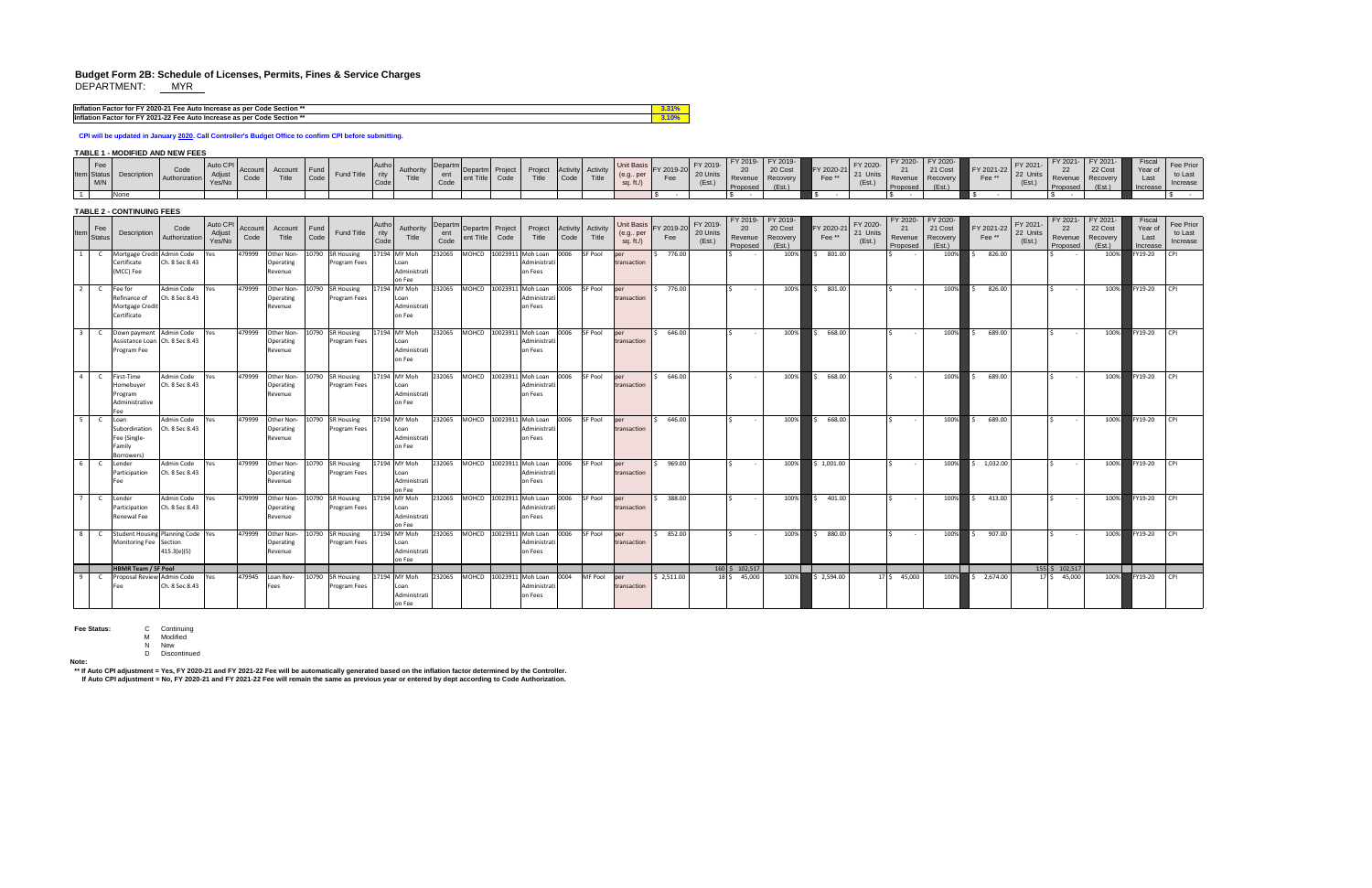# **Budget Form 2B: Schedule of Licenses, Permits, Fines & Service Charges** DEPARTMENT: <u>MYR</u>

| Jr FY 2020-21 F<br><b>Inflation Factor</b><br><b>Gr Code Section **</b><br>r for.<br>1 Fee Auto Increase as per   |  |
|-------------------------------------------------------------------------------------------------------------------|--|
| <b>Inflation Factor for</b><br>FY 2021- <sub>-</sub><br>י הה<br>e Auto Increase as per Code Section **<br>∵z Feel |  |

## **TABLE 1 - MODIFIED AND NEW FEES**

| $\overline{1}$ | Fee<br><b>Item</b> Status<br>M/N | Description<br>None                                           | Code<br>Authorization                              | Auto CPI<br>Adjust<br>Yes/No | Account<br>Code | Account<br>Title                          | Fund<br>Code | Fund Title                              | Autho<br>rity<br>Code | Authority<br>Title                             | Departm<br>ent<br>Code | Departm Project<br>ent Title        | Code              | Project<br>Title                             | <b>Activity</b><br>Code | Activity<br>Title | (e.g., per<br>sq. ft. $/$                        | Unit Basis FY 2019-20 FY 2019-<br>Fee | 20 Units<br>(Est.)             | FY 2019-<br>20<br>Revenue<br>Proposed | FY 2019-<br>20 Cost<br>Recovery<br>(Est.) | FY 2020-21<br>Fee** | FY 2020-<br>21 Units<br>(Est.) | FY 2020-<br>21<br>Revenue<br>Proposed | FY 2020-<br>21 Cost<br>Recovery<br>(Est.) | FY 2021-22<br>Fee** | FY 2021-<br>22 Units<br>(Est.) | FY 2021-<br>-22<br>Revenue<br>Proposed | FY 2021-<br>22 Cost<br>Recovery<br>(Est.) | <b>Fiscal</b><br>Year of<br>Last<br>Increase | Fee Prior<br>to Last<br>Increase |
|----------------|----------------------------------|---------------------------------------------------------------|----------------------------------------------------|------------------------------|-----------------|-------------------------------------------|--------------|-----------------------------------------|-----------------------|------------------------------------------------|------------------------|-------------------------------------|-------------------|----------------------------------------------|-------------------------|-------------------|--------------------------------------------------|---------------------------------------|--------------------------------|---------------------------------------|-------------------------------------------|---------------------|--------------------------------|---------------------------------------|-------------------------------------------|---------------------|--------------------------------|----------------------------------------|-------------------------------------------|----------------------------------------------|----------------------------------|
|                |                                  | <b>TABLE 2 - CONTINUING FEES</b>                              |                                                    |                              |                 |                                           |              |                                         |                       |                                                |                        |                                     |                   |                                              |                         |                   |                                                  |                                       |                                |                                       |                                           |                     |                                |                                       |                                           |                     |                                |                                        |                                           |                                              |                                  |
| <b>Item</b>    | Fee<br>Status                    | Description                                                   | Code<br>Authorization                              | Auto CPI<br>Adjust<br>Yes/No | Account<br>Code | Account<br>Title                          | Fund<br>Code | Fund Title                              | Autho<br>rity<br>Code | Authority<br>Title                             | Departr<br>ent<br>Code | Departm<br>ent Title                | d Project<br>Code | Project<br>Title                             | Activity<br>Code        | Activity<br>Title | <b>Unit Basis</b><br>(e.g., per<br>sq. ft. $/$ ) | FY 2019-20<br>Fee                     | FY 2019-<br>20 Units<br>(Est.) | FY 2019-<br>20<br>Revenue<br>Proposed | FY 2019-<br>20 Cost<br>Recovery<br>(Est.) | FY 2020-21<br>Fee** | FY 2020-<br>21 Units<br>(Est.) | FY 2020<br>21<br>Revenue<br>Proposed  | FY 2020-<br>21 Cost<br>Recovery<br>(Est.) | FY 2021-22<br>Fee** | FY 2021-<br>22 Units<br>(Est.) | 22<br>Revenue<br>Proposed              | FY 2021-<br>22 Cost<br>Recovery<br>(Est.) | Fiscal<br>Year of<br>Last<br>Increase        | Fee Prior<br>to Last<br>Increase |
| 1              |                                  | Mortgage Credit Admin Code<br>Certificate<br>(MCC) Fee        | Ch. 8 Sec 8.43                                     | Yes                          | 479999          | Other Non-<br>Operating<br>Revenue        |              | 10790 SR Housing<br>Program Fees        |                       | 17194 MY Moh<br>Loan<br>Administrati<br>on Fee | 232065                 | MOHCD                               |                   | 10023911 Moh Loan<br>Administrat<br>on Fees  | 0006                    | <b>SF Pool</b>    | per<br>transaction                               | 776.00                                |                                |                                       | 100%                                      | 801.00              |                                |                                       | 100%                                      | 826.00              |                                |                                        | 100%                                      | FY19-20                                      |                                  |
| $\overline{2}$ |                                  | Fee for<br>Refinance of<br>Mortgage Credit<br>Certificate     | Admin Code<br>Ch. 8 Sec 8.43                       | Yes                          | 479999          | Other Non-<br>Operating<br>Revenue        | 10790        | <b>SR Housing</b><br>Program Fees       |                       | 17194 MY Moh<br>Loan<br>Administrati<br>on Fee | 232065                 | <b>MOHCD</b>                        |                   | 10023911 Moh Loan<br>Administrat<br>on Fees  | 0006                    | <b>SF Pool</b>    | per<br>transaction                               | 776.00                                |                                |                                       | 100%                                      | 801.00              |                                |                                       | 100%                                      | 826.00              |                                |                                        | 100%                                      | Y19-20                                       |                                  |
|                |                                  | Down payment Admin Code<br>Program Fee                        | Assistance Loan Ch. 8 Sec 8.43                     | Yes                          | 479999          | Other Non-<br>Operating<br>Revenue        |              | 10790 SR Housing<br>Program Fees        |                       | 17194 MY Moh<br>Loan<br>Administrati<br>on Fee | 232065                 | <b>MOHCD</b>                        |                   | 10023911 Moh Loan<br>Administrat<br>on Fees  | 0006                    | <b>SF Pool</b>    | per<br>transaction                               | 646.00                                |                                |                                       | 100%                                      | 668.00              |                                |                                       | 100%                                      | 689.00              |                                |                                        | 100%                                      | FY19-20                                      |                                  |
| $\overline{4}$ |                                  | First-Time<br>Homebuyer<br>Program<br>Administrative<br>-ee   | Admin Code<br>Ch. 8 Sec 8.43                       | Yes                          | 479999          | Other Non-<br>Operating<br>l Revenue      |              | 10790 SR Housing<br>Program Fees        |                       | 17194 MY Moh<br>Loan<br>Administrat<br>on Fee  | 232065                 | <b>MOHCD</b>                        |                   | 10023911 Moh Loan<br>Administrat<br>on Fees  | 0006                    | <b>SF Pool</b>    | per<br>transaction                               | 646.00                                |                                |                                       | 100%                                      | 668.00              |                                |                                       | 100%                                      | 689.00              |                                |                                        | 100%                                      | FY19-20                                      |                                  |
| 5 <sup>5</sup> |                                  | Loan<br>Subordination<br>Fee (Single-<br>Family<br>Borrowers) | Admin Code<br>Ch. 8 Sec 8.43                       | Yes                          | 479999          | Other Non-<br>Operating<br>Revenue        |              | 10790 SR Housing<br>Program Fees        |                       | 17194 MY Moh<br>Loan<br>Administrati<br>on Fee | 232065                 | <b>MOHCD</b>                        |                   | 10023911 Moh Loan<br>Administrat<br>on Fees  | 0006                    | <b>SF Pool</b>    | per<br>transaction                               | 646.00                                |                                |                                       | 100%                                      | 668.00              |                                |                                       | 100%                                      | 689.00              |                                | $\sim$                                 | 100%                                      | Y19-20                                       |                                  |
| 6              |                                  | Lender<br>Participation<br>Fee                                | Admin Code<br>Ch. 8 Sec 8.43                       | Yes                          |                 | 479999 Other Non-<br>Operating<br>Revenue |              | 10790 SR Housing<br>Program Fees        |                       | 17194 MY Moh<br>Loan<br>Administrati<br>on Fee | 232065                 | $M$ OHCD $10023911$ Moh Loan $0006$ |                   | Administrat<br>on Fees                       |                         | SF Pool           | ber<br>transaction                               | 969.00                                |                                | $\sim$                                | 100%                                      | 1,001.00            |                                |                                       | 100%                                      | 1,032.00            |                                | $\sim$                                 | 100%                                      | FY19-20                                      | $ $ CPI                          |
| $\overline{7}$ |                                  | Lender<br>Participation<br><b>Renewal Fee</b>                 | Admin Code<br>Ch. 8 Sec 8.43                       | Yes                          | 479999          | Other Non-<br>Operating<br>Revenue        |              | 10790 SR Housing<br>Program Fees        |                       | 17194 MY Moh<br>Loan<br>Administrati<br>on Fee | 232065                 | MOHCD 10023911 Moh Loan 0006        |                   | Administrat<br>on Fees                       |                         | SF Pool           | lper<br>transaction                              | 388.00                                |                                |                                       | 100%                                      | 401.00              |                                |                                       | 100%                                      | 413.00              |                                | $\sim$ $-$                             | 100%                                      | FY19-20                                      |                                  |
| $\overline{8}$ |                                  | Monitoring Fee Section                                        | Student Housing Planning Code   Yes<br>415.3(e)(5) |                              | 479999          | Other Non-<br>Operating<br>Revenue        |              | 10790 SR Housing<br>Program Fees        |                       | 17194 MY Moh<br>Loan<br>Administrati<br>on Fee | 232065                 | MOHCD   10023911   Moh Loan   0006  |                   | Administrati<br>on Fees                      |                         | <b>SF Pool</b>    | lper<br>transaction                              | 852.00                                |                                | $\sim$                                | 100%                                      | 880.00              |                                |                                       | 100%                                      | 907.00              |                                | $\sim$ $-$                             | 100%                                      | FY19-20                                      | <b>CPI</b>                       |
|                |                                  | <b>HBMR Team / SF Pool</b><br>Proposal Review Admin Code      |                                                    |                              |                 |                                           |              |                                         |                       |                                                |                        |                                     |                   |                                              |                         | <b>MF Pool</b>    |                                                  |                                       |                                | $160 \mid 5 \mid 102,517 \mid$        |                                           |                     |                                |                                       |                                           |                     |                                | $155 \mid \xi$ 102,517                 |                                           |                                              |                                  |
| 9              |                                  | Fee                                                           | Ch. 8 Sec 8.43                                     | Yes                          | 479945          | Loan Rev-<br><b>Fees</b>                  |              | 10790 SR Housing<br><b>Program Fees</b> |                       | 17194 MY Moh<br>Loan<br>Administrati<br>on Fee | 232065                 | <b>MOHCD</b>                        |                   | 10023911 Moh Loan<br>Administrati<br>on Fees | 0004                    |                   | lper<br>transaction                              | \$2,511.00                            |                                | $18 \mid \xi$ 45,000                  | 100%                                      | 2,594.00            | $17$ \$                        | 45,000                                | 100%                                      | 2,674.00            | $17 \,$ \$                     | 45,000                                 | $100\%$                                   | $\blacktriangleright$ FY19-20                | <b>CPI</b>                       |

|                | Fee<br><b>Status</b><br>Description<br>M/N<br>None              | Code<br>Authorization                                      | Auto CPI<br>Adjust<br>Yes/No | Account<br>Code  | Account<br>Title                   | $ $ Fund<br>Code          | Fund Title                               | Autho<br>rity<br>Code | Authority<br>Title                                             | Departn<br>ent<br>Code | Departm Project<br>ent Title | Code            | Project<br>Title                                                  | Code                            | Activity Activity<br>Title | (e.g., per<br>sq. ft. $/$ )                      | Unit Basis<br>FY 2019-20 FY 2019-<br>Fee | 20 Units<br>(Est.) | FY 2019-<br>20<br>Revenue<br>Proposed         | $\vert$ FY 2019-<br>20 Cost<br>Recovery<br>(Est.) | FY 2020-21<br>Fee**             | FY 2020-<br>21 Units<br>(Est.) | FY 2020-<br>21<br>Revenue<br>Proposed | FY 2020-<br>21 Cost<br>Recovery<br>(Est.) | FY 2021-22<br>Fee**    | FY 2021-<br>22 Units<br>(Est.) | FY 2021-<br>22<br>Revenue<br>Proposed      | FY 2021-<br>22 Cost<br>Recovery<br>(Est.) | <b>Fiscal</b><br>Year of<br>Last<br>Increase | <b>Fee Prior</b><br>to Last<br>Increase |
|----------------|-----------------------------------------------------------------|------------------------------------------------------------|------------------------------|------------------|------------------------------------|---------------------------|------------------------------------------|-----------------------|----------------------------------------------------------------|------------------------|------------------------------|-----------------|-------------------------------------------------------------------|---------------------------------|----------------------------|--------------------------------------------------|------------------------------------------|--------------------|-----------------------------------------------|---------------------------------------------------|---------------------------------|--------------------------------|---------------------------------------|-------------------------------------------|------------------------|--------------------------------|--------------------------------------------|-------------------------------------------|----------------------------------------------|-----------------------------------------|
|                | <b>TABLE 2 - CONTINUING FEES</b>                                |                                                            |                              |                  |                                    |                           |                                          |                       |                                                                |                        |                              |                 |                                                                   |                                 |                            |                                                  |                                          |                    |                                               |                                                   |                                 |                                |                                       |                                           |                        |                                |                                            |                                           |                                              |                                         |
|                | Fee<br>Description<br>Status                                    | Code<br>Authorization                                      | Auto CPI<br>Adjust<br>Yes/No | Accoun<br>Code   | Account<br><b>Title</b>            | $ $ Fund<br>Code          | <b>Fund Title</b>                        | Autho<br>rity<br>Code | Authority<br>Title                                             | Departn<br>ent<br>Code | Departm<br>ent Title         | Project<br>Code | Project<br>Title                                                  | <b>Activity</b><br>Code<br>0006 | Activity<br>Title          | <b>Unit Basis</b><br>(e.g., per<br>sq. ft. $/$ ) | PY 2019-20 FY 2019-<br>Fee               | 20 Units<br>(Est.) | FY 2019-<br>20<br>Revenue<br>Proposed         | FY 2019-<br>20 Cost<br>Recovery<br>(Est.)         | FY 2020-21<br>Fee <sup>**</sup> | FY 2020-<br>21 Units<br>(Est.) | FY 2020<br>21<br>Revenue<br>Proposed  | FY 2020-<br>21 Cost<br>Recovery<br>(Est.) | FY 2021-22<br>Fee**    | FY 2021-<br>22 Units<br>(Est.) | 22<br>Revenue<br>Proposed                  | 22 Cost<br>Recovery<br>(Est.)             | <b>Fiscal</b><br>Year of<br>Last<br>Increase | Fee Prior<br>to Last<br>Increase        |
|                | Certificate<br>(MCC) Fee                                        | Mortgage Credit Admin Code<br>Ch. 8 Sec 8.43<br>Admin Code | Yes                          | 479999<br>479999 | Other Non-<br>Operating<br>Revenue | 10790 SR Housing<br>10790 | <b>Program Fees</b>                      |                       | 17194 MY Moh<br>Loan<br>Administrati<br>on Fee<br>17194 MY Moh | 232065<br>232065       | <b>MOHCD</b><br><b>MOHCD</b> |                 | 10023911 Moh Loan<br>Administrati<br>on Fees<br>10023911 Moh Loan | 0006                            | <b>SF Pool</b><br>SF Pool  | per<br>transaction                               | 776.00<br>776.00                         |                    |                                               | 100%                                              | 801.00<br>801.00                |                                |                                       | 100%                                      | 826.00                 |                                |                                            | 100%<br>100%                              | FY19-20<br>FY19-20                           |                                         |
|                | Fee for<br>Refinance of<br>Mortgage Credit<br>Certificate       | Ch. 8 Sec 8.43                                             | Yes                          |                  | Other Non-<br>Operating<br>Revenue |                           | <b>SR Housing</b><br><b>Program Fees</b> |                       | Loan<br>Administrati<br>on Fee                                 |                        |                              |                 | Administrati<br>on Fees                                           |                                 |                            | per<br>transaction                               |                                          |                    |                                               | 100%                                              |                                 |                                |                                       | 100%                                      | 826.00                 |                                |                                            |                                           |                                              |                                         |
|                | Program Fee                                                     | Down payment Admin Code<br>Assistance Loan Ch. 8 Sec 8.43  | Yes                          | 479999           | Other Non-<br>Operating<br>Revenue | 10790 SR Housing          | <b>Program Fees</b>                      |                       | 17194 MY Moh<br>Loan<br>Administrati<br>on Fee                 | 232065                 | <b>MOHCD</b>                 |                 | 10023911 Moh Loan<br>Administrati<br>on Fees                      | 0006                            | <b>SF Pool</b>             | per<br>transaction                               | 646.00                                   |                    |                                               | 100%                                              | 668.00                          |                                |                                       | 100%                                      | 689.00                 |                                |                                            | 100%                                      | FY19-20                                      |                                         |
| 4 I            | First-Time<br>Homebuyer<br>Program<br>Administrative            | Admin Code<br>Ch. 8 Sec 8.43                               | Yes                          | 479999           | Other Non-<br>Operating<br>Revenue | 10790 SR Housing          | <b>Program Fees</b>                      |                       | 17194 MY Moh<br>.oan<br>Administrati<br>on Fee                 | 232065                 | <b>MOHCD</b>                 |                 | 10023911 Moh Loan<br>Administrati<br>on Fees                      | 0006                            | <b>SF Pool</b>             | per<br>transaction                               | 646.00                                   |                    |                                               | 100%                                              | 668.00                          |                                |                                       | 100%                                      | 689.00                 |                                |                                            | 100%                                      | FY19-20                                      |                                         |
| 5 <sub>1</sub> | Loan<br>Subordination<br>Fee (Single-<br>Family<br>Borrowers)   | Admin Code<br>Ch. 8 Sec 8.43                               | res                          | 479999           | Other Non-<br>Operating<br>Revenue | 10790                     | <b>SR Housing</b><br>Program Fees        |                       | 17194 MY Moh<br>Loan<br>Administrati<br>on Fee                 | 232065                 | <b>MOHCD</b>                 |                 | 10023911 Moh Loan<br>Administrati<br>on Fees                      | 0006                            | SF Pool                    | per<br>transaction                               | 646.00                                   |                    |                                               | 100%                                              | 668.00                          |                                |                                       | 100%                                      | 689.00                 |                                |                                            | 100%                                      | FY19-20                                      |                                         |
| $6-1$          | Lender<br>Participation<br>-ее                                  | Admin Code<br>Ch. 8 Sec 8.43                               | Yes                          | 479999           | Other Non-<br>Operating<br>Revenue | 10790 SR Housing          | Program Fees                             |                       | 17194 MY Moh<br>Loan<br>Administrati<br>on Fee                 | 232065                 |                              |                 | MOHCD 10023911 Moh Loan 0006<br>Administrati<br>on Fees           |                                 | <b>SF Pool</b>             | per<br>transaction                               | 969.00                                   |                    |                                               | 100%                                              | \$1,001.00                      |                                |                                       | 100%                                      | 1,032.00               |                                | $\sim$                                     | 100%                                      | FY19-20                                      | <b>CPI</b>                              |
| 7 <sup>1</sup> | $\overline{C}$<br>Lender<br>Participation<br><b>Renewal Fee</b> | Admin Code<br>Ch. 8 Sec 8.43                               | Yes                          | 479999           | Other Non-<br>Operating<br>Revenue | 10790 SR Housing          | <b>Program Fees</b>                      |                       | 17194 MY Moh<br>.oan<br>Administrati<br>on Fee                 | 232065                 | MOHCD 10023911 Moh Loan      |                 | Administrati<br>on Fees                                           | 0006                            | <b>SF Pool</b>             | per<br>transaction                               | 388.00                                   |                    |                                               | 100%                                              | 401.00                          |                                |                                       | 100%                                      | 413.00                 |                                | $\sim$                                     | 100%                                      | FY19-20                                      |                                         |
| 8 <sup>1</sup> | Monitoring Fee Section                                          | Student Housing Planning Code Yes<br>415.3(e)(5)           |                              | 479999           | Other Non-<br>Operating<br>Revenue | 10790 SR Housing          | Program Fees                             |                       | 17194 MY Moh<br>Loan<br>Administrati<br>on Fee                 | 232065                 | MOHCD 10023911 Moh Loan      |                 | Administrati<br>on Fees                                           | 0006                            | <b>SF Pool</b>             | per<br>transaction                               | 852.00                                   |                    |                                               | 100%                                              | 880.00                          |                                | S.<br>$\sim$ $-$                      | 100%                                      | 907.00<br><sub>S</sub> |                                | $\sim$                                     | 100%                                      | FY19-20                                      | <b>CPI</b>                              |
|                | <b>HBMR Team / SF Pool</b>                                      | Proposal Review Admin Code                                 | Yes                          | 479945           | Loan Rev-                          | 10790 SR Housing          |                                          |                       | 17194 MY Moh                                                   | 232065                 | MOHCD 10023911 Moh Loan      |                 |                                                                   | 0004                            | MF Pool                    | lper                                             | \$2,511.00                               |                    | $160 \mid 5 \mid 102,517$<br>$18 \div 45,000$ | 100%                                              | $\frac{1}{2}$ 2,594.00          |                                | $17 \div 45,000$                      | 100%                                      | 2,674.00<br>S.         |                                | $155 \mid \xi$ 102,517<br>$17 \div 45,000$ | 100%                                      | $\blacktriangleright$ FY19-20                | <b>CPI</b>                              |
|                |                                                                 | Ch. 8 Sec 8.43                                             |                              |                  | Fees                               |                           | Program Fees                             |                       | Loan<br>Administrati<br>on Fee                                 |                        |                              |                 | Administrati<br>on Fees                                           |                                 |                            | transaction                                      |                                          |                    |                                               |                                                   |                                 |                                |                                       |                                           |                        |                                |                                            |                                           |                                              |                                         |
|                |                                                                 |                                                            |                              |                  |                                    |                           |                                          |                       |                                                                |                        |                              |                 |                                                                   |                                 |                            |                                                  |                                          |                    |                                               |                                                   |                                 |                                |                                       |                                           |                        |                                |                                            |                                           |                                              |                                         |

**Fee Status:** C Continuing

M Modified N New

D Discontinued

**Note:**

**\*\* If Auto CPI adjustment = Yes, FY 2020-21 and FY 2021-22 Fee will be automatically generated based on the inflation factor determined by the Controller. If Auto CPI adjustment = No, FY 2020-21 and FY 2021-22 Fee will remain the same as previous year or entered by dept according to Code Authorization.**

|  | 3.31% |
|--|-------|
|  | 3.10% |

## **CPI will be updated in January 2020. Call Controller's Budget Office to confirm CPI before submitting.**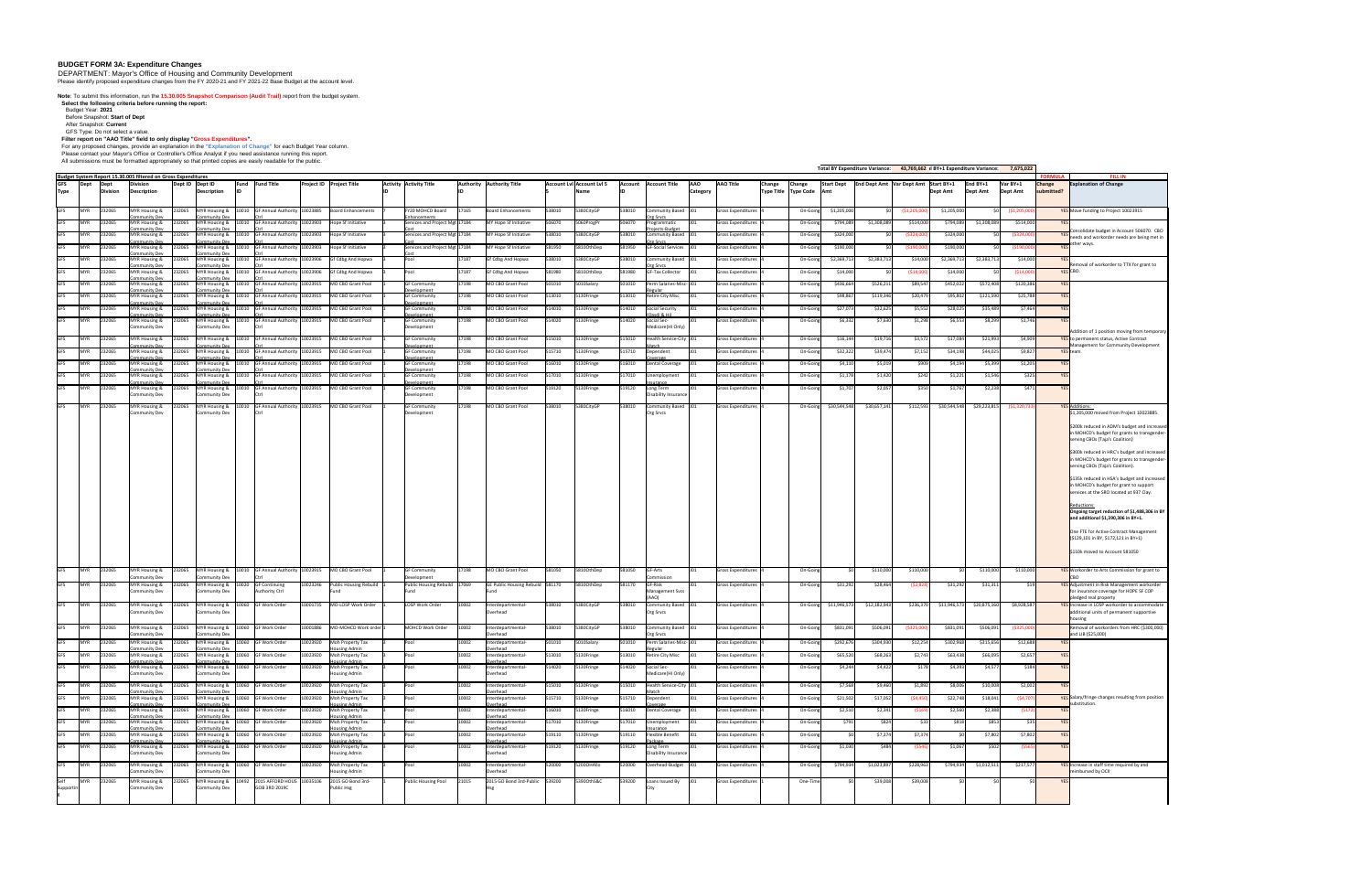## **BUDGET FORM 3A: Expenditure Changes**

DEPARTMENT: Mayor's Office of Housing and Community Development

Please identify proposed expenditure changes from the FY 2020-21 and FY 2021-22 Base Budget at the account level.

**Note**: To submit this information, run the **15.30.005 Snapshot Comparison (Audit Trail)** report from the budget system. **Select the following criteria before running the report:** 

Budget Year: **2021**

Before Snapshot: **Start of Dept**

After Snapshot: **Current** GFS Type: Do not select a value.

**Filter report on "AAO Title" field to only display "Gross Expenditures".** 

For any proposed changes, provide an explanation in the **"Explanation of Change"** for each Budget Year column.

Please contact your Mayor's Office or Controller's Office Analyst if you need assistance running this report.

All submissions must be formatted appropriately so that printed copies are easily readable for the public.

|                           |                            |                          |                                                                                                        |                 |                                       |                                                                     |          |                                                                           |                                               |       |                                                                                                                                                          |        |                                          |                |                                                                                       |                               |                           |                                               |               |                         |              | Total BY Expenditure Variance: 43,769,662 al BY+1 Expenditure Variance: 7,675,022 |              |                               |                            |                                               |                                                                                                                                  |
|---------------------------|----------------------------|--------------------------|--------------------------------------------------------------------------------------------------------|-----------------|---------------------------------------|---------------------------------------------------------------------|----------|---------------------------------------------------------------------------|-----------------------------------------------|-------|----------------------------------------------------------------------------------------------------------------------------------------------------------|--------|------------------------------------------|----------------|---------------------------------------------------------------------------------------|-------------------------------|---------------------------|-----------------------------------------------|---------------|-------------------------|--------------|-----------------------------------------------------------------------------------|--------------|-------------------------------|----------------------------|-----------------------------------------------|----------------------------------------------------------------------------------------------------------------------------------|
| <b>GFS</b><br><b>Type</b> | Dept                       | Dept<br><b>IDivision</b> | Budget System Report 15.30.005 filtered on Gross Expenditures<br><b>Division</b><br><b>Description</b> | Dept ID Dept ID | Description                           | <b>Fund</b> Fund Title                                              |          | <b>Project ID Project Title</b>                                           | <b>Activity Activity Title</b>                |       | <b>Authority Authority Title</b>                                                                                                                         |        | Account Lyl Account Lyl 5<br><b>Name</b> | <b>Account</b> | <b>Account Title</b>                                                                  | <b>AAO</b><br><b>Category</b> | <b>AAO Title</b>          | <b>Change</b><br>Type Title   Type Code   Amt | <b>Change</b> | <b>Start Dept</b>       |              | <b>End Dept Amt Var Dept Amt Start BY+1</b>                                       | Dept Amt     | $End BY+1$<br><b>Dept Amt</b> | Var BY+1<br>Dept Amt       | <b>FORMULA</b><br><b>Change</b><br>submitted? | <b>FILL IN</b><br><b>Explanation of Change</b>                                                                                   |
|                           | <b>MYR</b>                 | 232065                   | MYR Housing &                                                                                          | 232065          |                                       | MYR Housing &  10010 GF Annual Authority 10023885                   |          | <b>Board Enhancements</b>                                                 | FY20 MOHCD Board                              | 17165 | <b>Board Enhancements</b>                                                                                                                                | 538010 | 5380CityGP                               | 538010         |                                                                                       |                               | Gross Expenditures        |                                               | On-Going      | \$1,205,000             |              |                                                                                   | \$1,205,000  |                               |                            |                                               | YES Move funding to Project 10023915                                                                                             |
| <b>GFS</b><br><b>GFS</b>  | MYR                        | 232065                   | Community Dev<br>MYR Housing &                                                                         | 232065          | Community Dev                         | MYR Housing &  10010 GF Annual Authority 10023903                   |          | Hope Sf Initiative                                                        | Enhancement<br>Services and Project Mgt 17184 |       | MY Hope Sf Initiative                                                                                                                                    | 506070 | 5060ProgPr                               | 506070         | Community Based 101<br><u> Org Srvcs</u><br>Programmatic                              |                               | <b>Gross Expenditures</b> |                                               | On-Going      | \$794,089               | \$1,308,089  | (\$1,205,00<br>\$514,000                                                          | \$794,089    | \$1,308,089                   | (\$1,205,000)<br>\$514,000 |                                               |                                                                                                                                  |
| <b>GFS</b>                | <b>MYR</b>                 | 232065                   | ommunitv Dev<br>MYR Housing &                                                                          | 232065          | ommunitv De <sup>,</sup>              | MYR Housing & 10010 GF Annual Authority 10023903                    |          | Hope Sf Initiative                                                        | Services and Project Mgt 17184                |       | MY Hope Sf Initiative                                                                                                                                    | 538010 | 5380CityGP                               | 538010         | Projects-Budget<br>Community Based 101                                                |                               | Gross Expenditures        |                                               | On-Going      | \$324,000               |              | (S324.00                                                                          | \$324,000    |                               | (\$324,000)                |                                               | Consolidate budget in Account 506070. CBO                                                                                        |
| <b>GFS</b>                | <b>MYR</b>                 | 232065                   | ommunitv Dev.<br><b>MYR Housing &amp;</b>                                                              | 232065          | Community Dev                         | MYR Housing & 10010 GF Annual Authority 10023903                    |          | Hope Sf Initiative                                                        | Services and Project Mgt 17184                |       | MY Hope Sf Initiative                                                                                                                                    | 581950 | 5810OthDep                               | 581950         | )rg Srvcs<br>GF-Social Services 101                                                   |                               | <b>Gross Expenditures</b> |                                               | On-Going      | \$190,000               |              | S190.00)                                                                          | \$190,000    |                               | ( \$190,000]               |                                               | needs and workorder needs are being met in<br>other ways                                                                         |
| <b>GFS</b>                | <b>MYR</b>                 | 232065                   | :ommunity Dev<br>MYR Housing &                                                                         | 232065          | `ommunity De                          | MYR Housing & 10010 GF Annual Authority 10023906                    |          | Gf Cdbg And Hopwa                                                         | Pool                                          | 17187 | Gf Cdbg And Hopwa                                                                                                                                        | 538010 | 5380CityGP                               | 538010         | Community Based 101                                                                   |                               | <b>Gross Expenditures</b> |                                               | On-Going      | \$2,369,713             | \$2,383,713  | \$14,000                                                                          | \$2,369,713  | \$2,383,713                   | \$14,000                   |                                               |                                                                                                                                  |
| <b>GFS</b>                | <b>MYR</b>                 | 232065                   | :ommunity Dev<br><b>MYR Housing &amp;</b>                                                              | 232065          | Community Dev                         | MYR Housing & 10010 GF Annual Authority 10023906                    |          | Gf Cdbg And Hopwa                                                         | Pool                                          | 17187 | Gf Cdbg And Hopwa                                                                                                                                        | 581980 | 5810OthDep                               | 581980         | )rg Srvcs<br><b>GF-Tax Collector</b>                                                  |                               | <b>Gross Expenditures</b> |                                               | On-Going      | \$14,000                |              | S14.000                                                                           | \$14,000     |                               | (\$14,000)                 |                                               | Removal of workorder to TTX for grant to<br>YES CBO.                                                                             |
| <b>GFS</b>                | <b>MYR</b>                 | 232065                   | ommunity Devi<br>MYR Housing &                                                                         | 232065          | Community Dev                         | MYR Housing & 10010 GF Annual Authority 10023915                    |          | MO CBO Grant Pool                                                         | <b>GF Community</b>                           | 17198 | MO CBO Grant Pool                                                                                                                                        | 501010 | 5010Salary                               | 501010         | Perm Salaries-Misc- J01                                                               |                               | <b>Gross Expenditures</b> |                                               | On-Going      | \$436,664               | \$526,211    | \$89,547                                                                          | \$452,022    | \$572,408                     | \$120,386                  |                                               |                                                                                                                                  |
| <b>GFS</b>                | <b>MYR</b>                 | 232065                   | ommunitv Dev<br>MYR Housing &                                                                          | 232065          | ommunity Dev                          | MYR Housing & 10010 GF Annual Authority 10023915                    |          | MO CBO Grant Pool                                                         | Development<br><b>GF Community</b>            | 17198 | MO CBO Grant Pool                                                                                                                                        | 513010 | 5130Fringe                               | 513010         | <b>Retire City Misc</b>                                                               |                               | <b>Gross Expenditures</b> |                                               | On-Going      | \$98,867                | \$119,346    | \$20,479                                                                          | \$95,802     | \$121,590                     | \$25,788                   |                                               |                                                                                                                                  |
| <b>GFS</b>                | <b>IMYR</b>                | 232065                   | ommunity Dev<br>MYR Housing &                                                                          | 232065          | ວmmunity Dev                          | MYR Housing & 10010 GF Annual Authority 10023915                    |          | MO CBO Grant Pool                                                         | <b>Development</b><br><b>GF Community</b>     | 17198 | MO CBO Grant Pool                                                                                                                                        | 514010 | 5130Fringe                               | 514010         | Social Security                                                                       |                               | <b>Gross Expenditures</b> |                                               | On-Going      | \$27,073                | \$32,625     | \$5,552                                                                           | \$28,025     | \$35,489                      | \$7,464                    |                                               |                                                                                                                                  |
| <b>GFS</b>                | <b>MYR</b>                 | 232065                   | ommunitv Dev<br>MYR Housing &                                                                          | 232065          | ommunity Dev                          | MYR Housing & 10010 GF Annual Authority 10023915                    |          | MO CBO Grant Pool                                                         | Development<br><b>GF Community</b>            | 17198 | MO CBO Grant Pool                                                                                                                                        | 514020 | 5130Fringe                               | 514020         | Oasdi & Hi)<br>Social Sec-                                                            |                               | <b>Gross Expenditures</b> |                                               | On-Going      | \$6,332                 | \$7,630      | \$1,298                                                                           | \$6,553      | \$8,299                       | \$1,746                    |                                               |                                                                                                                                  |
| <b>GFS</b>                | <b>MYR</b>                 | 232065                   | Community Dev<br><b>MYR Housing &amp;</b>                                                              | 232065          | Community Dev                         | MYR Housing &  10010 GF Annual Authority 10023915                   |          | MO CBO Grant Pool                                                         | Development<br><b>GF Community</b>            | 17198 | MO CBO Grant Pool                                                                                                                                        | 515010 | 5130Fringe                               | 515010         | Medicare(HI Only)<br>Health Service-City 101                                          |                               | <b>Gross Expenditures</b> |                                               | On-Going      | \$16,144                | \$19,716     | \$3,572                                                                           | \$17,084     | \$21,993                      | \$4,909                    |                                               | Addition of 1 position moving from temporary<br><b>YES</b> to permanent status, Active Contract                                  |
| <b>GFS</b>                | <b>IMYR</b>                | 232065                   | ommunitv Dev<br><b>MYR Housing &amp;</b>                                                               | 232065          | ommunity Dev                          | MYR Housing & 10010 GF Annual Authority 10023915                    |          | MO CBO Grant Pool                                                         | <b>Development</b><br><b>GF Community</b>     | 17198 | MO CBO Grant Pool                                                                                                                                        | 515710 | 5130Fringe                               | 515710         | Dependent                                                                             |                               | Gross Expenditures        |                                               | On-Going      | \$32,322                | \$39,474     | \$7,152                                                                           | \$34,198     | \$44,025                      | \$9,827                    |                                               | Management for Community Development<br>YES team.                                                                                |
| GFS                       | <b>MYR</b>                 | 232065                   | ommunity Devi<br>MYR Housing &                                                                         | 232065          | ommunity Der                          | MYR Housing & 10010 GF Annual Authority 10023915                    |          | MO CBO Grant Pool                                                         | <b>Development</b><br><b>GF Community</b>     | 17198 | MO CBO Grant Pool                                                                                                                                        | 516010 | 5130Fringe                               | 516010         | <b>OVA</b> rage<br>Dental Coverage                                                    |                               | Gross Expenditures        |                                               | On-Going      | \$4,110                 | \$5,019      | \$909                                                                             | \$4,194      | \$5,399                       | \$1,205                    |                                               |                                                                                                                                  |
| <b>GFS</b>                | <b>MYR</b>                 | 232065                   | ommunity Dev.<br><b>MYR Housing &amp;</b>                                                              | 232065          | ommunity De                           | MYR Housing & 10010 GF Annual Authority 10023915                    |          | MO CBO Grant Pool                                                         | <b>Development</b><br><b>GF Community</b>     | 17198 | MO CBO Grant Pool                                                                                                                                        | 517010 | 5130Fringe                               | 517010         | Unemployment                                                                          |                               | <b>Gross Expenditures</b> |                                               | On-Going      | \$1,178                 | \$1,420      | \$242                                                                             | \$1,221      | \$1,546                       | \$325                      |                                               |                                                                                                                                  |
| <b>GFS</b>                | <b>MYR</b>                 | 232065                   | `ommunity De<br>MYR Housing &                                                                          | 232065          | ommunity De                           | MYR Housing &  10010 GF Annual Authority 10023915                   |          | MO CBO Grant Pool                                                         | Development<br><b>GF Community</b>            | 17198 | MO CBO Grant Pool                                                                                                                                        | 519120 | 5130Fringe                               | 519120         | surance<br>Long Term                                                                  |                               | <b>Gross Expenditures</b> |                                               | On-Going      | \$1,707                 | \$2,057      | \$350                                                                             | \$1,767      | \$2,238                       | \$471                      |                                               |                                                                                                                                  |
|                           | GFS MYR 232065             |                          | Community Dev<br>MYR Housing &                                                                         | 232065          | Community Dev                         |                                                                     |          | MYR Housing & 10010 GF Annual Authority 10023915 MO CBO Grant Pool        | Development<br><b>GF Community</b>            | 17198 | MO CBO Grant Pool                                                                                                                                        | 538010 | 5380CityGP                               | 538010         | Disability Insurance I<br>Community Based 101                                         |                               | Gross Expenditures 4      |                                               |               | $On-Going$ \$30,544,548 | \$30,657,141 | \$112,593                                                                         | \$30,544,548 |                               | $$29,223,815$ $$1,320,733$ |                                               | <b>YES</b> Additions:                                                                                                            |
|                           |                            |                          | <b>Community Dev</b>                                                                                   |                 | <b>Community Dev</b>                  |                                                                     |          |                                                                           | Development                                   |       |                                                                                                                                                          |        |                                          |                | <b>Org Srvcs</b>                                                                      |                               |                           |                                               |               |                         |              |                                                                                   |              |                               |                            |                                               | \$1,205,000 moved from Project 10023885.                                                                                         |
|                           |                            |                          |                                                                                                        |                 |                                       |                                                                     |          |                                                                           |                                               |       |                                                                                                                                                          |        |                                          |                |                                                                                       |                               |                           |                                               |               |                         |              |                                                                                   |              |                               |                            |                                               | \$200k reduced in ADM's budget and increased<br>in MOHCD's budget for grants to transgender-<br>serving CBOs (Taja's Coalition)  |
|                           |                            |                          |                                                                                                        |                 |                                       |                                                                     |          |                                                                           |                                               |       |                                                                                                                                                          |        |                                          |                |                                                                                       |                               |                           |                                               |               |                         |              |                                                                                   |              |                               |                            |                                               | \$300k reduced in HRC's budget and increased<br>in MOHCD's budget for grants to transgender-<br>serving CBOs (Taja's Coalition). |
|                           |                            |                          |                                                                                                        |                 |                                       |                                                                     |          |                                                                           |                                               |       |                                                                                                                                                          |        |                                          |                |                                                                                       |                               |                           |                                               |               |                         |              |                                                                                   |              |                               |                            |                                               | \$135k reduced in HSA's budget and increased<br>in MOHCD's budget for grant to support                                           |
|                           |                            |                          |                                                                                                        |                 |                                       |                                                                     |          |                                                                           |                                               |       |                                                                                                                                                          |        |                                          |                |                                                                                       |                               |                           |                                               |               |                         |              |                                                                                   |              |                               |                            |                                               | services at the SRO located at 937 Clay.<br>Reductions:<br>Ongoing target reduction of \$1,488,306 in BY                         |
|                           |                            |                          |                                                                                                        |                 |                                       |                                                                     |          |                                                                           |                                               |       |                                                                                                                                                          |        |                                          |                |                                                                                       |                               |                           |                                               |               |                         |              |                                                                                   |              |                               |                            |                                               | and additional $$1,390,306$ in BY+1.<br>One FTE for Active Contract Management                                                   |
|                           |                            |                          |                                                                                                        |                 |                                       |                                                                     |          |                                                                           |                                               |       |                                                                                                                                                          |        |                                          |                |                                                                                       |                               |                           |                                               |               |                         |              |                                                                                   |              |                               |                            |                                               | (\$129,101 in BY, \$172,121 in BY+1)<br>\$110k moved to Account 581050                                                           |
| <b>GFS</b>                | $\sqrt{\text{MYR}}$ 232065 |                          | MYR Housing &                                                                                          |                 |                                       | 232065 MYR Housing & $10010$ GF Annual Authority $10023915$         |          | MO CBO Grant Pool                                                         | <b>GF Community</b>                           | 17198 | MO CBO Grant Pool                                                                                                                                        | 581050 | 5810OthDep                               | 581050         | GF-Arts                                                                               |                               | <b>Gross Expenditures</b> |                                               | On-Going      |                         | \$110,000    | \$110,000                                                                         |              | \$110,000                     | \$110,000                  |                                               | <b>YES</b> Workorder to Arts Commission for grant to                                                                             |
| <b>GFS</b>                | MYR 232065                 |                          | <b>Community Dev</b><br>MYR Housing &                                                                  | 232065          | <b>Community Dev</b>                  | MYR Housing & 10020 GF Continuing                                   | 10023246 | <b>Public Housing Rebuild</b>                                             | Development<br>Public Housing Rebuild 17069   |       | GE Public Housing Rebuild 581170                                                                                                                         |        | 5810OthDep                               | 581170         | Commission<br>GF-Risk                                                                 |                               | Gross Expenditures        |                                               | On-Going      | \$31,292                | \$28,464     | (\$2,828)                                                                         | \$31,292     | \$31,311                      | S <sub>19</sub>            |                                               | YES Adjustment in Risk Management workorder                                                                                      |
|                           | GFS MYR 232065             |                          | <b>Community Dev</b><br>MYR Housing &                                                                  |                 | Community Dev                         | <b>Authority Ctrl</b><br>232065 MYR Housing & $10060$ GF Work Order |          | 10001735 MO-LOSP Work Order                                               | LOSP Work Order                               | 10002 | Interdepartmental-                                                                                                                                       | 538010 | 5380CityGP                               | 538010         | <b>Management Svcs</b><br>Community Based J01                                         |                               | Gross Expenditures        |                                               |               | On-Going \$11,946,573   | \$12,182,943 | \$236,370                                                                         | \$11,946,573 | \$20,875,160                  | \$8,928,587                |                                               | for insurance coverage for HOPE SF COP<br>pledged real property<br>YES Increase in LOSP workorder to accommodate                 |
|                           |                            |                          | <b>Community Dev</b>                                                                                   |                 | <b>Community Dev</b>                  |                                                                     |          |                                                                           |                                               |       | Overhead                                                                                                                                                 |        |                                          |                | <b>Org Srvcs</b>                                                                      |                               |                           |                                               |               |                         |              |                                                                                   |              |                               |                            |                                               | additional units of permanent supportive<br>housing                                                                              |
|                           |                            |                          | <b>Community Dev</b>                                                                                   |                 | Community Dev                         |                                                                     |          |                                                                           |                                               |       | GFS MYR 232065 MYR Housing & 232065 MYR Housing & 10060 GF Work Order 10001886 MO-MOHCD Work order MOHCD Work Order 10002 Interdepartmental-<br>Overhead |        |                                          |                | 538010 5380CityGP 538010 Community Based J01 Gross Expenditures 4<br><b>Org Srvcs</b> |                               |                           |                                               |               |                         |              | 0n-Going \$831,091 \$506,091 (\$325,000) \$831,091 \$506,091 (\$325,000)          |              |                               |                            |                                               | Removal of workorders from HRC (\$300,000)<br>and LIB (\$25,000)                                                                 |
| <b>GFS</b>                | <b>MYR</b>                 | 232065                   | <b>MYR Housing &amp;</b><br>ommunity Dev                                                               |                 | Community Dev                         | 232065 MYR Housing & $\vert$ 10060 GF Work Order                    |          | 10023920 Moh Property Tax<br><b>Housing Admin</b>                         |                                               | 10002 | Interdepartmental-<br>Overhead                                                                                                                           | 501010 | 5010Salary                               | 501010         | Perm Salaries-Misc- J01                                                               |                               | <b>Gross Expenditures</b> |                                               | On-Going      | \$292,676               | \$304,930    | \$12,254                                                                          | \$302,968    | \$315,656                     | \$12,688                   |                                               |                                                                                                                                  |
| <b>GFS</b>                | MYR 232065                 |                          | <b>MYR Housing &amp;</b><br>Community Dev                                                              |                 | Community Dev                         | $232065$ MYR Housing & $10060$ GF Work Order                        |          | 10023920 Moh Property Tax<br><b>Housing Admin</b>                         | Pool                                          | 10002 | Interdepartmental-<br>Overhead                                                                                                                           | 513010 | 5130Fringe                               | 513010         | <b>Retire City Misc</b>                                                               |                               | <b>Gross Expenditures</b> |                                               | On-Going      | \$65,520                | \$68,263     | \$2,743                                                                           | \$63,438     | \$66,095                      | \$2,657                    |                                               |                                                                                                                                  |
|                           | GFS MYR 232065             |                          | <b>MYR Housing &amp;</b><br>Community Dev                                                              | 232065          | <b>Community Dev</b>                  | MYR Housing & 10060 GF Work Order                                   |          | 10023920 Moh Property Tax<br><b>Housing Admin</b>                         | Pool                                          | 10002 | Interdepartmental-<br>Overhead                                                                                                                           | 514020 | 5130Fringe                               | 514020         | Social Sec-<br>Medicare(HI Only)                                                      |                               | <b>Gross Expenditures</b> |                                               | On-Going      | \$4,244                 | \$4,422      | \$178                                                                             | \$4,393      | \$4,577                       | \$184                      |                                               |                                                                                                                                  |
| <b>GFS</b>                | <b>MYR</b>                 | 232065                   | MYR Housing &                                                                                          | 232065          |                                       | MYR Housing & 10060 GF Work Order                                   | 10023920 | Moh Property Tax                                                          | <b>Pool</b>                                   | 10002 | Interdepartmental-                                                                                                                                       | 515010 | 5130Fringe                               | 515010         | Health Service-City 101                                                               |                               | <b>Gross Expenditures</b> |                                               | On-Going      | \$7,568                 | \$9,460      | \$1,892                                                                           | \$8,006      | \$10,008                      | \$2,002                    |                                               |                                                                                                                                  |
| <b>GFS</b>                | MYR 232065                 |                          | Community Dev<br><b>MYR Housing &amp;</b>                                                              | 232065          | Community Dev                         | MYR Housing & 10060 GF Work Order                                   |          | <b>Housing Admin</b><br>10023920 Moh Property Tax                         | Pool                                          | 10002 | Overhead<br>Interdepartmental-                                                                                                                           | 515710 | 5130Fringe                               | 515710         | Match<br>Dependent                                                                    |                               | Gross Expenditures        |                                               | On-Going      | \$21,502                | \$17,052     | (\$4,450)                                                                         | \$22,748     | \$18,041                      | ( \$4,707)                 |                                               | <b>YES</b> Salary/fringe changes resulting from position                                                                         |
| <b>GFS</b>                | MYR 232065                 |                          | Community Dev<br>MYR Housing &                                                                         | 232065          | Community Dev                         | MYR Housing & 10060 GF Work Order                                   |          | <b>Housing Admin</b><br>10023920 Moh Property Tax                         | Pool                                          | 10002 | Overhead<br>Interdepartmental-                                                                                                                           | 516010 | 5130Fringe                               | 516010         | Coverage<br><b>Dental Coverage</b>                                                    |                               | Gross Expenditures        |                                               | On-Going      | \$2,510                 | \$2,341      | (\$169)                                                                           | \$2,560      | \$2,388                       | (\$172)                    |                                               | substitution.                                                                                                                    |
|                           | GFS MYR 232065             |                          | Community Dev<br>MYR Housing &                                                                         | 232065          | Community Dev                         | MYR Housing & 10060 GF Work Order                                   |          | <b>Housing Admin</b><br>10023920 Moh Property Tax                         | Pool                                          | 10002 | Overhead<br>Interdepartmental-                                                                                                                           | 517010 | 5130Fringe                               | 517010         | Unemployment                                                                          |                               | Gross Expenditures        |                                               | On-Going      | \$791                   | \$824        | \$33                                                                              | \$818        | \$853                         | \$35                       |                                               |                                                                                                                                  |
| <b>GFS</b>                | MYR 232065                 |                          | Community Dev<br>MYR Housing &                                                                         | 232065          | Community Dev                         | MYR Housing & 10060 GF Work Order                                   |          | <b>Housing Admin</b><br>10023920 Moh Property Tax<br><b>Housing Admin</b> | Pool                                          | 10002 | Overhead<br>Interdepartmental-<br>Overhead                                                                                                               | 519110 | 5130Fringe                               | 519110         | nsurance<br><b>Flexible Benefit</b><br>Package                                        |                               | Gross Expenditures 4      |                                               | On-Going      |                         | \$7,374      | \$7,374                                                                           |              | \$7,802                       | \$7,802                    |                                               |                                                                                                                                  |
|                           | GFS MYR 232065             |                          | Community Dev<br><b>MYR Housing &amp;</b><br><b>Community Dev</b>                                      | 232065          | Community Dev<br><b>Community Dev</b> | MYR Housing & 10060 GF Work Order                                   | 10023920 | Moh Property Tax<br><b>Housing Admin</b>                                  | Pool                                          | 10002 | Interdepartmental-<br>Overhead                                                                                                                           | 519120 | 5130Fringe                               | 519120         | Long Term<br>Disability Insurance                                                     |                               | Gross Expenditures        |                                               | On-Going      | \$1,030                 | \$484        | (\$546)                                                                           | \$1,067      | \$502                         | $($ \$565) $ $             |                                               |                                                                                                                                  |
|                           | GFS MYR 232065             |                          | MYR Housing &                                                                                          | 232065          |                                       | MYR Housing & 10060 GF Work Order                                   | 10023920 | Moh Property Tax                                                          | Pool                                          | 10002 | Interdepartmental-                                                                                                                                       | 520000 | 5200OHAllo                               | 520000         | Overhead-Budget J01                                                                   |                               | <b>Gross Expenditures</b> |                                               | On-Going      | \$794,934               | \$1,023,897  | \$228,963                                                                         | \$794,934    | \$1,012,511                   | \$217,577                  |                                               | YES Increase in staff time required by and                                                                                       |
|                           | Self MYR 232065            |                          | Community Dev<br>MYR Housing &                                                                         | 232065          | <b>Community Dev</b>                  | MYR Housing &   10492   2015 AFFORD HOUS   10035106                 |          | <b>Housing Admin</b><br>2015 GO Bond 3rd-                                 | Public Housing Pool                           | 21015 | Overhead<br>2015 GO Bond 3rd-Public 539200                                                                                                               |        | 53900thS&C                               | 539200         | Loans Issued By                                                                       |                               | Gross Expenditures        |                                               | One-Time      | ∖^                      | \$39,008     | \$39,008                                                                          | ∹≺∩I         |                               |                            |                                               | reimbursed by OCII                                                                                                               |
| <b>Supportin</b>          |                            |                          | <b>Community Dev</b>                                                                                   |                 | Community Dev                         | GOB 3RD 2019C                                                       |          | Public Hsg                                                                |                                               |       |                                                                                                                                                          |        |                                          |                |                                                                                       |                               |                           |                                               |               |                         |              |                                                                                   |              |                               |                            |                                               |                                                                                                                                  |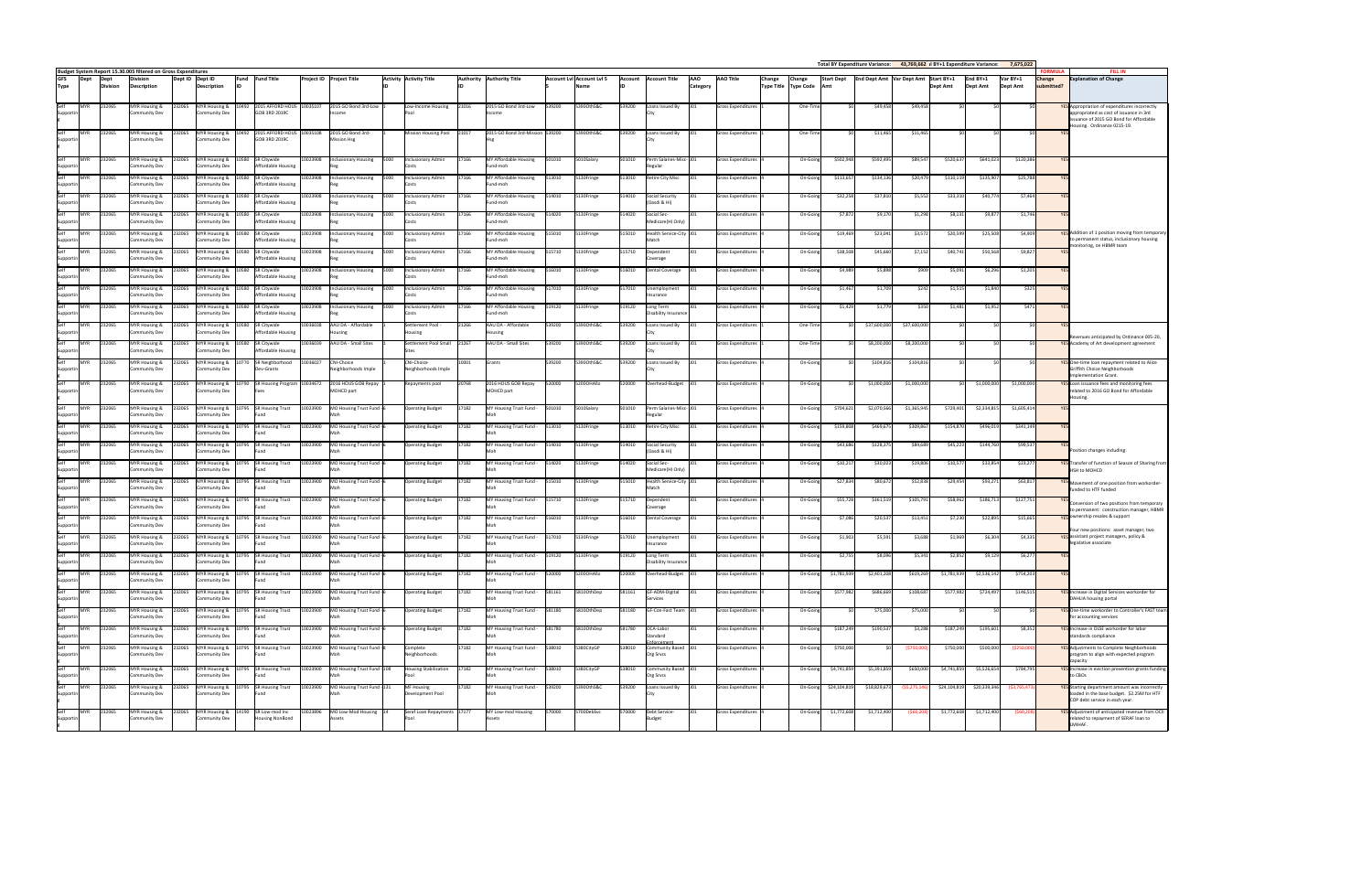|                                                                      |                  | Budget System Report 15.30.005 filtered on Gross Expenditures |                  |                                                             |                                                                                      |                      |                                                                   |              |                                                    |                |                                                            |                  |                           |                  |                                                    |                               |                                                        |                                                                |                        |                         |                                          |                        |                             |                          | <b>FORMULA</b>              | <b>FILL IN</b>                                                                              |
|----------------------------------------------------------------------|------------------|---------------------------------------------------------------|------------------|-------------------------------------------------------------|--------------------------------------------------------------------------------------|----------------------|-------------------------------------------------------------------|--------------|----------------------------------------------------|----------------|------------------------------------------------------------|------------------|---------------------------|------------------|----------------------------------------------------|-------------------------------|--------------------------------------------------------|----------------------------------------------------------------|------------------------|-------------------------|------------------------------------------|------------------------|-----------------------------|--------------------------|-----------------------------|---------------------------------------------------------------------------------------------|
| <b>GFS</b><br><b>Dept</b><br><b>Type</b>                             | <b>Division</b>  | <b>Division</b><br>Description                                | Dept ID Dept ID  | <b>Description</b>                                          | Fund Fund Title                                                                      |                      | <b>Project ID Project Title</b>                                   |              | <b>Activity Activity Title</b>                     |                | Authority Authority Title                                  |                  | Account Lvl Account Lvl 5 | <b>Account</b>   | <b>Account Title</b>                               | <b>AAO</b><br><b>Category</b> | <b>AAO Title</b>                                       | <b>Change</b><br><b>Change</b><br>Type Title   Type Code   Amt | <b>Start Dept</b>      |                         | End Dept Amt   Var Dept Amt   Start BY+1 | Dept Amt               | End BY+1<br><b>Dept Amt</b> | Var BY+1<br>Dept Amt     | <b>Change</b><br>submitted? | <b>Explanation of Change</b>                                                                |
| Self<br><b>MYR</b><br>Supportin                                      | 232065           | <b>MYR Housing &amp;</b><br><b>Community Dev</b>              | 232065           | MYR Housing & 10492<br><b>Community Dev</b>                 | 2015 AFFORD HOUS 10035107<br>GOB 3RD 2019C                                           |                      | 2015 GO Bond 3rd-Low<br>Income                                    |              | Low-Income Housing<br><b>Pool</b>                  | 21016          | 2015 GO Bond 3rd-Low<br>Income                             | 539200           | 53900thS&C                | 539200           | oans Issued By                                     | 1101                          | <b>Gross Expenditures</b>                              | One-Time                                                       |                        | \$49,458                | \$49,458                                 |                        |                             |                          |                             | <b>YES</b> Appropriation of expenditu<br>appropriated as cost of issu                       |
| Self<br><b>MYR</b>                                                   | 232065           | MYR Housing &                                                 | 232065           | MYR Housing & 10492                                         | 2015 AFFORD HOUS 10035108                                                            |                      | 2015 GO Bond 3rd-                                                 |              | Mission Housing Pool 21017                         |                | 2015 GO Bond 3rd-Mission 539200                            |                  | 53900thS&C                | 539200           | Loans Issued By                                    | $\bigcup$                     | <b>Gross Expenditures</b>                              | One-Time                                                       |                        | \$11,465                | \$11,465                                 |                        |                             |                          |                             | issuance of 2015 GO Bond<br>Housing. Ordinance 0215-3                                       |
| Supportin                                                            |                  | <b>Community Dev</b>                                          |                  | <b>Community Dev</b>                                        | GOB 3RD 2019C                                                                        |                      | <b>Mission Hsg</b>                                                |              |                                                    |                |                                                            |                  |                           |                  |                                                    |                               |                                                        |                                                                |                        |                         |                                          |                        |                             |                          |                             |                                                                                             |
| Self<br><b>MYR</b><br>Supportin                                      | 232065           | MYR Housing &<br>Community Dev                                | 232065           | Community Dev                                               | MYR Housing & 10580 SR Citywide<br>Affordable Housing                                | 10023908             | <b>Inclusionary Housing</b><br>Reg                                | 5000         | Inclusionary Admin<br><b>Costs</b>                 | 17166          | MY Affordable Housing<br>Fund-moh                          | 501010           | 5010Salary                | 501010           | Perm Salaries-Misc- J01<br>Regular                 |                               | <b>Gross Expenditures</b>                              | On-Going                                                       | \$502,948              | \$592,495               | \$89,547                                 | \$520,637              | \$641,023                   | \$120,386                | <b>VFS</b>                  |                                                                                             |
| Self<br><b>MYR</b><br><b>Supportin</b><br>$\overline{\mathsf{Self}}$ | 232065           | MYR Housing &<br><b>Community Dev</b>                         | 232065           | Community Dev                                               | MYR Housing & 10580 SR Citywide<br>Affordable Housing                                | 10023908             | <b>Inclusionary Housing</b>                                       | 5000         | Inclusionary Admin                                 | 17166          | MY Affordable Housing<br>Fund-moh                          | 513010           | 5130Fringe                | 513010           | <b>Retire City Misc</b>                            |                               | <b>Gross Expenditures</b>                              | On-Going                                                       | \$113,657              | \$134,136               | \$20,479                                 | \$110,119              | \$135,907<br>\$40,774       | \$25,788                 |                             |                                                                                             |
| <b>MYR</b><br><b>Supportin</b><br>Self<br><b>MYR</b>                 | 232065<br>232065 | MYR Housing &<br><b>Community Dev</b><br>MYR Housing &        | 232065<br>232065 | MYR Housing & 10580<br>Community Dev<br>MYR Housing & 10580 | <b>SR Citywide</b><br>Affordable Housing<br>SR Citywide                              | 10023908<br>10023908 | <b>Inclusionary Housing</b><br>Reg<br><b>Inclusionary Housing</b> | 5000<br>5000 | Inclusionary Admin<br>Inclusionary Admin           | 17166<br>17166 | MY Affordable Housing<br>Fund-moh<br>MY Affordable Housing | 514010<br>514020 | 5130Fringe<br>5130Fringe  | 514010<br>514020 | Social Security<br>(Oasdi & Hi)<br>Social Sec-     |                               | <b>Gross Expenditures</b><br><b>Gross Expenditures</b> | On-Going<br>On-Going                                           | \$32,258<br>\$7,872    | \$37,810<br>\$9,170     | \$5,552<br>\$1,298                       | \$33,310<br>\$8,131    | \$9,877                     | \$7,464<br>\$1,746       |                             |                                                                                             |
| Supportin<br>Self<br><b>MYR</b>                                      | 232065           | <b>Community Dev</b><br>MYR Housing &                         | 232065           | Community Dev                                               | Affordable Housing<br>MYR Housing & 10580 SR Citywide                                | 10023908             | <b>Inclusionary Housing</b>                                       | 5000         | Inclusionary Admin                                 | 17166          | Fund-moh<br>MY Affordable Housing                          | 515010           | 5130Fringe                | 515010           | Medicare(HI Only)<br>Health Service-City J01       |                               | Gross Expenditures                                     | On-Going                                                       | \$19,469               | \$23,041                | \$3,572                                  | \$20,599               | \$25,508                    | \$4,909                  |                             | YES Addition of 1 position movi                                                             |
| <b>Supportin</b><br>$\frac{1}{\mathsf{Self}}$<br><b>MYR</b>          | 232065           | <b>Community Dev</b><br>MYR Housing &                         | 232065           | Community Dev                                               | Affordable Housing<br>MYR Housing & 10580 SR Citywide                                | 10023908             | Inclusionary Housing                                              | 5000         | Inclusionary Admin                                 | 17166          | Fund-moh<br>MY Affordable Housing                          | 515710           | 5130Fringe                | 515710           | Match<br>Dependent                                 |                               | <b>Gross Expenditures</b>                              | On-Going                                                       | \$38,508               | \$45,660                | \$7,152                                  | \$40,741               | \$50,568                    | \$9,827                  |                             | to permanent status, inclus<br>monitoring, on HBMR team                                     |
| <b>Supportin</b><br>Self<br><b>MYR</b>                               | 232065           | <b>Community Dev</b><br>MYR Housing &                         | 232065           | <b>Community Dev</b>                                        | Affordable Housing<br>MYR Housing & 10580 SR Citywide                                | 10023908             | Reg<br><b>Inclusionary Housing</b>                                | 5000         | Inclusionary Admin                                 | 17166          | Fund-moh<br>MY Affordable Housing                          | 516010           | 5130Fringe                | 516010           | Coverage<br><b>Dental Coverage</b>                 |                               | <b>Gross Expenditures</b>                              | On-Going                                                       | \$4,989                | \$5,898                 | \$909                                    | \$5,091                | \$6,296                     | \$1,205                  |                             |                                                                                             |
| Supportin<br>Self<br><b>MYR</b>                                      | 232065           | <b>Community Dev</b><br>MYR Housing &                         | 232065           | <b>Community Dev</b>                                        | Affordable Housing<br>MYR Housing & 10580 SR Citywide                                |                      | Reg<br>10023908 Inclusionary Housing                              | 5000         | <b>Inclusionary Admin</b>                          | 17166          | Fund-moh<br>MY Affordable Housing                          | 517010           | 5130Fringe                | 517010           | Jnemployment                                       |                               | <b>Gross Expenditures</b>                              | On-Going                                                       | \$1,467                | \$1,709                 | \$242                                    | \$1,515                | \$1,840                     | \$325                    |                             |                                                                                             |
| Supportin<br><b>Self</b><br><b>MYR</b>                               | 232065           | <b>Community Dev</b><br><b>MYR Housing &amp;</b>              | 232065           | Community Dev                                               | Affordable Housing<br>MYR Housing & 10580 SR Citywide                                | 10023908             | Reg<br><b>Inclusionary Housing</b>                                | 5000         | Inclusionary Admin                                 | 17166          | Fund-moh<br>MY Affordable Housing                          | 519120           | 5130Fringe                | 519120           | Insurance<br>Long Term                             |                               | <b>Gross Expenditures</b>                              | On-Going                                                       | \$1,429                | \$1,779                 | \$350                                    | \$1,481                | \$1,952                     | \$471                    |                             |                                                                                             |
| Supportin<br>Self<br><b>MYR</b>                                      | 232065           | <b>Community Dev</b><br>MYR Housing &                         | 232065           | <b>Community Dev</b><br>MYR Housing & 10580                 | Affordable Housing<br>SR Citywide                                                    | 10036038             | Reg<br>AAU DA - Affordable                                        |              | Settlement Pool -                                  | 21266          | Fund-moh<br>AAU DA - Affordable                            | 539200           | 53900thS&C                | 539200           | Disability Insurance<br>Loans Issued By            | -1101                         | <b>Gross Expenditures</b>                              | One-Time                                                       |                        | \$37,600,000            | \$37,600,000                             |                        |                             |                          | \$0                         |                                                                                             |
| Supportin<br>Self<br><b>MYR</b>                                      | 232065           | <b>Community Dev</b><br>MYR Housing &                         | 232065           | Community Dev                                               | Affordable Housing<br>MYR Housing & 10580 SR Citywide                                | 10036039             | Housing<br>AAU DA - Small Sites                                   |              | Housing<br>Settlement Pool Small 21267             |                | Housing<br>AAU DA - Small Sites                            | 539200           | 53900thS&C                | 539200           | Loans Issued By                                    |                               | <b>Gross Expenditures</b>                              | One-Time                                                       |                        | \$8,200,000             | \$8,200,000                              |                        |                             |                          | \$0l                        | Revenues anticipated by O<br>YES Academy of Art developme                                   |
| Supportin<br>Self<br><b>MYR</b>                                      | 232065           | <b>Community Dev</b><br>MYR Housing &                         | 232065           | <b>Community Dev</b><br>MYR Housing & 10770                 | Affordable Housing<br>SR Neighborhood                                                | 10036027             | <b>CNI-Choice</b>                                                 |              | <b>CNI-Choice</b>                                  | 10001          | Grants                                                     | 539200           | 53900thS&C                | 539200           | Loans Issued By                                    |                               | <b>Gross Expenditures</b>                              | On-Going                                                       |                        | \$104,816               | \$104,816                                |                        |                             |                          | \$0I                        | YES One-time loan repayment                                                                 |
| Supportin<br>Self<br><b>MYR</b>                                      | 232065           | <b>Community Dev</b><br>MYR Housing &                         | 232065           | <b>Community Dev</b>                                        | Dev-Grants<br>MYR Housing & 10790 SR Housing Program 10034672                        |                      | Neighborhoods Imple<br>2016 HOUS GOB Repay                        |              | Neighborhoods Imple<br>Repayments pool             | 20768          | 2016 HOUS GOB Repay                                        | 520000           | 5200OHAllo                | 520000           | Overhead-Budget J01                                |                               | <b>Gross Expenditures</b>                              | On-Going                                                       |                        | \$1,000,000             | \$1,000,000                              |                        | SO L<br>\$1,000,000         | \$1,000,000              |                             | Griffith Choice Neighborho<br>Implementation Grant.<br><b>YES</b> Loan issuance fees and mo |
| Supportin                                                            |                  | <b>Community Dev</b>                                          |                  | <b>Community Dev</b>                                        |                                                                                      |                      | MOHCD part                                                        |              |                                                    |                | MOHCD part                                                 |                  |                           |                  |                                                    |                               |                                                        |                                                                |                        |                         |                                          |                        |                             |                          |                             | related to 2016 GO Bond fo<br>Housing.                                                      |
| Self<br><b>MYR</b><br>Supportin<br>Self<br><b>MYR</b>                | 232065<br>232065 | MYR Housing &<br><b>Community Dev</b>                         | 232065           | <b>Community Dev</b>                                        | MYR Housing & 10795 SR Housing Trust<br>Fund<br>MYR Housing & 10795 SR Housing Trust | 10023900             | 10023900 MO Housing Trust Fund - 6                                |              | <b>Operating Budget</b>                            | 17182<br>17182 | MY Housing Trust Fund -                                    | 501010<br>513010 | 5010Salary<br>5130Fringe  | 501010<br>513010 | Perm Salaries-Misc- J01<br>Regular                 |                               | <b>Gross Expenditures</b><br><b>Gross Expenditures</b> | On-Going<br>On-Going                                           | \$704,621<br>\$159,808 | \$2,070,566<br>\$469,67 | \$1,365,945<br>\$309,867                 | \$729,401<br>\$154,870 | \$2,334,815<br>\$496,019    | \$1,605,414<br>\$341,149 |                             |                                                                                             |
| Supportin<br>Self<br><b>MYR</b>                                      | 232065           | MYR Housing &<br><b>Community Dev</b><br>MYR Housing &        | 232065           | Community Dev                                               | lFund<br>MYR Housing & 10795 SR Housing Trust                                        | 10023900             | MO Housing Trust Fund -<br>MO Housing Trust Fund -                |              | <b>Operating Budget</b><br><b>Operating Budget</b> | 17182          | MY Housing Trust Fund -<br>MY Housing Trust Fund -         | 514010           | 5130Fringe                | 514010           | <b>Retire City Misc</b><br>Social Security         |                               | <b>Gross Expenditures</b>                              | On-Going                                                       | \$43,686               | \$128,375               | \$84,689                                 | \$45,223               | \$144,760                   | \$99,537                 |                             |                                                                                             |
| Supportin<br>Self<br><b>MYR</b>                                      | 232065           | Community Dev<br>MYR Housing &                                | 232065           | Community Dev                                               | MYR Housing & 10795 SR Housing Trust                                                 | 10023900             | MO Housing Trust Fund - 6                                         |              | <b>Operating Budget</b>                            | 17182          | MY Housing Trust Fund -                                    | 514020           | 5130Fringe                | 514020           | (Oasdi & Hi)<br>Social Sec-                        | $110^{\circ}$                 | <b>Gross Expenditures</b>                              | On-Going                                                       | \$10,217               | \$30,023                | \$19,806                                 | \$10,577               | \$33,854                    | \$23,277                 |                             | Position changes including:<br><b>YES</b> Transfer of function of Sea:                      |
| Supportin<br>Self<br><b>MYR</b>                                      | 232065           | <b>Community Dev</b><br>MYR Housing &                         | 232065           | Community Dev                                               | Fund<br>MYR Housing & 10795 SR Housing Trust                                         | 10023900             | MO Housing Trust Fund -                                           |              | <b>Operating Budget</b>                            | 17182          | MY Housing Trust Fund -                                    | 515010           | 5130Fringe                | 515010           | Medicare(HI Only)<br>Health Service-City 101       |                               | <b>Gross Expenditures</b>                              | On-Going                                                       | \$27,834               | \$80,67                 | \$52,838                                 | \$29,454               | \$93,271                    | \$63,817                 |                             | <b>HSH to MOHCD</b><br><b>YES</b> Movement of one position                                  |
| Supportin<br>Self<br><b>MYR</b>                                      | 232065           | <b>Community Dev</b><br>MYR Housing &                         | 232065           | Community Dev                                               | lFund<br>MYR Housing & 10795 SR Housing Trust                                        | 10023900             | MO Housing Trust Fund - 6                                         |              | <b>Operating Budget</b>                            | 17182          | MY Housing Trust Fund -                                    | 515710           | 5130Fringe                | 515710           | Match<br>Dependent                                 | 1101                          | <b>Gross Expenditures</b>                              | On-Going                                                       | \$55,728               | \$161,519               | \$105,791                                | \$58,962               | \$186,713                   | \$127,751                |                             | funded to HTF funded                                                                        |
| Supportin<br>Self<br><b>MYR</b>                                      | 232065           | Community Dev<br>MYR Housing &                                | 232065           | Community Dev                                               | MYR Housing & 10795 SR Housing Trust                                                 | 10023900             | MO Housing Trust Fund - 6                                         |              | <b>Operating Budget</b>                            | 17182          | MY Housing Trust Fund -                                    | 516010           | 5130Fringe                | 516010           | Coverage<br><b>Dental Coverage</b>                 |                               | <b>Gross Expenditures</b>                              | On-Going                                                       | \$7,086                | \$20,537                | \$13,451                                 | \$7,230                | \$22,895                    | \$15,665                 |                             | Conversion of two position<br>to permanent: constructio<br>VFS ownership resales & suppo    |
| Supportin<br>Self<br><b>MYR</b>                                      | 232065           | <b>Community Dev</b><br>MYR Housing &                         | 232065           | <b>Community Dev</b><br><b>MYR Housing &amp;</b>            | Fund<br>10795 SR Housing Trust                                                       | 10023900             | MO Housing Trust Fund -                                           |              | <b>Operating Budget</b>                            | 17182          | MY Housing Trust Fund -                                    | 517010           | 5130Fringe                | 517010           | <b>Jnemployment</b>                                |                               | <b>Gross Expenditures</b>                              | On-Going                                                       | \$1,903                | \$5,591                 | \$3,688                                  | \$1,969                | \$6,304                     | \$4,335                  |                             | Four new positions: asset<br>YES assistant project managers,                                |
| Supportin<br>Self<br><b>MYR</b>                                      | 232065           | <b>Community Dev</b><br>MYR Housing &                         | 232065           | <b>Community Dev</b>                                        | Fund<br>MYR Housing & 10795 SR Housing Trust                                         | 0023900              | MO Housing Trust Fund -                                           |              | <b>Operating Budget</b>                            | 17182          | MY Housing Trust Fund -                                    | 519120           | 5130Fringe                | 519120           | Insurance<br>Long Term                             | $J$ 01                        | <b>Gross Expenditures</b>                              | On-Going                                                       | \$2,755                | \$8,096                 | \$5,341                                  | \$2,852                | \$9,129                     | \$6,277                  |                             | legislative associate                                                                       |
| Supportin<br>Self<br><b>MYR</b>                                      | 232065           | Community Dev<br>MYR Housing &                                | 232065           | Community Dev                                               | Fund<br>MYR Housing & 10795 SR Housing Trust                                         | 10023900             | MO Housing Trust Fund -                                           |              | <b>Operating Budget</b>                            | 17182          | MY Housing Trust Fund -                                    | 520000           | 5200OHAllo                | 520000           | <b>Disability Insurance</b><br>Overhead-Budget 101 |                               | Gross Expenditures                                     | On-Going                                                       | \$1,781,939            | \$2,401,208             | \$619,269                                | \$1,781,939            | \$2,536,142                 | \$754,203                |                             |                                                                                             |
| <b>Supportin</b><br>Self<br><b>MYR</b>                               | 232065           | <b>Community Dev</b><br>MYR Housing &<br>Community Dev        |                  | <b>Community Dev</b><br><b>Community Dev</b>                | Fund<br>MYR Housing & 10795 SR Housing Trust                                         | 10023900             | MO Housing Trust Fund - 6                                         |              | <b>Operating Budget</b>                            | 17182          | MY Housing Trust Fund -                                    | 581161           | 5810OthDep                | 581161           | GF-ADM-Digital                                     |                               | Gross Expenditures                                     | On-Going                                                       | \$577,982              | \$686,669               | \$108,687                                | \$577,982              | \$724,497                   | \$146,515                |                             | <b>YES</b> Increase in Digital Services<br>DAHLIA housing portal                            |
| Supportin<br>Self<br><b>MYR</b><br>Supportin                         | 232065           | MYR Housing &<br>Community Dev                                | 232065           | Community Dev                                               | Fund<br>MYR Housing & 10795 SR Housing Trust                                         | 10023900             | MO Housing Trust Fund - 6                                         |              | <b>Operating Budget</b>                            | 17182          | MY Housing Trust Fund -                                    | 581180           | 5810OthDep                | 581180           | Services<br>GF-Con-Fast Team J01                   |                               | Gross Expenditures                                     | On-Going                                                       | − ¢∩                   | \$75,000                | \$75,000                                 |                        | k∩l                         |                          | 50                          | YES One-time workorder to Cor<br>for accounting services                                    |
| $\frac{2}{5}$ elf<br><b>MYR</b><br><b>Supportin</b>                  | 232065           | MYR Housing &<br><b>Community Dev</b>                         |                  | <b>Community Dev</b>                                        | MYR Housing & 10795 SR Housing Trust<br>Fund                                         | 10023900             | MO Housing Trust Fund -6                                          |              | <b>Operating Budget</b>                            | 17182          | MY Housing Trust Fund -                                    | 581780           | 5810OthDep                | 581780           | OCA-Labor<br>Standard                              |                               | <b>Gross Expenditures</b>                              | On-Going                                                       | \$187,249              | \$190,537               | \$3,288                                  | \$187,249              | \$195,601                   | \$8,352                  |                             | YES Increase in OLSE workorder<br>standards compliance                                      |
| Self<br><b>MYR</b><br><b>Supportin</b>                               | 232065           | MYR Housing &<br><b>Community Dev</b>                         |                  | <b>Community Dev</b>                                        | MYR Housing & 10795 SR Housing Trust<br>Fund                                         | 10023900             | MO Housing Trust Fund -8                                          |              | Complete<br>Neighborhoods                          | 17182          | MY Housing Trust Fund -                                    | 538010           | 5380CityGP                | 538010           | Inforcement<br>Community Based 101<br>Org Srvcs    |                               | <b>Gross Expenditures</b>                              | On-Going                                                       | \$750,000              |                         | (\$750,000                               | \$750,000              | \$500,000                   | ( \$250,000]             |                             | YES Adjustments to Complete N<br>program to align with expe                                 |
| Self<br><b>MYR</b>                                                   | 232065           | MYR Housing &                                                 | 232065           |                                                             | MYR Housing & 10795 SR Housing Trust                                                 |                      | 10023900 MO Housing Trust Fund 108                                |              | <b>Housing Stabilization</b>                       | 17182          | MY Housing Trust Fund -                                    | 538010           | 5380CityGP                | 538010           | Community Based 101                                |                               | <b>Gross Expenditures</b>                              | On-Going                                                       | \$4,741,859            | \$5,391,859             | \$650,000                                | \$4,741,859            | \$5,526,654                 | \$784,795                |                             | capacity<br>YES Increase in eviction prevent                                                |
| Supportin<br>Self<br><b>MYR</b><br><b>Supportin</b>                  | 232065           | <b>Community Dev</b><br>MYR Housing &<br><b>Community Dev</b> | 232065           | <b>Community Dev</b><br><b>Community Dev</b>                | lFund<br>MYR Housing & 10795 SR Housing Trust<br>l Fund                              | 10023900             | MO Housing Trust Fund -131                                        |              | lPool<br><b>MF Housing</b><br>Development Pool     | 17182          | MY Housing Trust Fund -                                    | 539200           | 53900thS&C                | 539200           | Org Srvcs<br>oans Issued By                        | -1101                         | Gross Expenditures                                     | On-Going                                                       | \$24,104,819           | \$18,829,673            | (55, 275, 146)                           | \$24,104,819           | \$20,339,346                | ( \$3,765,473)           |                             | to CBO <sub>s</sub><br><b>YES</b> Starting department amour<br>loaded in the base budget.   |
| Self<br><b>MYR</b>                                                   | 232065           | MYR Housing &                                                 | 232065           |                                                             | MYR Housing & 14190 SR Low-mod Inc                                                   | 10023896             | MO Low-Mod Housing 14                                             |              | Seraf Loan Repayments 17177                        |                | MY Low-mod Housing                                         | 570000           | 5700DebSvc                | 570000           | Debt Service-                                      |                               | <b>Gross Expenditures</b>                              | On-Going                                                       | \$1,772,608            | \$1,712,400             | ( \$60, 208]                             | \$1,772,608            | \$1,712,400                 | (560, 208)               |                             | COP debt service in each ye<br><b>YES</b> Adjustment of anticipated                         |
| Supportin                                                            |                  | <b>Community Dev</b>                                          |                  | <b>Community Dev</b>                                        | <b>Housing NonBond</b>                                                               |                      | Assets                                                            |              | <b>Pool</b>                                        |                | Assets                                                     |                  |                           |                  | Budget                                             |                               |                                                        |                                                                |                        |                         |                                          |                        |                             |                          |                             | related to repayment of SE<br>LMIHAF.                                                       |

|     |                   | <b>Total BY Expenditure Variance:</b> |                | 43,769,662 al BY+1 Expenditure Variance: |                 | 7,675,022       |                                 |                                                                                                      |
|-----|-------------------|---------------------------------------|----------------|------------------------------------------|-----------------|-----------------|---------------------------------|------------------------------------------------------------------------------------------------------|
|     | <b>Start Dept</b> | <b>End Dept Amt</b>                   | Var Dept Amt   | Start BY+1                               | End BY+1        | Var BY+1        | <b>FORMULA</b><br><b>Change</b> | <b>FILL IN</b><br><b>Explanation of Change</b>                                                       |
|     | Amt               |                                       |                | <b>Dept Amt</b>                          | <b>Dept Amt</b> | <b>Dept Amt</b> | submitted?                      |                                                                                                      |
|     |                   |                                       |                |                                          |                 |                 |                                 |                                                                                                      |
| ۱e  | \$0               | \$49,458                              | \$49,458       | \$0                                      | \$0             | \$0             |                                 | <b>YES</b> Appropriation of expenditures incorrectly<br>appropriated as cost of issuance in 3rd      |
|     |                   |                                       |                |                                          |                 |                 |                                 | issuance of 2015 GO Bond for Affordable<br>Housing. Ordinance 0215-19.                               |
| el. | \$0               | \$11,465                              | \$11,465       | \$0                                      | \$0             | \$0             | <b>YES</b>                      |                                                                                                      |
|     |                   |                                       |                |                                          |                 |                 |                                 |                                                                                                      |
| າg  | \$502,948         | \$592,495                             | \$89,547       | \$520,637                                | \$641,023       | \$120,386       | <b>YES</b>                      |                                                                                                      |
|     |                   |                                       |                |                                          |                 |                 |                                 |                                                                                                      |
| າg  | \$113,657         | \$134,136                             | \$20,479       | \$110,119                                | \$135,907       | \$25,788        | <b>YES</b>                      |                                                                                                      |
|     |                   |                                       |                |                                          |                 |                 |                                 |                                                                                                      |
| າg  | \$32,258          | \$37,810                              | \$5,552        | \$33,310                                 | \$40,774        | \$7,464         | <b>YES</b>                      |                                                                                                      |
| າg  | \$7,872           | \$9,170                               | \$1,298        | \$8,131                                  | \$9,877         | \$1,746         | <b>YES</b>                      |                                                                                                      |
|     |                   |                                       |                |                                          |                 |                 |                                 |                                                                                                      |
| ١g  | \$19,469          | \$23,041                              | \$3,572        | \$20,599                                 | \$25,508        | \$4,909         |                                 | <b>YES</b> Addition of 1 position moving from temporary<br>to permanent status, inclusionary housing |
|     | \$38,508          | \$45,660                              | \$7,152        | \$40,741                                 | \$50,568        | \$9,827         | <b>YES</b>                      | monitoring, on HBMR team                                                                             |
| ١g  |                   |                                       |                |                                          |                 |                 |                                 |                                                                                                      |
| າg  | \$4,989           | \$5,898                               | \$909          | \$5,091                                  | \$6,296         | \$1,205         | <b>YES</b>                      |                                                                                                      |
|     |                   |                                       |                |                                          |                 |                 |                                 |                                                                                                      |
| າg  | \$1,467           | \$1,709                               | \$242          | \$1,515                                  | \$1,840         | \$325           | <b>YES</b>                      |                                                                                                      |
| ١g  | \$1,429           | \$1,779                               | \$350          | \$1,481                                  | \$1,952         | \$471           | <b>YES</b>                      |                                                                                                      |
|     |                   |                                       |                |                                          |                 |                 |                                 |                                                                                                      |
| ۱e  | \$0               | \$37,600,000                          | \$37,600,000   | \$0                                      | \$0             | \$0             | <b>YES</b>                      |                                                                                                      |
|     |                   |                                       |                |                                          |                 |                 |                                 | Revenues anticipated by Ordinance 005-20,                                                            |
| ۱e  | \$0               | \$8,200,000                           | \$8,200,000    | \$0                                      | \$0             | \$0             |                                 | <b>YES</b> Academy of Art development agreement                                                      |
| າg  | \$0               | \$104,816                             | \$104,816      | \$0                                      | \$0             | \$0             |                                 | <b>YES</b> One-time loan repayment related to Alice                                                  |
|     |                   |                                       |                |                                          |                 |                 |                                 | Griffith Choice Neighborhoods                                                                        |
| າg  | \$0               | \$1,000,000                           | \$1,000,000    | \$0                                      | \$1,000,000     | \$1,000,000     |                                 | Implementation Grant.<br><b>YES</b> Loan issuance fees and monitoring fees                           |
|     |                   |                                       |                |                                          |                 |                 |                                 | related to 2016 GO Bond for Affordable                                                               |
| າg  | \$704,621         | \$2,070,566                           | \$1,365,945    | \$729,401                                | \$2,334,815     | \$1,605,414     | <b>YES</b>                      | Housing.                                                                                             |
|     |                   |                                       |                |                                          |                 |                 |                                 |                                                                                                      |
| າg  | \$159,808         | \$469,675                             | \$309,867      | \$154,870                                | \$496,019       | \$341,149       | <b>YES</b>                      |                                                                                                      |
|     |                   |                                       |                |                                          |                 |                 |                                 |                                                                                                      |
| າg  | \$43,686          | \$128,375                             | \$84,689       | \$45,223                                 | \$144,760       | \$99,537        | <b>YES</b>                      | Position changes including:                                                                          |
| າg  | \$10,217          | \$30,023                              | \$19,806       | \$10,577                                 | \$33,854        | \$23,277        |                                 | <b>YES</b> Transfer of function of Season of Sharing from                                            |
|     |                   |                                       |                |                                          |                 |                 |                                 | HSH to MOHCD                                                                                         |
| າg  | \$27,834          | \$80,672                              | \$52,838       | \$29,454                                 | \$93,271        | \$63,817        |                                 | <b>YES</b> Movement of one position from workorder-                                                  |
|     |                   |                                       |                |                                          |                 |                 |                                 | funded to HTF funded                                                                                 |
| ١g  | \$55,728          | \$161,519                             | \$105,791      | \$58,962                                 | \$186,713       | \$127,751       | <b>YES</b>                      | Conversion of two positions from temporary<br>to permanent: construction manager, HBMR               |
| າg  | \$7,086           | \$20,537                              | \$13,451       | \$7,230                                  | \$22,895        | \$15,665        |                                 | <b>YES</b> ownership resales & support                                                               |
|     |                   |                                       |                |                                          |                 |                 |                                 | Four new positions: asset manager, two                                                               |
| າg  | \$1,903           | \$5,591                               | \$3,688        | \$1,969                                  | \$6,304         | \$4,335         |                                 | YES assistant project managers, policy &<br>legislative associate                                    |
|     |                   |                                       |                |                                          |                 |                 |                                 |                                                                                                      |
| ١g  | \$2,755           | \$8,096                               | \$5,341        | \$2,852                                  | \$9,129         | \$6,277         | <b>YES</b>                      |                                                                                                      |
| ١g  | \$1,781,939       | \$2,401,208                           | \$619,269      | \$1,781,939                              | \$2,536,142     | \$754,203       | <b>YES</b>                      |                                                                                                      |
|     |                   |                                       |                |                                          |                 |                 |                                 |                                                                                                      |
| ١g  | \$577,982         | \$686,669                             | \$108,687      | \$577,982                                | \$724,497       | \$146,515       |                                 | YES Increase in Digital Services workorder for<br>DAHLIA housing portal                              |
|     | \$0               |                                       |                | \$0                                      | \$0             | \$0             |                                 | YES One-time workorder to Controller's FAST team                                                     |
| ١g  |                   | \$75,000                              | \$75,000       |                                          |                 |                 |                                 | for accounting services                                                                              |
| ١g  | \$187,249         | \$190,537                             | \$3,288        | \$187,249                                | \$195,601       | \$8,352         |                                 | YES Increase in OLSE workorder for labor                                                             |
|     |                   |                                       |                |                                          |                 |                 |                                 | standards compliance                                                                                 |
| ١g  | \$750,000         | \$0                                   | ( \$750,000)   | \$750,000                                | \$500,000       | ( \$250,000)    |                                 | <b>YES</b> Adjustments to Complete Neighborhoods<br>program to align with expected program           |
|     |                   |                                       |                |                                          |                 |                 |                                 | capacity                                                                                             |
|     | \$4,741,859       | \$5,391,859                           | \$650,000      | \$4,741,859                              | \$5,526,654     | \$784,795       |                                 | <b>YES</b> Increase in eviction prevention grants funding<br>to CBOs                                 |
|     | \$24,104,819      | \$18,829,673                          | ( \$5,275,146) | \$24,104,819                             | \$20,339,346    | ( \$3,765,473)  |                                 | <b>YES</b> Starting department amount was incorrectly                                                |
|     |                   |                                       |                |                                          |                 |                 |                                 | loaded in the base budget. \$2.25M for HTF                                                           |
|     |                   |                                       |                |                                          |                 |                 |                                 | COP debt service in each year.                                                                       |
|     | \$1,772,608       | \$1,712,400                           | (560, 208)     | \$1,772,608                              | \$1,712,400     | (560, 208)      |                                 | YES Adjustment of anticipated revenue from OCII<br>related to repayment of SERAF loan to             |
|     |                   |                                       |                |                                          |                 |                 |                                 | LMIHAF.                                                                                              |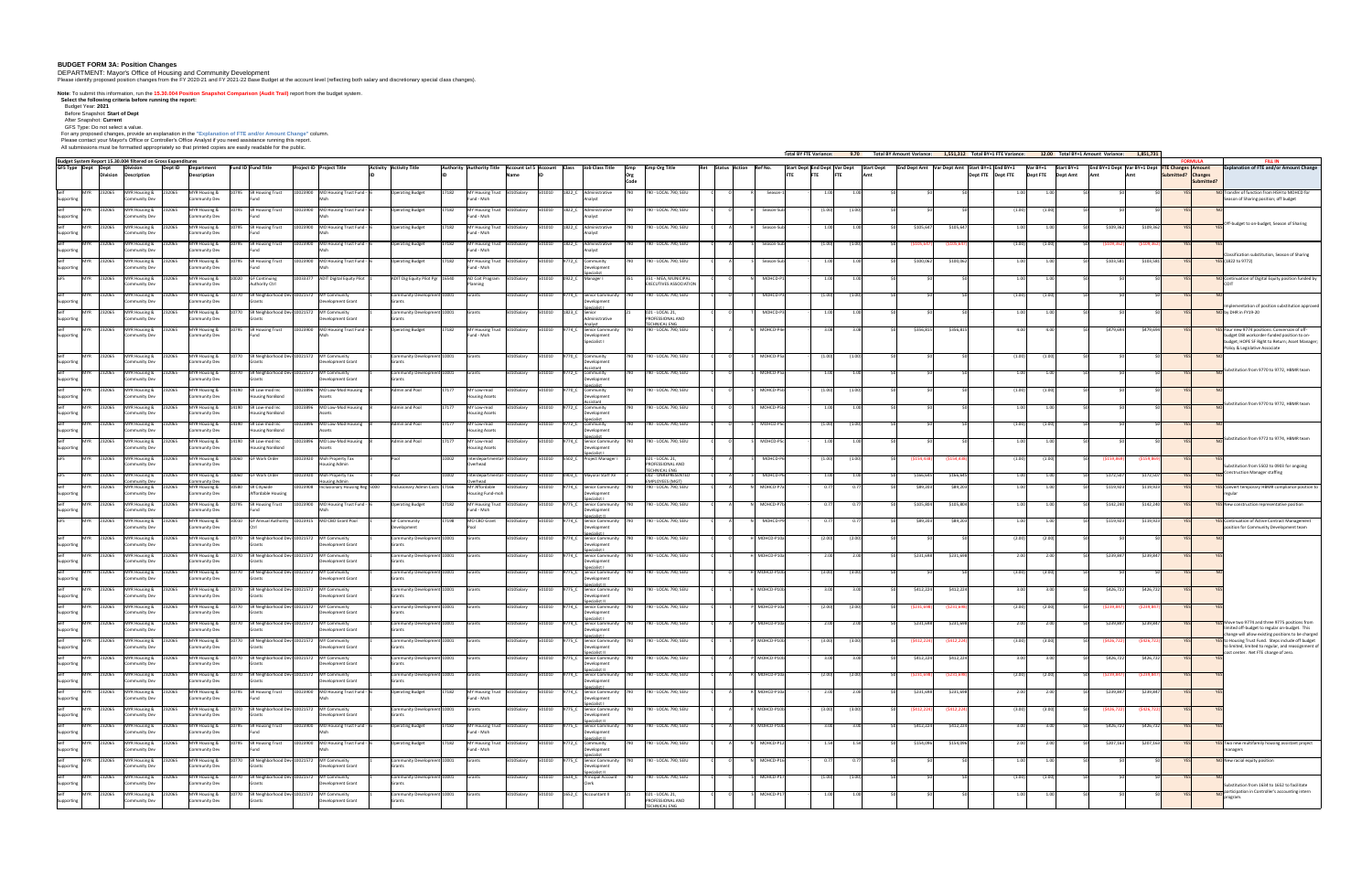## **BUDGET FORM 3A: Position Changes**

DEPARTMENT: Mayor's Office of Housing and Community Development

Please identify proposed position changes from the FY 2020-21 and FY 2021-22 Base Budget at the account level (reflecting both salary and discretionary special class changes).

**Note**: To submit this information, run the **15.30.004 Position Snapshot Comparison (Audit Trail)** report from the budget system.

**Select the following criteria before running the report:**  Budget Year: **2021**

Before Snapshot: **Start of Dept**

After Snapshot: **Current** GFS Type: Do not select a value.

For any proposed changes, provide an explanation in the **"Explanation of FTE and/or Amount Change"** column.

Please contact your Mayor's Office or Controller's Office Analyst if you need assistance running this report.

All submissions must be formatted appropriately so that printed copies are easily readable for the public.

| . All submissions must be formatted appropriately so that printed copies are easily readable for the public.      |                                                  |                                                                          |                                                                |                         |                                       |       |                                                                                                                       |            |         |                         |                                                                    |       |                                                                   |                           |              | <b>Total BY FTE Variance:</b>           |          |     | 9.70 Total BY Amount Variance: 1,551,312 Total BY+1 FTE Variance:             |             |                   |                   | 12.00 Total BY+1 Amount Variance: |                                                | 1,851,731     |                                  |                                                                                                                                                           |
|-------------------------------------------------------------------------------------------------------------------|--------------------------------------------------|--------------------------------------------------------------------------|----------------------------------------------------------------|-------------------------|---------------------------------------|-------|-----------------------------------------------------------------------------------------------------------------------|------------|---------|-------------------------|--------------------------------------------------------------------|-------|-------------------------------------------------------------------|---------------------------|--------------|-----------------------------------------|----------|-----|-------------------------------------------------------------------------------|-------------|-------------------|-------------------|-----------------------------------|------------------------------------------------|---------------|----------------------------------|-----------------------------------------------------------------------------------------------------------------------------------------------------------|
| Budget System Report 15.30.004 filtered on Gross Expenditures<br><b>GFS Type Dept Dept</b><br>Dept ID<br>Division | Department                                       | <b>Fund ID Fund Title</b>                                                | <b>Project ID Project Title</b>                                | Activity Activity Title |                                       |       | $\vert$ Authority $\vert$ Authority Title $\vert$ Account LvI 5 $\vert$ Account $\vert$ Class $\vert$ Job Class Title |            |         |                         |                                                                    | Emp   | <b>Emp Org Title</b>                                              | Ret Status Action Ref No. |              | Start Dept End Dept Var Dept Start Dept |          |     | $\vert$ End Dept Amt $\vert$ Var Dept Amt $\vert$ Start BY+1 $\vert$ End BY+1 |             |                   |                   | $Var BY+1$ Start BY+1             | End BY+1 Dept Var BY+1 Dept FTE Changes Amount |               | ORMI II A                        | <b>FILL IN</b><br><b>Explanation of FTE and/or Amount Change</b>                                                                                          |
| Description<br><b>Division</b>                                                                                    | <b>Description</b>                               |                                                                          |                                                                |                         |                                       |       |                                                                                                                       | lName      |         |                         |                                                                    |       |                                                                   |                           |              |                                         |          | Δmt |                                                                               |             | Dept FTE Dept FTE |                   | Dept FTE<br><b>Dept Amt</b>       |                                                |               | Submitted? Changes<br>Submitted? |                                                                                                                                                           |
| Self<br>MYR 232065<br>MYR Housing & 232065<br><b>Community Dev</b><br>Supporting                                  | <b>Community Dev</b>                             | MYR Housing &   10795 SR Housing Trust                                   | $10023900$ MO Housing Trust Fund - 6                           |                         | <b>Operating Budget</b>               | 17182 | MY Housing Trust 5010Salary<br>Fund - Moh                                                                             |            |         |                         | 501010 1822 C Administrative                                       | 1790. | 790 - LOCAL 790, SEIU                                             |                           | Season-1     | 1.00                                    |          |     |                                                                               |             |                   | 1.00              |                                   |                                                |               |                                  | NO Transfer of function from HSH to MOHCD for<br>Season of Sharing position; off budget                                                                   |
| Self<br>MYR 232065<br>MYR Housing &<br>1232065<br>Community Dev<br>Supporting                                     | MYR Housing &<br><b>Community Dev</b>            | 10795 SR Housing Trust                                                   | 10023900 MO Housing Trust Fund -                               |                         | <b>Operating Budget</b>               | 17182 | MY Housing Trust 5010Salary<br>Fund - Moh                                                                             |            |         |                         | 501010 1822 C Administrative                                       | 1790. | 790 - LOCAL 790, SEIU                                             |                           | Season-Sub   | (1.00)                                  | (1.00)   |     |                                                                               |             |                   | (1.00)            | (1.00)                            |                                                |               |                                  |                                                                                                                                                           |
| Self<br>MYR 232065<br>MYR Housing &<br>232065<br><b>Community Dev</b><br>Supporting                               | MYR Housing &<br><b>Community Dev</b>            | <b>SR Housing Trust</b><br>10795                                         | 10023900   MO Housing Trust Fund -                             |                         | <b>Operating Budget</b>               | 17182 | MY Housing Trust 5010Salary<br>Fund - Moh                                                                             |            |         |                         | 501010 1822 C Administrative                                       |       | 790 - LOCAL 790, SEIU                                             |                           | Season-Sub   | 1.00 L                                  |          |     | \$105,647                                                                     | \$105,647   |                   | 1.00              |                                   | \$109,362                                      | \$109,362     |                                  | Off-budget to on-budget, Season of Sharing                                                                                                                |
| Self<br>MYR 232065<br>MYR Housing &<br>1232065<br>Community Dev<br>Supporting                                     | MYR Housing &<br><b>Community Dev</b>            | <b>SR Housing Trust</b><br>10795                                         | 10023900 MO Housing Trust Fund -                               |                         | <b>Operating Budget</b>               | 17182 | MY Housing Trust 5010Salary<br>Fund - Moh                                                                             |            |         |                         | $501010$ $1822 \text{ C}$ Administrative                           |       | 790 - LOCAL 790, SEIU                                             |                           | Season-Sub   | (1.00)                                  |          |     | (S105.647)                                                                    | (\$105.647  |                   | (1.00)            | (1.00                             | (\$109.36                                      | (\$109,362)   |                                  |                                                                                                                                                           |
| Self<br>MYR 232065<br><b>MYR Housing &amp;</b><br>1232065<br>Community Dev                                        | <b>Community Dev</b>                             | MYR Housing &   10795 SR Housing Trust                                   | 10023900 MO Housing Trust Fund -                               |                         | <b>Operating Budget</b>               | 17182 | MY Housing Trust 5010Salary<br>Fund - Moh                                                                             |            |         | 501010 9772 C Community |                                                                    | 1790. | 790 - LOCAL 790, SEIU                                             |                           | Season-Sub   | 1.001                                   |          |     | \$100,062                                                                     | \$100,062   |                   | 1.00L             |                                   | \$103,581                                      | \$103,581     |                                  | Classification substitution, Season of Sharing<br>YES (1822 to 9772)                                                                                      |
| Supporting<br>GFS<br>MYR 232065<br>MYR Housing &<br>1232065                                                       | MYR Housing &                                    | 10020 GF Continuing                                                      | 10033377 ADIT Digital Equity Pilot                             |                         | ADIT Dig Equity Pilot Pgr   16540     |       | AD Coit Program   5010Salary                                                                                          |            |         | 501010 0922 C Manager I | Jevelopment                                                        |       | 351 - MEA, MUNICIPAL                                              |                           | MOHCD-P1     | 1.00                                    |          |     |                                                                               |             |                   | 1.00L             |                                   |                                                |               |                                  | NO Continuation of Digital Equity position funded by                                                                                                      |
| <b>Community Dev</b><br>Self<br>MYR 232065<br><b>MYR Housing &amp;</b><br>1232065                                 | <b>Community Dev</b><br>MYR Housing &            | <b>Authority Ctrl</b><br>10770 SR Neighborhood Dev-10021572 MY Community |                                                                |                         | Community Development 10001           |       | Grants                                                                                                                | 5010Salary |         |                         | 501010 9774 C Senior Community 790                                 |       | <b>EXECUTIVES ASSOCIATION</b><br>790 - LOCAL 790, SEIU            |                           | MOHCD-P3     | (1.00)                                  | . (1 00) |     |                                                                               |             |                   | (1.00)            | (1.00)                            |                                                |               |                                  |                                                                                                                                                           |
| <b>Community Dev</b><br>Supporting<br>Self<br>MYR 232065<br><b>AYR Housing &amp;</b>                              | <b>Community Dev</b><br>MYR Housing &            | SR Neighborhood Dev-10021572                                             | Development Grant<br><b>MY Community</b>                       |                         | Grants<br>Community Development 10001 |       | Grants                                                                                                                | 5010Salary | 01010   | 1823 C                  | Jevelopment<br><b>Senior</b>                                       |       | 021 - LOCAL 21,                                                   |                           | MOHCD-P3     |                                         |          |     |                                                                               |             |                   | ∣ ∩∩              |                                   |                                                |               |                                  | Implementation of position substitution approved<br>NO by DHR in FY19-20                                                                                  |
| <b>Community Dev</b><br>Supportin<br>MYR 232065<br>Self<br>MYR Housing &                                          | <b>Community Dev</b><br>MYR Housing &            | <b>SR Housing Trust</b>                                                  | Development Grant<br>0023900 MO Housing Trust Fund             |                         | Grants<br><b>Operating Budget</b>     | 17182 | MY Housing Trust 5010Salary                                                                                           |            | 501010  |                         | dministrative<br><b>Senior Community</b>                           |       | PROFESSIONAL AND<br><b>TECHNICAL ENG</b><br>790 - LOCAL 790, SEIU |                           | MOHCD-P4e    |                                         |          |     | \$356,815                                                                     | \$356,815   |                   | 4.00              |                                   | \$479,694                                      | \$479,694     |                                  | YES Four new 9774 positions: Conversion of off-                                                                                                           |
| <b>Community Dev</b><br>Supporting                                                                                | <b>Community Dev</b>                             |                                                                          |                                                                |                         |                                       |       | Fund - Moh                                                                                                            |            |         |                         | Jevelopment<br>Specialist I                                        |       |                                                                   |                           |              |                                         |          |     |                                                                               |             |                   |                   |                                   |                                                |               |                                  | budget DBI workorder-funded position to on-<br>budget; HOPE SF Right to Return; Asset Manager<br>Policy & Legislative Associate                           |
| Self<br>MYR 232065<br>MYR Housing & 232065<br>Community Dev<br>Supportin                                          | <b>MYR Housing &amp;</b><br>Community Dev        | 10770 SR Neighborhood Dev-10021572 MY Community                          | Development Grant                                              |                         | Community Development 10001<br>Grants |       | Grants                                                                                                                | 5010Salary |         | 501010 9770 C Community | )evelopment                                                        | 1790. | 790 - LOCAL 790, SEIU                                             |                           | MOHCD-P5al   | 71.00)                                  |          |     |                                                                               |             |                   | 71 QQ) L          |                                   |                                                |               |                                  |                                                                                                                                                           |
| Self<br><b>MYR</b><br><b>MYR Housing &amp;</b><br>1232065<br>1232065<br>Community Dev<br>Supporting               | MYR Housing &<br><b>Community Dev</b>            | 10770                                                                    | SR Neighborhood Dev-10021572 MY Community<br>Development Grant |                         | Community Development 10001<br>Grants |       | Grants                                                                                                                | 5010Salary |         | 501010 9772 C Community | Jevelopmeni                                                        | 790   | 790 - LOCAL 790, SEIU                                             |                           | MOHCD-P5a    | 1.00                                    |          |     |                                                                               |             |                   | 1.001             |                                   |                                                |               |                                  | Substitution from 9770 to 9772, HBMR team                                                                                                                 |
| Self<br><b>MYR</b><br>MYR Housing &<br>1232065<br>1232065<br>Community Dev<br>Supporting                          | MYR Housing &<br><b>Community Dev</b>            | SR Low-mod Inc<br>14190<br><b>Housing NonBond</b>                        | 10023896 MO Low-Mod Housing                                    |                         | Admin and Pool                        | 17177 | MY Low-mod<br><b>Housing Assets</b>                                                                                   | 5010Salary | 501010  | 9770 C Community        | Development                                                        |       | 790 - LOCAL 790, SEIU                                             |                           | MOHCD-P5b    | (1.00)                                  | (1.00)   |     |                                                                               |             |                   | (1.00)            | (1.00)                            |                                                |               |                                  |                                                                                                                                                           |
| Self<br><b>MYR</b><br><b>MYR Housing &amp;</b><br>1232065<br>232065<br>Community Dev<br>Supporting                | MYR Housing &<br><b>Community Dev</b>            | SR Low-mod Inc<br>14190<br><b>Housing NonBond</b>                        | 10023896<br>MO Low-Mod Housing                                 |                         | Admin and Pool                        | 17177 | MY Low-mod<br><b>Housing Assets</b>                                                                                   | 5010Salary | 501010  | 9772 C                  | Community<br>Development                                           |       | 790 - LOCAL 790, SEIU                                             |                           | MOHCD-P5b    | 1.00                                    |          |     |                                                                               |             |                   | 1 NOI             |                                   |                                                |               |                                  | Substitution from 9770 to 9772, HBMR team                                                                                                                 |
| Self<br><b>MYR Housing &amp;</b><br>IMYR<br>32065<br>1232065<br>Community Dev                                     | MYR Housing &<br><b>Community Dev</b>            | SR Low-mod Inc<br><b>Housing NonBond</b>                                 | MO Low-Mod Housing<br>10023896                                 |                         | Admin and Pool                        |       | MY Low-mod<br><b>Housing Assets</b>                                                                                   | 5010Salary | 501010  |                         | Community<br>Development                                           |       | 790 - LOCAL 790, SEIU                                             |                           | MOHCD-P5c    | (1.00)                                  |          |     |                                                                               |             |                   | (1.00)            | (1.00                             |                                                |               |                                  |                                                                                                                                                           |
| Supporting<br>Self<br>MYR 232065<br>MYR Housing & 232065                                                          |                                                  | MYR Housing &   14190 SR Low-mod Inc                                     | 10023896   MO Low-Mod Housing                                  |                         | Admin and Pool                        | 17177 | MY Low-mod                                                                                                            | 5010Salary |         |                         | 501010 9774_C Senior Community 790                                 |       | 790 - LOCAL 790, SEIU                                             |                           | MOHCD-P5c    | 1.00                                    |          |     |                                                                               |             |                   | 1 NOI             |                                   |                                                |               |                                  | Substitution from 9772 to 9774, HBMR team                                                                                                                 |
| Community Dev<br>Supporting<br><b>GFS</b><br>MYR 232065<br>MYR Housing & 232065                                   | <b>Community Dev</b>                             | <b>Housing NonBond</b><br>MYR Housing &   10060 GF Work Order            | 10023920 Moh Property Tax                                      | Pool                    |                                       | 10002 | <b>Housing Assets</b><br>Interdepartmental- 5010Salary                                                                |            |         |                         | Jevelopmeni<br>501010 5502 C Project Manager I                     |       | 021 - LOCAL 21,                                                   |                           | MOHCD-P6     | (1.00)                                  | (1.00)   |     | (\$154,438)                                                                   | (\$154,438  |                   | (1.00)            | (1.00)                            | (\$159,869)                                    | ( \$159, 869) |                                  |                                                                                                                                                           |
| Community Dev<br><b>GFS</b><br>MYR 232065<br>MYR Housing &<br>232065                                              | <b>Community Dev</b>                             | MYR Housing &   10060 GF Work Order                                      | <b>Housing Admin</b><br>10023920 Moh Property Tax              | Pool                    |                                       | 10002 | Overhead<br>Interdepartmental- 5010Salary                                                                             |            |         |                         | $\begin{bmatrix} 501010 & 0903 & C \end{bmatrix}$ Mayoral Staff XV |       | PROFESSIONAL AND<br><b>TECHNICAL ENG</b><br>002 - UNREPRESENTED   |                           | MOHCD-P6     | 1.00                                    |          |     | \$166,645                                                                     | \$166,645   |                   | 1.00I             |                                   | \$172,507                                      | \$172,507     |                                  | Substitution from 5502 to 0903 for ongoing<br>$\Box$ Construction Manager staffing                                                                        |
| Self<br>MYR 232065<br>MYR Housing &<br>1232065<br>Community Dev<br>Supporting                                     | ommunity Dev<br><b>Community Dev</b>             | MYR Housing &   10580 SR Citywide<br><b>Affordable Housing</b>           | <b>busing Admin</b><br>10023908  Inclusionary Housing Reg 5000 |                         | Inclusionary Admin Costs 17166        |       | <b>MY Affordable</b><br>Housing Fund-moh                                                                              | 5010Salary |         |                         | 501010 9774 C Senior Community 790<br>Jevelopment                  |       | <b>EMPLOYEES (MGT)</b><br>790 - LOCAL 790, SEIU                   |                           | MOHCD-P7a    | <b>በ 77</b> ሀ                           | _ሰ 77    |     | \$89,203                                                                      | \$89,203    |                   | 1.00              |                                   | \$119,923                                      | \$119,923     |                                  | <b>YES</b> Convert temporary HBMR compliance position to                                                                                                  |
| Self<br>MYR 232065<br><b>MYR Housing &amp;</b><br>1232065<br>Community Dev<br>Supportin                           | MYR Housing &<br><b>Community Dev</b>            | <b>SR Housing Trust</b><br>10795                                         | 10023900 MO Housing Trust Fund -                               |                         | <b>Operating Budget</b>               | 17182 | MY Housing Trust 5010Salary<br>Fund - Moh                                                                             |            | 501010  |                         | 9775 C Senior Community 790<br>Jevelopment                         |       | 790 - LOCAL 790, SEIU                                             |                           | MOHCD-P7b    | <b>በ 77</b>                             |          |     | \$105,804                                                                     | \$105,804   |                   | 1.00              |                                   | \$142,240                                      | \$142,240     |                                  | <b>YES</b> New construction representative position                                                                                                       |
| <b>GFS</b><br>MYR 232065<br><b>AYR Housing &amp;</b><br>Community Dev                                             | MYR Housing &<br>Community Dev                   |                                                                          | GF Annual Authority 10023915 MO CBO Grant Pool                 |                         | <b>GF Community</b><br>Development    | 17198 | MO CBO Grant                                                                                                          | 5010Salary | 501010  | 9774 C                  | <b>Senior Community</b><br>evelopment                              |       | 790 - LOCAL 790, SEIU                                             |                           | MOHCD-P9     |                                         |          |     | \$89,203                                                                      | \$89.20     |                   |                   |                                   | \$119,923                                      | \$119,923     |                                  | <b>YES</b> Continuation of Active Contract Managemer<br>position for Community Development team                                                           |
| $s$ elf<br>MYR 232065<br>MYR Housing &<br>1232065<br>Community Dev                                                | <b>MYR Housing &amp;</b><br><b>Community Dev</b> |                                                                          | SR Neighborhood Dev-10021572 MY Community<br>Development Grant |                         | Community Development 10001<br>Grants |       | <b>S</b> rants                                                                                                        | 5010Salary |         |                         | 501010 9774_C Senior Community 790<br>evelopment                   |       | 790 - LOCAL 790, SEIU                                             |                           | H MOHCD-P10a | (2.00)                                  |          |     |                                                                               |             |                   | (2.00)            | (2.00)                            |                                                |               |                                  |                                                                                                                                                           |
| Supporting<br>Self<br>MYR 232065<br>MYR Housing &<br>1232065                                                      | <b>MYR Housing &amp;</b>                         | 10770 SR Neighborhood Dev-10021572 MY Community                          | Development Grant                                              |                         | Community Development 10001           |       | <b>Grants</b>                                                                                                         | 5010Salary |         |                         | 501010 9774_C Senior Community 790                                 |       | 790 - LOCAL 790, SEIU                                             |                           | H MOHCD-P10a | 2.00                                    | 2.001    |     | \$231,698                                                                     | \$231,698   |                   | 2.00              | 2.001                             | \$239,847                                      | \$239,847     |                                  |                                                                                                                                                           |
| Community Dev<br>Supporting<br><b>MYR</b><br>232065<br>MYR Housing &<br>232065                                    | <b>Community Dev</b><br><b>MYR Housing &amp;</b> | 10770 SR Neighborhood Dev-10021572 MY Community                          |                                                                |                         | Grants<br>Community Development 10001 |       | Grants                                                                                                                | 5010Salary | 501010  | 9775_C                  | Jevelopment<br>Senior Community 790                                |       | 790 - LOCAL 790, SEIU                                             |                           | MOHCD-P10b   |                                         |          |     |                                                                               |             |                   | (3.00)            |                                   |                                                |               |                                  |                                                                                                                                                           |
| Community Dev<br>Supporting<br>Self<br>MYR 232065<br><b>MYR Housing &amp;</b>                                     | <b>Community Dev</b><br>MYR Housing &            |                                                                          | Development Grant<br>SR Neighborhood Dev-10021572 MY Community |                         | Grants<br>Community Development 10001 |       | Grants                                                                                                                | 5010Salary | 501010  |                         | <b>Senior Community</b>                                            |       | 790 - LOCAL 790, SEIU                                             |                           | H MOHCD-P10b | 3.00 L                                  |          |     | \$412,224                                                                     | \$412,224   |                   | 3.OOL             |                                   | \$426,722                                      | \$426,722     |                                  |                                                                                                                                                           |
| <b>Community Dev</b><br>Supporting<br>Self<br>MYR 232065<br>MYR Housing &                                         | <b>Community Dev</b><br>MYR Housing &            |                                                                          | Development Grant<br>SR Neighborhood Dev-10021572 MY Community |                         | Grants<br>Community Development 10001 |       | Grants                                                                                                                | 5010Salary | 501010  |                         | <b>Senior Community</b>                                            |       | 790 - LOCAL 790, SEIU                                             |                           | MOHCD-P10a   | (2.00)                                  |          |     | (\$231,698)                                                                   | (S231,69    |                   | (2.00)            |                                   | (\$239,84                                      | (\$239,847    |                                  |                                                                                                                                                           |
| Community Dev<br>Supporting<br>Self<br>MYR 232065                                                                 | <b>Community Dev</b>                             |                                                                          | Development Grant<br>SR Neighborhood Dev-10021572 MY Community |                         | Grants                                |       |                                                                                                                       |            | 1501010 |                         |                                                                    |       |                                                                   |                           | MOHCD-P10a   | 2.OU                                    |          |     |                                                                               |             |                   |                   |                                   | \$239,847                                      |               |                                  | YES Move two 9774 and three 9775 positions from                                                                                                           |
| <b>MYR Housing &amp;</b><br>Community Dev<br>Supporting                                                           | MYR Housing &<br><b>Community Dev</b>            |                                                                          | Development Grant                                              |                         | Community Development 10001<br>Grants |       | Grants                                                                                                                | 5010Salary |         | 19774 C                 | <b>Senior Community</b>                                            |       | 790 - LOCAL 790, SEIU                                             |                           |              |                                         |          |     | \$231,698                                                                     | \$231,698   |                   |                   |                                   |                                                | \$239,847     |                                  | limited off-budget to regular on-budget. This<br>change will allow existing positions to be charged                                                       |
| Self<br>MYR 232065<br><b>MYR Housing &amp;</b><br>Community Dev<br>Supporting                                     | <b>MYR Housing &amp;</b><br><b>Community Dev</b> |                                                                          | SR Neighborhood Dev-10021572 MY Community<br>Development Grant |                         | Community Development 10001<br>Grants |       | <b>Grants</b>                                                                                                         | 5010Salary |         |                         | 501010 9775_C Senior Community 790<br>Jevelopmeni                  |       | 790 - LOCAL 790, SEIU                                             |                           | P MOHCD-P10b | (3.00)                                  | (3.00)   |     | ( \$412, 224)                                                                 | (\$412,224  |                   | (3.00)            | (3.00)                            | (\$426,72                                      | (\$426,722)   |                                  | <b>YES</b> to Housing Trust Fund. Steps include off budget<br>to limited, limited to regular, and reassignment of<br>cost center. Net FTE change of zero. |
| Self<br>MYR 232065<br>MYR Housing &<br>Community Dev<br>Supporting                                                | MYR Housing &<br><b>Community Dev</b>            |                                                                          | SR Neighborhood Dev-10021572 MY Community<br>Development Grant |                         | Community Development 10001<br>Grants |       | Grants                                                                                                                | 5010Salary | 501010  |                         | 9775_C Senior Community 790<br>Jevelopment                         |       | 790 - LOCAL 790, SEIU                                             |                           | P MOHCD-P10b | 3.00                                    | 3. QUI   |     | \$412,224                                                                     | \$412,224   |                   | 3.00 <sub>l</sub> |                                   | \$426,722                                      | \$426,722     |                                  |                                                                                                                                                           |
| Self<br>MYR 232065<br>MYR Housing &<br><b>Community Dev</b>                                                       | MYR Housing &<br><b>Community Dev</b>            |                                                                          | SR Neighborhood Dev-10021572 MY Community<br>Development Grant |                         | Community Development 10001<br>Grants |       | Grants                                                                                                                | 5010Salary | 01010   | 9774 C                  | <b>Senior Community</b><br>Jevelopment                             |       | 790 - LOCAL 790, SEIU                                             |                           | MOHCD-P10a   | (2.00)                                  |          |     | (\$231.698)                                                                   | S231.698) ا |                   | (2.00)            | (2.00)                            | (\$239.84                                      | (\$239,847    |                                  |                                                                                                                                                           |
| Self<br>$MYR$ 23<br>MYR Housing &<br>32065<br>Community Dev<br>Supporting                                         | MYR Housing &<br><b>Community Dev</b>            | <b>SR Housing Trust</b>                                                  | 0023900 MO Housing Trust Fund -                                |                         | <b>Operating Budget</b>               | 17182 | MY Housing Trust 5010Salary<br>Fund - Moh                                                                             |            | 01010   | 9774 C                  | <b>Senior Community</b>                                            |       | 790 - LOCAL 790, SEIU                                             |                           | MOHCD-P10a   |                                         |          |     | \$231,698                                                                     | \$231,698   |                   |                   |                                   | \$239,847                                      | \$239,847     |                                  |                                                                                                                                                           |
| Self<br><b>MYR</b><br>MYR Housing &<br>232065<br>Community Dev<br>Supporting                                      | MYR Housing &<br><b>Community Dev</b>            |                                                                          | SR Neighborhood Dev-10021572 MY Community<br>Development Grant |                         | Community Development 10001<br>Grants |       | Grants                                                                                                                | 5010Salary | 1501010 | 9775 C                  | <b>Senior Community</b>                                            | 1790  | 790 - LOCAL 790, SEIU                                             |                           | R MOHCD-P10b | (3.00)                                  | (3.00)   |     | ( \$412, 224)                                                                 | (\$412,224  |                   | (3.00)            | (3.00)                            | (\$426,72                                      | (\$426,722)   |                                  |                                                                                                                                                           |
| Self<br><b>MYR</b><br>MYR Housing &<br>232065<br>Community Dev<br>Supporting                                      | <b>MYR Housing &amp;</b><br><b>Community Dev</b> | <b>SR Housing Trust</b><br>10795                                         | 10023900   MO Housing Trust Fund -                             |                         | <b>Operating Budget</b>               | 17182 | MY Housing Trust 5010Salary<br>Fund - Moh                                                                             |            |         | 501010 9775 C           | Senior Community 790<br>)evelopment                                |       | 790 - LOCAL 790, SEIU                                             |                           | R MOHCD-P10b | 3.00l                                   |          |     | \$412,224                                                                     | \$412,224   |                   | 3.00 <sub>l</sub> |                                   | \$426,722                                      | \$426,722     |                                  |                                                                                                                                                           |
| Self<br>MYR 232065<br>MYR Housing &<br>Community Dev<br>Supporting                                                | MYR Housing &<br><b>Community Dev</b>            | <b>SR Housing Trust</b><br>10795                                         | 10023900   MO Housing Trust Fund -                             |                         | <b>Operating Budget</b>               | 17182 | MY Housing Trust 5010Salary<br>Fund - Moh                                                                             |            | 501010  | 9772 C                  | Community<br>Development                                           |       | 790 - LOCAL 790, SEIU                                             |                           | MOHCD-P12    | 1.54                                    |          |     | \$154,096                                                                     | \$154,096   |                   | 2.00              |                                   | \$207,163                                      | \$207,163     |                                  | <b>YES</b> Two new multifamily housing assistant project<br>manager                                                                                       |
| MYR Housing &<br>MYR 232065<br>Community Dev                                                                      | MYR Housing &<br>Community Dev                   | SR Neighborhood Dev-10021572                                             | <b>MY Community</b><br>Development Grant                       |                         | Community Development 10001           |       | Grants                                                                                                                | 5010Salary | 501010  |                         | Senior Community 790<br>Jevelopment                                |       | 790 - LOCAL 790, SEIU                                             |                           | MOHCD-P16    |                                         |          |     |                                                                               |             |                   |                   |                                   |                                                |               |                                  | NO New racial equity position                                                                                                                             |
| MYR 232065<br>MYR Housing &<br>232065                                                                             | MYR Housing &                                    |                                                                          | SR Neighborhood Dev-10021572 MY Community                      |                         | Community Development 10001           |       | <b>IGrants</b>                                                                                                        | 5010Salary | 501010  | 1634_C                  | <b>Principal Account</b>                                           |       | 790 - LOCAL 790, SEIU                                             |                           | MOHCD-P17    |                                         |          |     |                                                                               |             |                   |                   |                                   |                                                |               |                                  |                                                                                                                                                           |
| Supporting<br>Community Dev<br>Self M<br>MYR 232065<br>MYR Housing & 232065                                       | <b>Community Dev</b><br><b>MYR Housing &amp;</b> | <b>S</b> rants<br>10770 SR Neighborhood Dev-10021572 MY Community        | Development Grant                                              |                         | Grants<br>Community Development 10001 |       | Grants                                                                                                                |            |         |                         | Clerk<br>5010Salary 501010 1652_C Accountant II                    |       | 021 - LOCAL 21,                                                   |                           | MOHCD-P17    | 1.00                                    | 1.001    |     |                                                                               |             |                   | 1.001             |                                   |                                                |               |                                  | Substitution from 1634 to 1652 to facilitate<br>$\Box$ participation in Controller's accounting intern<br>program.                                        |
| Community Dev<br>Supporting                                                                                       | Community Dev                                    | Grants                                                                   | Development Grant                                              |                         | Grants                                |       |                                                                                                                       |            |         |                         |                                                                    |       | PROFESSIONAL AND<br><b>TECHNICAL EN</b>                           |                           |              |                                         |          |     |                                                                               |             |                   |                   |                                   |                                                |               |                                  |                                                                                                                                                           |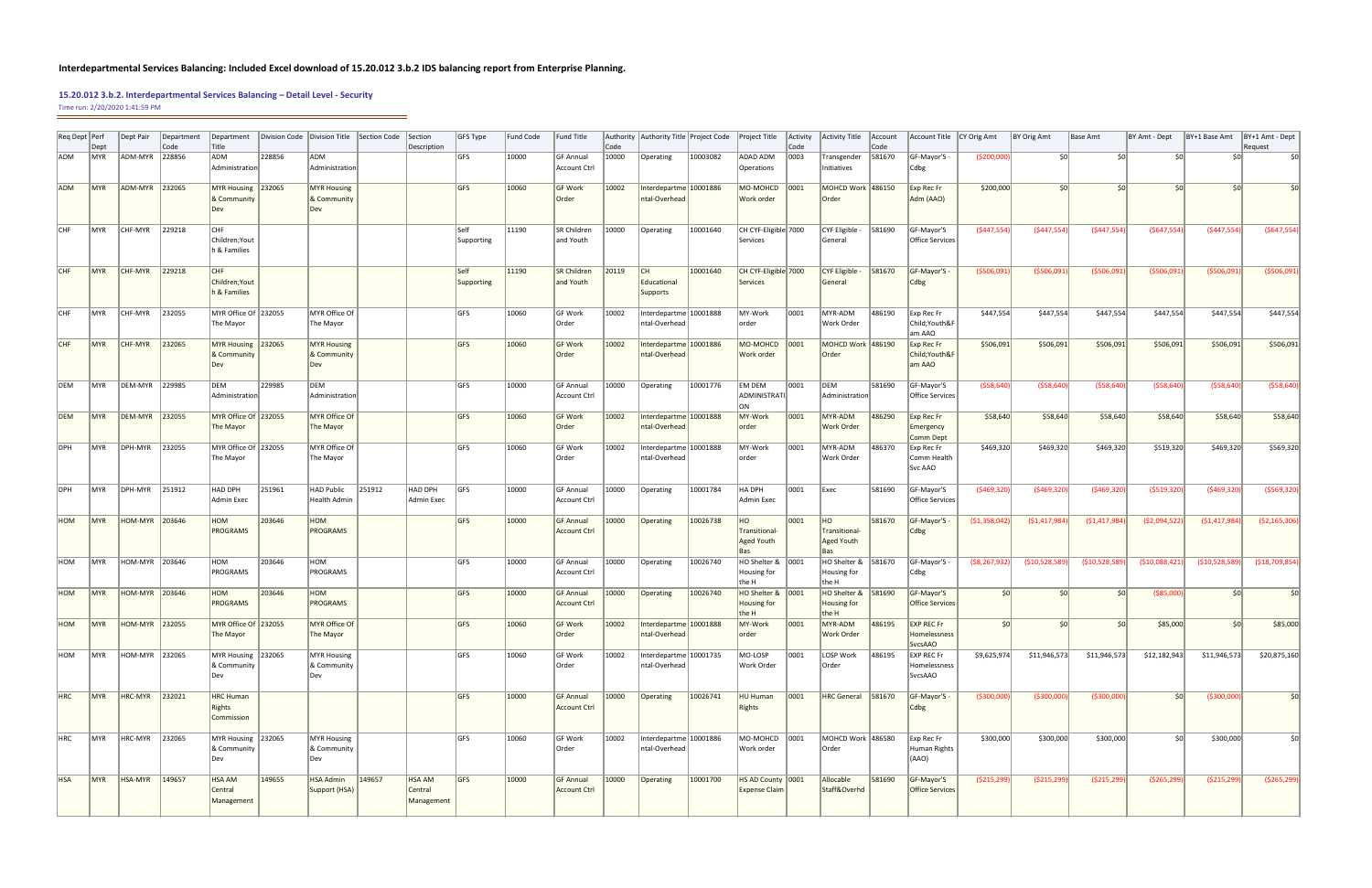## **Interdepartmental Services Balancing: Included Excel download of 15.20.012 3.b.2 IDS balancing report from Enterprise Planning.**

| Reg Dept Perf | Dept             | Dept Pair      | Department<br>Code | Department<br>Title                          |        | Division Code   Division Title           | Section Code | Section<br>Description                 | GFS Type           | <b>Fund Code</b> | <b>Fund Title</b>                       | Code  | Authority Authority Title Project Code Project Title |          |                                           | Activity<br> Code | Activity Title                                    | Account<br> Code | Account Title   CY Orig Amt                         |                  | BY Orig Amt     | Base Amt        | BY Amt - Dept  | BY+1 Base Amt   | BY+1 Amt - Dept<br>Request |
|---------------|------------------|----------------|--------------------|----------------------------------------------|--------|------------------------------------------|--------------|----------------------------------------|--------------------|------------------|-----------------------------------------|-------|------------------------------------------------------|----------|-------------------------------------------|-------------------|---------------------------------------------------|------------------|-----------------------------------------------------|------------------|-----------------|-----------------|----------------|-----------------|----------------------------|
| <b>ADM</b>    | MYR              | ADM-MYR        | 228856             | ADM<br>Administration                        | 228856 | ADM<br>Administration                    |              |                                        | GFS                | 10000            | GF Annual<br><b>Account Ctrl</b>        | 10000 | Operating                                            | 10003082 | ADAD ADM<br>Operations                    | 0003              | Transgender<br>Initiatives                        | 581670           | GF-Mayor'S -<br>Cdbg                                | ( \$200,000]     | 50 <sup>1</sup> | 50 <sup>1</sup> | \$0            | \$0             | Ś0                         |
| ADM           | <b>MYR</b>       | ADM-MYR 232065 |                    | MYR Housing 232065<br>& Community            |        | MYR Housing<br>& Community<br>Dev        |              |                                        | <b>GFS</b>         | 10060            | <b>GF Work</b><br>Order                 | 10002 | Interdepartme 10001886<br>ntal-Overhead              |          | MO-MOHCD<br>Work order                    | 0001              | MOHCD Work 486150<br>Order                        |                  | Exp Rec Fr<br>Adm (AAO)                             | \$200,000        | 50 <sup>1</sup> | 50 <sup>1</sup> | \$0            | \$0             |                            |
| <b>CHF</b>    | MYR              | CHF-MYR        | 229218             | <b>CHF</b><br>Children; Yout<br>h & Families |        |                                          |              |                                        | Self<br>Supporting | 11190            | SR Children<br>and Youth                | 10000 | Operating                                            | 10001640 | CH CYF-Eligible 7000<br>Services          |                   | CYF Eligible -<br>General                         | 581690           | GF-Mayor'S<br>Office Services                       | (5447, 554)      | (5447, 554)     | (5447, 554)     | (5647, 554)    | (5447, 554)     | (5647, 554)                |
| CHF           | <b>MYR</b>       | CHF-MYR        | 229218             | CHF<br>Children; Yout<br>h & Families        |        |                                          |              |                                        | Self<br>Supporting | 11190            | SR Children<br>and Youth                | 20119 | CH<br>Educational<br>Supports                        | 10001640 | CH CYF-Eligible 7000<br>Services          |                   | CYF Eligible -<br>General                         | 581670           | GF-Mayor'S<br> Cdbg                                 | ( \$506,091]     | (5506,091)      | (\$506,091      | (\$506,091     | ( \$506,091]    | ( \$506,091)               |
| <b>CHF</b>    | ∣MYR             | CHF-MYR        | 232055             | MYR Office Of 232055<br>The Mayor            |        | MYR Office Of<br>The Mayor               |              |                                        | GFS                | 10060            | GF Work<br>Order                        | 10002 | Interdepartme 10001888<br>ntal-Overhead              |          | MY-Work<br>order                          | 0001              | MYR-ADM<br>Work Order                             | 486190           | Exp Rec Fr<br>Child; Youth&F<br>am AAO              | \$447,554        | \$447,554       | \$447,554       | \$447,554      | \$447,554       | \$447,554                  |
| <b>CHF</b>    | <b>MYR</b>       | <b>CHF-MYR</b> | 232065             | MYR Housing 232065<br>& Community<br>Dev     |        | <b>MYR Housing</b><br>& Community<br>Dev |              |                                        | <b>GFS</b>         | 10060            | GF Work<br>Order                        | 10002 | Interdepartme 10001886<br>ntal-Overhead              |          | MO-MOHCD<br>Work order                    | 0001              | MOHCD Work 486190<br>Order                        |                  | Exp Rec Fr<br>Child; Youth&F<br>am AAO              | \$506,091        | \$506,091       | \$506,091       | \$506,091      | \$506,091       | \$506,091                  |
| DEM           | IMYR.            | DEM-MYR 229985 |                    | DEM<br>Administration                        | 229985 | DEM<br>Administration                    |              |                                        | GFS                | 10000            | GF Annual<br>Account Ctrl               | 10000 | Operating                                            | 10001776 | EM DEM<br>ADMINISTRATI<br>ON.             | 0001              | DEM<br>Administration                             | 581690           | GF-Mayor'S<br>Office Services                       | ( \$58,640)      | ( \$58,640]     | ( \$58,640)     | ( \$58,640]    | ( \$58,640)     | ( \$58,640)                |
| DEM           | <b>IMYR</b>      | DEM-MYR 232055 |                    | MYR Office Of 232055<br>The Mayor            |        | MYR Office Of<br>The Mayor               |              |                                        | GFS                | 10060            | GF Work<br>Order                        | 10002 | Interdepartme 10001888<br>ntal-Overhead              |          | MY-Work<br>order                          | 0001              | MYR-ADM<br><b>Work Order</b>                      | 486290           | Exp Rec Fr<br>Emergency<br>Comm Dept                | \$58,640         | \$58,640        | \$58,640        | \$58,640       | \$58,640        | \$58,640                   |
| DPH           | ∣MYR             | DPH-MYR        | 232055             | MYR Office Of 232055<br>The Mayor            |        | MYR Office Of<br>The Mayor               |              |                                        | <b>GFS</b>         | 10060            | GF Work<br>Order                        | 10002 | Interdepartme 10001888<br>ntal-Overhead              |          | MY-Work<br>order                          | 0001              | MYR-ADM<br>Work Order                             | 486370           | Exp Rec Fr<br>Comm Health<br>Svc AAO                | \$469,320        | \$469,320       | \$469,320       | \$519,320      | \$469,320       | \$569,320                  |
| DPH           | MYR <sup></sup>  | DPH-MYR        | 251912             | HAD DPH<br><b>Admin Exec</b>                 | 251961 | <b>HAD Public</b><br><b>Health Admin</b> | 251912       | HAD DPH<br>Admin Exec                  | <b>GFS</b>         | 10000            | <b>GF Annual</b><br>Account Ctrl        | 10000 | Operating                                            | 10001784 | HA DPH<br>Admin Exec                      | 0001              | Exec                                              | 581690           | GF-Mayor'S<br>Office Services                       | (5469,320)       | (5469,320)      | ( \$469, 320)   | ( \$519, 320)  | (5469,320)      | ( \$569, 320)              |
| HOM           | <b>IMYR</b>      | HOM-MYR 203646 |                    | HOM<br>PROGRAMS                              | 203646 | HOM<br><b>PROGRAMS</b>                   |              |                                        | <b>GFS</b>         | 10000            | <b>GF Annual</b><br><b>Account Ctrl</b> | 10000 | Operating                                            | 10026738 | HO<br>Transitional-<br>Aged Youth         | 0001              | HO<br>Transitional-<br><b>Aged Youth</b><br>Bas   | 581670           | GF-Mayor'S -<br> Cdbg                               | ( \$1,358,042)   | ( \$1,417,984)  | (51, 417, 984)  | ( \$2,094,522] | (51, 417, 984)  | (52, 165, 306)             |
| HOM           | MYR              | HOM-MYR 203646 |                    | HOM<br>PROGRAMS                              | 203646 | HOM<br>PROGRAMS                          |              |                                        | GFS                | 10000            | GF Annual<br><b>Account Ctrl</b>        | 10000 | Operating                                            | 10026740 | HO Shelter & 0001<br>Housing for<br>the H |                   | HO Shelter & 581670<br>Housing for<br>the H       |                  | $GF-Mayor'S -$<br>Cdbg                              | $($ \$8,267,932) | ( \$10,528,589] | ( \$10,528,589] | (510,088,421)  | (\$10,528,589)  | (\$18,709,854)             |
| HOM           | IMYR             | HOM-MYR 203646 |                    | HOM<br>PROGRAMS                              | 203646 | HOM<br><b>PROGRAMS</b>                   |              |                                        | GFS                | 10000            | <b>GF Annual</b><br><b>Account Ctrl</b> | 10000 | Operating                                            | 10026740 | HO Shelter & 0001<br>Housing for<br>the H |                   | $HO$ Shelter & $ 581690 $<br>Housing for<br>the H |                  | GF-Mayor'S<br><b>Office Services</b>                | S <sub>0</sub>   | 50 <sup>2</sup> | 50 <sup>1</sup> | ( \$85,000)    | 50 <sup>2</sup> | \$0                        |
| HOM           | <b>IMYR</b>      | HOM-MYR 232055 |                    | MYR Office Of 232055<br>The Mayor            |        | <b>MYR Office Of</b><br>The Mayor        |              |                                        | <b>GFS</b>         | 10060            | <b>GF Work</b><br>Order                 | 10002 | Interdepartme 10001888<br>ntal-Overhead              |          | MY-Work<br>order                          | 0001              | MYR-ADM<br><b>Work Order</b>                      | 486195           | <b>EXP REC Fr</b><br>Homelessness<br><b>SvcsAAO</b> | 50 <sup>2</sup>  | 50 <sup>2</sup> | 50 <sup>2</sup> | \$85,000       | 50 <sup>1</sup> | \$85,000                   |
| HOM           | <b>IMYR</b>      | HOM-MYR 232065 |                    | MYR Housing 232065<br>& Community<br>Dev     |        | MYR Housing<br>& Community<br>Dev        |              |                                        | GFS                | 10060            | GF Work<br> Order                       | 10002 | Interdepartme 10001735<br>ntal-Overhead              |          | MO-LOSP<br>Work Order                     | 0001              | LOSP Work<br>Order                                | 486195           | <b>EXP REC Fr</b><br>Homelessness<br>SvcsAAO        | \$9,625,974      | \$11,946,573    | \$11,946,573    | \$12,182,943   | \$11,946,573    | \$20,875,160               |
| <b>HRC</b>    | MYR <sup>1</sup> | HRC-MYR        | 232021             | <b>HRC Human</b><br>Rights<br>Commission     |        |                                          |              |                                        | GFS                | 10000            | <b>GF Annual</b><br><b>Account Ctrl</b> | 10000 | Operating                                            | 10026741 | HU Human<br>Rights                        | 0001              | HRC General 581670                                |                  | GF-Mayor'S -<br> Cdbg                               | ( \$300,000]     | ( \$300,000]    | ( \$300,000)    | 50             | ( \$300,000]    | \$0                        |
| HRC           | ∣MYR             | HRC-MYR        | 232065             | MYR Housing 232065<br>& Community<br>Dev     |        | <b>MYR Housing</b><br>& Community<br>Dev |              |                                        | <b>GFS</b>         | 10060            | GF Work<br> Order                       | 10002 | Interdepartme 10001886<br>ntal-Overhead              |          | MO-MOHCD 0001<br>Work order               |                   | MOHCD Work 1486580<br>Order                       |                  | Exp Rec Fr<br>Human Rights<br>(AAO)                 | \$300,000        | \$300,000       | \$300,000       | SOI            | \$300,000       | \$0                        |
| <b>HSA</b>    | <b>MYR</b>       | HSA-MYR        | 149657             | <b>HSA AM</b><br>Central<br>Management       | 149655 | <b>HSA Admin</b><br>Support (HSA)        | 149657       | <b>HSA AM</b><br>Central<br>Management | <b>GFS</b>         | 10000            | <b>GF Annual</b><br><b>Account Ctrl</b> | 10000 | Operating                                            | 10001700 | HS AD County 0001<br><b>Expense Claim</b> |                   | Allocable<br>Staff&Overhd                         | 581690           | GF-Mayor'S<br><b>Office Services</b>                | ( \$215,299)     | ( \$215,299)    | ( \$215,299)    | ( \$265, 299)  | ( \$215,299)    | ( \$265, 299)              |

## **15.20.012 3.b.2. Interdepartmental Services Balancing – Detail Level - Security**

Time run: 2/20/2020 1:41:59 PM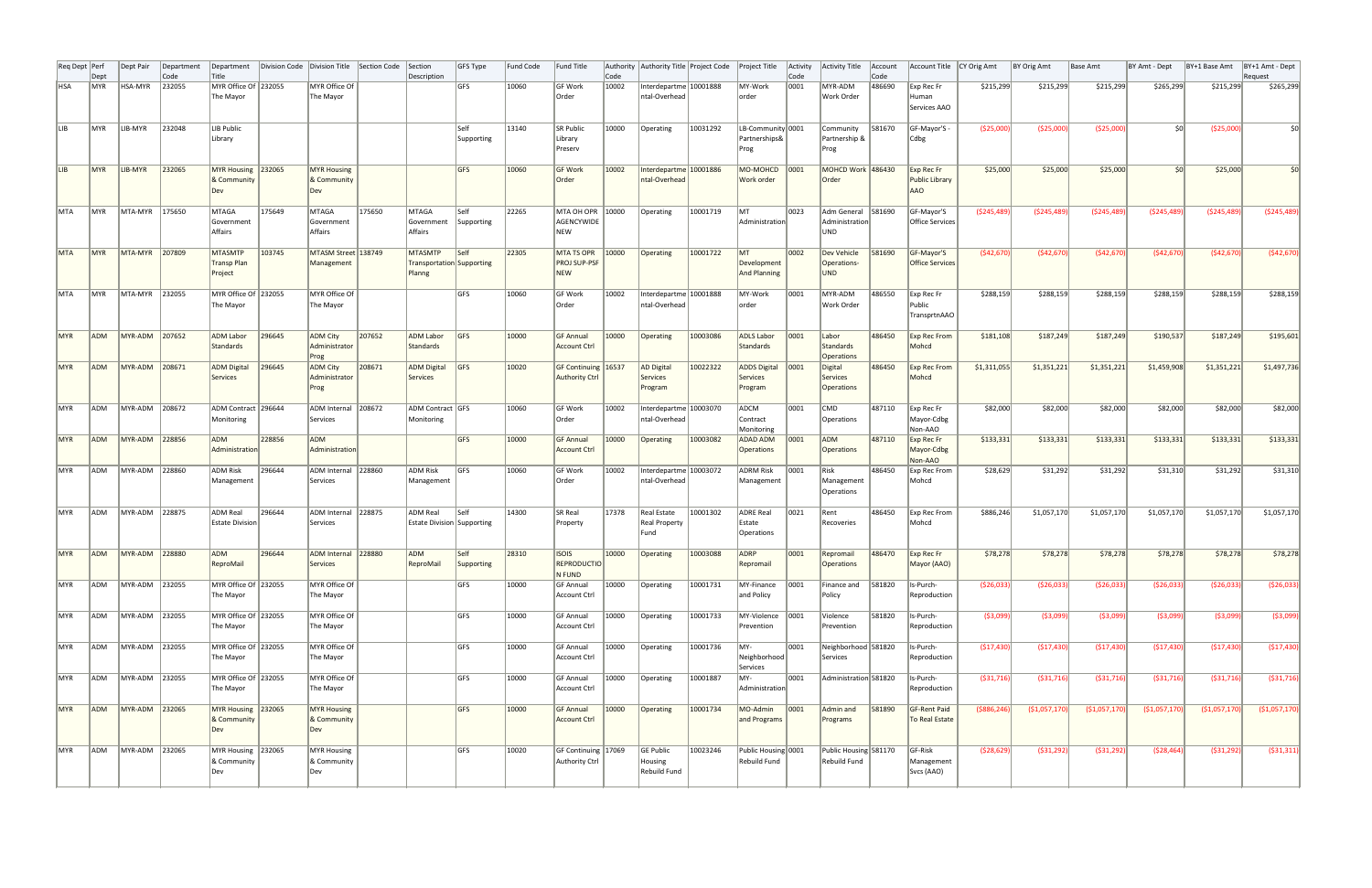| Req Dept   Perf | Dept             | Dept Pair      | Department<br>Code | Department<br>Title                             | Division Code | Division Title                           | Section Code | Section<br>Description                                | GFS Type                  | <b>Fund Code</b> | <b>Fund Title</b>                                      | Code  | Authority Authority Title Project Code Project Title |          |                                            | Activity<br>Code | Activity Title                                     | Account<br>Code | <b>Account Title</b>                                       | CY Orig Amt   | BY Orig Amt    | Base Amt       | BY Amt - Dept   | BY+1 Base Amt  | BY+1 Amt - Dept<br>Request |
|-----------------|------------------|----------------|--------------------|-------------------------------------------------|---------------|------------------------------------------|--------------|-------------------------------------------------------|---------------------------|------------------|--------------------------------------------------------|-------|------------------------------------------------------|----------|--------------------------------------------|------------------|----------------------------------------------------|-----------------|------------------------------------------------------------|---------------|----------------|----------------|-----------------|----------------|----------------------------|
| <b>HSA</b>      | ∣MYR             | <b>HSA-MYR</b> | 232055             | MYR Office Of 232055<br>The Mayor               |               | MYR Office Of<br>The Mayor               |              |                                                       | <b>GFS</b>                | 10060            | <b>GF Work</b><br>Order                                | 10002 | Interdepartme 10001888<br>ntal-Overhead              |          | MY-Work<br>order                           | 0001             | MYR-ADM<br>Work Order                              | 486690          | Exp Rec Fr<br>Human<br>Services AAO                        | \$215,299     | \$215,299      | \$215,299      | \$265,299       | \$215,299      | \$265,299                  |
| llib.           | <b>IMYR</b>      | LIB-MYR        | 232048             | LIB Public<br>Library                           |               |                                          |              |                                                       | Self<br>Supporting        | 13140            | SR Public<br>Library<br>Preserv                        | 10000 | Operating                                            | 10031292 | LB-Community 0001<br>Partnerships&<br>Prog |                  | Community<br>Partnership &<br>Prog                 | 581670          | GF-Mayor'S -<br>Cdbg                                       | ( \$25,000)   | (\$25,000)     | ( \$25,000)    | 50 <sup>1</sup> | ( \$25,000)    | \$0                        |
| ILIB-           | MYR <sup>!</sup> | LIB-MYR        | 232065             | <b>MYR Housing</b><br>& Community<br>Dev        | 232065        | <b>MYR Housing</b><br>& Community<br>Dev |              |                                                       | GFS                       | 10060            | <b>GF Work</b><br>Order                                | 10002 | Interdepartme 10001886<br>ntal-Overhead              |          | MO-MOHCD<br>Work order                     | 0001             | MOHCD Work 486430<br>Order                         |                 | Exp Rec Fr<br><b>Public Library</b><br>AAO                 | \$25,000      | \$25,000       | \$25,000       | ςυ              | \$25,000       | \$0                        |
| <b>MTA</b>      | ∣MYR             | MTA-MYR        | 175650             | MTAGA<br>Government<br>Affairs                  | 175649        | MTAGA<br>Government<br>Affairs           | 175650       | MTAGA<br>Government<br>Affairs                        | $\sf Iself$<br>Supporting | 22265            | MTA OH OPR 10000<br>AGENCYWIDE<br>NEW                  |       | Operating                                            | 10001719 | MT <br>Administration                      | 0023             | Adm General 581690<br>Administration<br><b>UND</b> |                 | GF-Mayor'S<br>Office Services                              | (5245, 489)   | (5245, 489)    | (5245, 489)    | ( \$245,489]    | (5245, 489)    | ( \$245,489)               |
| MTA             | MYR <sup>!</sup> | MTA-MYR        | 207809             | <b>MTASMTP</b><br><b>Transp Plan</b><br>Project | 103745        | MTASM Street 138749<br>Management        |              | <b>MTASMTP</b><br>Transportation Supporting<br>Planng | $\mathsf{S}$ elf          | 22305            | <b>MTA TS OPR</b><br><b>PROJ SUP-PSF</b><br><b>NEW</b> | 10000 | Operating                                            | 10001722 | IMT.<br>Development<br><b>And Planning</b> | 0002             | Dev Vehicle<br>Operations-<br><b>UND</b>           | 581690          | GF-Mayor'S<br><b>Office Services</b>                       | (542, 670)    | (542, 670)     | (542, 670)     | (542, 670)      | (542, 670)     | (542, 670)                 |
| MTA             | ∣MYR             | MTA-MYR        | 232055             | MYR Office Of 232055<br>The Mayor               |               | MYR Office Of<br>The Mayor               |              |                                                       | <b>IGFS</b>               | 10060            | <b>GF Work</b><br>Order                                | 10002 | Interdepartme 10001888<br>ntal-Overhead              |          | MY-Work<br>order                           | 0001             | MYR-ADM<br>Work Order                              | 486550          | Exp Rec Fr<br>Public<br>TransprtnAAO                       | \$288,159     | \$288,159      | \$288,159      | \$288,159       | \$288,159      | \$288,159                  |
| MYR             | <b>ADM</b>       | MYR-ADM        | 207652             | <b>ADM Labor</b><br>Standards                   | 296645        | <b>ADM City</b><br>Administrator<br>Prog | 207652       | <b>ADM Labor</b><br>Standards                         | GFS                       | 10000            | <b>GF Annual</b><br><b>Account Ctrl</b>                | 10000 | Operating                                            | 10003086 | <b>ADLS Labor</b><br>Standards             | 0001             | Labor<br><b>Standards</b><br><b>Operations</b>     | 486450          | <b>Exp Rec From</b><br>Mohcd                               | \$181,108     | \$187,249      | \$187,249      | \$190,537       | \$187,249      | \$195,601                  |
| <b>MYR</b>      | <b>ADM</b>       | MYR-ADM        | 208671             | <b>ADM Digital</b><br><b>Services</b>           | 296645        | <b>ADM City</b><br>Administrator<br>Prog | 208671       | <b>ADM Digital</b><br>Services                        | GFS                       | 10020            | GF Continuing 16537<br><b>Authority Ctrl</b>           |       | <b>AD Digital</b><br>Services<br>Program             | 10022322 | <b>ADDS Digital</b><br>Services<br>Program | 0001             | Digital<br><b>Services</b><br><b>Operations</b>    | 486450          | <b>Exp Rec From</b><br>Mohcd                               | \$1,311,055   | \$1,351,221    | \$1,351,221    | \$1,459,908     | \$1,351,221    | \$1,497,736                |
| MYR             | ADM              | MYR-ADM        | 208672             | ADM Contract   296644<br>Monitoring             |               | ADM Internal 208672<br>Services          |              | ADM Contract GFS<br>Monitoring                        |                           | 10060            | GF Work<br>Order                                       | 10002 | Interdepartme   10003070<br>ntal-Overhead            |          | ADCM<br>Contract<br>Monitoring             | 0001             | CMD<br>Operations                                  | 487110          | Exp Rec Fr<br>Mayor-Cdbg<br>Non-AAO                        | \$82,000      | \$82,000       | \$82,000       | \$82,000        | \$82,000       | \$82,000                   |
| MYR             | <b>ADM</b>       | MYR-ADM        | 228856             | ADM<br>Administration                           | 228856        | ADM<br>Administration                    |              |                                                       | <b>GFS</b>                | 10000            | <b>GF Annual</b><br><b>Account Ctrl</b>                | 10000 | Operating                                            | 10003082 | ADAD ADM<br><b>Operations</b>              | 0001             | ADM<br>Operations                                  | 487110          | Exp Rec Fr<br>Mayor-Cdbg<br>Non-AAO                        | \$133,331     | \$133,331      | \$133,331      | \$133,331       | \$133,331      | \$133,331                  |
| MYR             | ADM              | MYR-ADM        | 228860             | ADM Risk<br>Management                          | 296644        | ADM Internal 228860<br>Services          |              | ADM Risk<br>Management                                | <b>IGFS</b>               | 10060            | GF Work<br>Order                                       | 10002 | Interdepartme   10003072<br>ntal-Overhead            |          | <b>ADRM Risk</b><br>Management             | 0001             | Risk<br>Management<br>Operations                   | 486450          | Exp Rec From<br>Mohcd                                      | \$28,629      | \$31,292       | \$31,292       | \$31,310        | \$31,292       | \$31,310                   |
| ∣MYR            | ADM              | MYR-ADM 228875 |                    | ADM Real<br><b>Estate Division</b>              | 296644        | ADM Internal 228875<br>Services          |              | <b>ADM Real</b><br><b>Estate Division Supporting</b>  | <b>Self</b>               | 14300            | SR Real<br>Property                                    | 17378 | Real Estate<br>Real Property<br>Fund                 | 10001302 | ADRE Real<br>Estate<br>Operations          | 0021             | Rent<br>Recoveries                                 | 486450          | Exp Rec From<br>Mohcd                                      | \$886,246     | \$1,057,170    | \$1,057,170    | \$1,057,170     | \$1,057,170    | \$1,057,170                |
| MYR             | <b>ADM</b>       | MYR-ADM 228880 |                    | ADM<br>ReproMail                                | 296644        | ADM Internal 228880<br>Services          |              | ADM<br>ReproMail                                      | Self<br>Supporting        | 28310            | <b>ISOIS</b><br><b>REPRODUCTIO</b><br>N FUND           | 10000 | Operating                                            | 10003088 | ADRP<br>Repromail                          | 0001             | Repromail<br><b>Operations</b>                     | 486470          | $\mathsf{Exp}$ Rec Fr<br>Mayor (AAO)                       | \$78,278      | \$78,278       | \$78,278       | \$78,278        | \$78,278       | \$78,278                   |
| MYR             | <b>ADM</b>       | MYR-ADM 232055 |                    | MYR Office Of 232055<br>The Mayor               |               | MYR Office Of<br>The Mayor               |              |                                                       | GFS                       | 10000            | <b>GF Annual</b><br><b>Account Ctrl</b>                | 10000 | Operating                                            | 10001731 | MY-Finance<br>and Policy                   | 0001             | Finance and<br>Policy                              | 581820          | Is-Purch-<br>Reproduction                                  | ( \$26,033)   | ( \$26,033)    | ( \$26,033)    | ( \$26,033]     | ( \$26,033)    | ( \$26,033)                |
| MYR             | <b>ADM</b>       | MYR-ADM        | 232055             | MYR Office Of 232055<br>The Mayor               |               | MYR Office Of<br>The Mayor               |              |                                                       | GFS                       | 10000            | GF Annual<br><b>Account Ctrl</b>                       | 10000 | Operating                                            | 10001733 | MY-Violence 0001<br>Prevention             |                  | Violence<br>Prevention                             | 581820          | Is-Purch-<br>Reproduction                                  | ( \$3,099)    | ( \$3,099)     | (\$3,099)      | (\$3,099)       | ( \$3,099)     | ( \$3,099)                 |
| MYR             | ADM              | MYR-ADM        | 232055             | MYR Office Of 232055<br>The Mayor               |               | MYR Office Of<br>The Mayor               |              |                                                       | <b>GFS</b>                | 10000            | <b>GF Annual</b><br><b>Account Ctrl</b>                | 10000 | Operating                                            | 10001736 | MY-<br>Neighborhood<br>Services            | 0001             | Neighborhood 581820<br>Services                    |                 | Is-Purch-<br>Reproduction                                  | (\$17,430)    | (\$17,430)     | ( \$17,430)    | (\$17,430)      | ( \$17,430)    | (\$17,430)                 |
| MYR             | ADM              | MYR-ADM 232055 |                    | MYR Office Of 232055<br>The Mayor               |               | MYR Office Of<br>The Mayor               |              |                                                       | GFS                       | 10000            | <b>GF Annual</b><br><b>Account Ctrl</b>                | 10000 | Operating                                            | 10001887 | MY-<br>Administration                      | 0001             | Administration 581820                              |                 | Is-Purch-<br>Reproduction                                  | ( \$31, 716)  | ( \$31,716)    | ( \$31,716)    | ( \$31,716)     | ( \$31,716)    | ( \$31, 716)               |
| MYR             | <b>ADM</b>       | MYR-ADM 232065 |                    | MYR Housing 232065<br>& Community<br>Dev        |               | <b>MYR Housing</b><br>& Community<br>Dev |              |                                                       | GFS                       | 10000            | <b>GF Annual</b><br><b>Account Ctrl</b>                | 10000 | Operating                                            | 10001734 | MO-Admin<br>and Programs                   | 0001             | Admin and<br>Programs                              | 581890          | GF-Rent Paid<br>To Real Estate                             | ( \$886, 246) | ( \$1,057,170] | ( \$1,057,170) | ( \$1,057,170]  | ( \$1,057,170) | (\$1,057,170)              |
| ∣MYR            | ADM              | MYR-ADM 232065 |                    | MYR Housing 232065<br>& Community<br>Dev        |               | <b>MYR Housing</b><br>& Community<br>Dev |              |                                                       | GFS                       | 10020            | GF Continuing 17069<br><b>Authority Ctrl</b>           |       | GE Public<br>Housing<br>Rebuild Fund                 | 10023246 | Public Housing 0001<br>Rebuild Fund        |                  | Public Housing 581170<br>Rebuild Fund              |                 | $\overline{\mathsf{G}}$ F-Risk<br>Management<br>Svcs (AAO) | ( \$28,629)   | ( \$31,292)    | ( \$31,292)    | ( \$28,464)     | ( \$31,292)    | ( \$31, 311)               |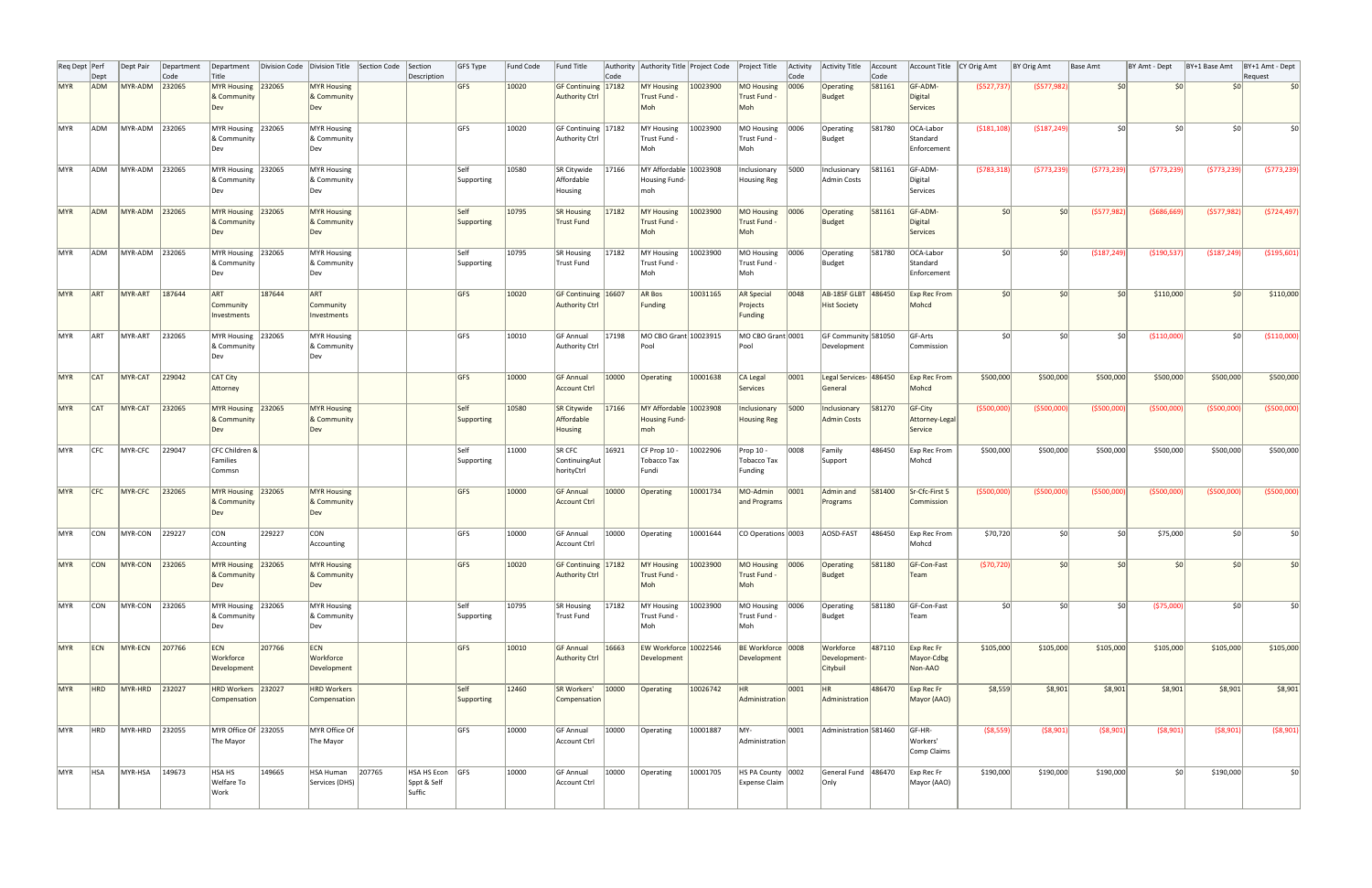|            | Req Dept Perf<br>Dept | Dept Pair              | Department<br> Code | Department<br>Title                                 |        | Division Code Division Title                    | Section Code | Section<br>Description                   | GFS Type           | Fund Code | <b>Fund Title</b>                              | Code  | Authority Authority Title Project Code                |          | Project Title                                                    | Activity<br>Code | Activity Title                             | Account<br>Code | Account Title   CY Orig Amt                   |                    | BY Orig Amt     | <b>Base Amt</b> | BY Amt - Dept    | BY+1 Base Amt   | BY+1 Amt - Dept<br>Request |
|------------|-----------------------|------------------------|---------------------|-----------------------------------------------------|--------|-------------------------------------------------|--------------|------------------------------------------|--------------------|-----------|------------------------------------------------|-------|-------------------------------------------------------|----------|------------------------------------------------------------------|------------------|--------------------------------------------|-----------------|-----------------------------------------------|--------------------|-----------------|-----------------|------------------|-----------------|----------------------------|
| <b>MYR</b> | <b>ADM</b>            | MYR-ADM                | 232065              | MYR Housing 232065<br>& Community<br>Dev            |        | <b>MYR Housing</b><br>& Community<br>Dev        |              |                                          | GFS                | 10020     | GF Continuing   17182<br><b>Authority Ctrl</b> |       | <b>MY Housing</b><br>Trust Fund -<br>Moh              | 10023900 | MO Housing   0006<br>Trust Fund -<br>Moh                         |                  | Operating<br>Budget                        | 581161          | GF-ADM-<br>Digital<br>Services                | (5527, 737)        | (5577,982)      | 50              | 50 <sup>1</sup>  | 50 <sup>1</sup> | \$0                        |
| MYR        | ADM                   | MYR-ADM 232065         |                     | MYR Housing 232065<br><b>&amp; Community</b><br>Dev |        | <b>MYR Housing</b><br>& Community<br>Dev        |              |                                          | <b>GFS</b>         | 10020     | GF Continuing 17182<br>Authority Ctrl          |       | MY Housing<br>Trust Fund -<br>Moh                     | 10023900 | MO Housing<br>Trust Fund -<br>Moh                                | 0006             | Operating<br>Budget                        | 581780          | OCA-Labor<br>Standard<br>Enforcement          | ( \$181, 108)      | ( \$187, 249)   | 50              | 50               | 50 <sup>°</sup> |                            |
| MYR        | <b>ADM</b>            | MYR-ADM 232065         |                     | MYR Housing 232065<br><b>&amp; Community</b><br>Dev |        | <b>MYR Housing</b><br>& Community<br>Dev        |              |                                          | Self<br>Supporting | 10580     | SR Citywide<br>Affordable<br>Housing           | 17166 | MY Affordable 10023908<br><b>Housing Fund-</b><br>moh |          | Inclusionary<br><b>Housing Reg</b>                               | 5000             | Inclusionary<br>Admin Costs                | 581161          | GF-ADM-<br>Digital<br>Services                | (5783, 318)        | (5773, 239)     | (\$773,239      | (5773, 239)      | (5773, 239)     | (5773, 239)                |
| <b>MYR</b> | ADM                   | MYR-ADM 232065         |                     | MYR Housing 232065<br>& Community<br>Dev            |        | <b>MYR Housing</b><br>& Community<br>Dev        |              |                                          | Self<br>Supporting | 10795     | <b>SR Housing</b><br>Trust Fund                | 17182 | MY Housing<br>Trust Fund -<br>Moh                     | 10023900 | MO Housing<br>Trust Fund -<br>Moh                                | 0006             | Operating<br>Budget                        | 581161          | GF-ADM-<br>Digital<br>Services                | 50                 | 50 <sup>1</sup> | (5577,982)      | (\$686,669       | (5577, 982)     | (5724, 497)                |
| MYR        | ADM                   | MYR-ADM 232065         |                     | MYR Housing 232065<br>∣& Community<br>Dev           |        | MYR Housing<br>& Community<br>Dev               |              |                                          | Self<br>Supporting | 10795     | SR Housing<br>Trust Fund                       | 17182 | MY Housing<br>Trust Fund -<br>Moh                     | 10023900 | MO Housing<br>Trust Fund -<br>Moh                                | 0006             | Operating<br>Budget                        | 581780          | OCA-Labor<br>Standard<br>Enforcement          | sol                | sol             | ( \$187, 249)   | ( \$190, 537)    | ( \$187, 249)   | ( \$195,601)               |
| <b>MYR</b> | <b>ART</b>            | MYR-ART                | 187644              | ART<br>Community<br>Investments                     | 187644 | ART<br>Community<br>Investments                 |              |                                          | <b>GFS</b>         | 10020     | GF Continuing 16607<br><b>Authority Ctrl</b>   |       | AR Bos<br>Funding                                     | 10031165 | AR Special<br>Projects<br>Funding                                | 0048             | AB-18SF GLBT 486450<br><b>Hist Society</b> |                 | <b>Exp Rec From</b><br>Mohcd                  | 50                 | 50 <sup>1</sup> | 50 <sup>1</sup> | \$110,000        | 50 <sup>1</sup> | \$110,000                  |
| MYR        | <b>ART</b>            | MYR-ART                | 232065              | MYR Housing 232065<br>& Community<br>Dev            |        | <b>MYR Housing</b><br>& Community<br>Dev        |              |                                          | <b>GFS</b>         | 10010     | <b>GF Annual</b><br>Authority Ctrl             | 17198 | MO CBO Grant 10023915<br>Pool                         |          | MO CBO Grant 0001<br>Pool                                        |                  | GF Community 581050<br>Development         |                 | GF-Arts<br>Commission                         | 50 <sup>1</sup>    | sol             | S <sub>0</sub>  | ( \$110,000]     | SOI             | ( \$110,000]               |
| <b>MYR</b> | CAT                   | MYR-CAT                | 229042              | CAT City<br>Attorney                                |        |                                                 |              |                                          | <b>GFS</b>         | 10000     | <b>GF Annual</b><br>Account Ctrl               | 10000 | Operating                                             | 10001638 | CA Legal<br>Services                                             | 0001             | Legal Services- 486450<br>General          |                 | <b>Exp Rec From</b><br>Mohcd                  | \$500,000          | \$500,000       | \$500,000       | \$500,000        | \$500,000       | \$500,000                  |
| MYR        | CAT                   | MYR-CAT                | 232065              | MYR Housing<br>& Community<br>Dev                   | 232065 | <b>MYR Housing</b><br>& Community<br><b>Dev</b> |              |                                          | Self<br>Supporting | 10580     | SR Citywide<br>Affordable<br>Housing           | 17166 | MY Affordable 10023908<br><b>Housing Fund-</b><br>moh |          | Inclusionary<br>Housing Reg                                      | 5000             | Inclusionary<br><b>Admin Costs</b>         | 581270          | GF-City<br>Attorney-Legal<br>Service          | ( \$500,000]       | ( \$500,000]    | ( \$500,000]    | ( \$500,000]     | ( \$500,000]    | ( \$500,000]               |
| MYR        | <b>CFC</b>            | MYR-CFC                | 229047              | CFC Children &<br>Families<br>Commsn                |        |                                                 |              |                                          | Self<br>Supporting | 11000     | $ $ SR CFC<br>ContinuingAut<br>horityCtrl      | 16921 | $CF$ Prop 10 -<br>Tobacco Tax<br>Fundi                | 10022906 | Prop 10 -<br>Tobacco Tax<br>Funding                              | 0008             | Family<br>Support                          | 486450          | <b>Exp Rec From</b><br>Mohcd                  | \$500,000          | \$500,000       | \$500,000       | \$500,000        | \$500,000       | \$500,000                  |
|            |                       | MYR CFC MYR-CFC 232065 |                     | MYR Housing 232065<br>& Community<br>Dev            |        | MYR Housing<br>& Community<br>Dev               |              |                                          | GFS                | 10000     | Account Ctrl                                   |       |                                                       |          | GF Annual 10000 Operating 10001734 MO-Admin 0001<br>and Programs |                  | Programs                                   |                 | Admin and 581400 Sr-Cfc-First 5<br>Commission | $($ \$500,000) $ $ | ( \$500,000]    | (5500,000)      | ( \$500,000]     | ( \$500,000]    | (\$500,000)                |
| MYR        | <b>CON</b>            | MYR-CON 229227         |                     | <b>CON</b><br>Accounting                            | 229227 | CON<br>Accounting                               |              |                                          | GFS                | 10000     | GF Annual<br>Account Ctrl                      | 10000 | Operating                                             | 10001644 | CO Operations 0003                                               |                  | AOSD-FAST                                  | 486450          | Exp Rec From<br>Mohcd                         | \$70,720           | 50 <sup>2</sup> | 50 <sup>1</sup> | \$75,000         | 50 <sup>1</sup> | \$0                        |
| <b>MYR</b> | <b>CON</b>            | MYR-CON                | 232065              | MYR Housing 232065<br>& Community<br>Dev            |        | <b>MYR Housing</b><br>& Community<br>Dev        |              |                                          | <b>GFS</b>         | 10020     | GF Continuing 17182<br>Authority Ctrl          |       | <b>MY Housing</b><br>Trust Fund -<br>Moh              | 10023900 | MO Housing   0006<br>Trust Fund -<br>Moh                         |                  | Operating<br>Budget                        | 581180          | GF-Con-Fast<br>Team                           | (570, 720)         | 50 <sup>2</sup> | 50              | \$0 <sub>1</sub> | 50 <sup>1</sup> | \$0                        |
| MYR        | <b>CON</b>            | MYR-CON 232065         |                     | MYR Housing 232065<br>& Community<br>Dev            |        | MYR Housing<br>& Community<br>Dev               |              |                                          | Self<br>Supporting | 10795     | SR Housing<br>Trust Fund                       | 17182 | MY Housing<br>Trust Fund -<br>Moh                     | 10023900 | MO Housing   0006<br>Trust Fund -<br>Moh                         |                  | Operating<br>Budget                        | 581180          | GF-Con-Fast<br>Team                           | sol                | 50 <sup>2</sup> | 50              | ( \$75,000]      | 50 <sup>1</sup> | \$0                        |
| MYR        | ECN                   | MYR-ECN                | 207766              | ECN<br>Workforce<br>Development                     | 207766 | ECN<br>Workforce<br>Development                 |              |                                          | GFS                | 10010     | <b>GF Annual</b><br>Authority Ctrl             | 16663 | EW Workforce 10022546<br>Development                  |          | BE Workforce 0008<br>Development                                 |                  | Workforce<br>Development-<br>Citybuil      | 487110          | Exp Rec Fr<br>Mayor-Cdbg<br>Non-AAO           | \$105,000          | \$105,000       | \$105,000       | \$105,000        | \$105,000       | \$105,000                  |
| MYR        | <b>HRD</b>            | MYR-HRD 232027         |                     | HRD Workers 232027<br>Compensation                  |        | <b>HRD Workers</b><br>Compensation              |              |                                          | Self<br>Supporting | 12460     | SR Workers'<br>Compensation                    | 10000 | Operating                                             | 10026742 | HR<br>Administration                                             | 0001             | <b>HR</b><br>Administration                | 486470          | Exp Rec Fr<br>Mayor (AAO)                     | \$8,559            | \$8,901         | \$8,901         | \$8,901          | \$8,901         | \$8,901                    |
| MYR        | HRD                   | MYR-HRD                | 232055              | MYR Office Of 232055<br>The Mayor                   |        | MYR Office Of<br>The Mayor                      |              |                                          | <b>GFS</b>         | 10000     | <b>GF Annual</b><br>Account Ctrl               | 10000 | Operating                                             | 10001887 | MY-<br>Administration                                            | 0001             | Administration 581460                      |                 | GF-HR-<br>Workers'<br>Comp Claims             | ( \$8,559)         | ( \$8,901)      | ( \$8,901)      | ( \$8,901)       | ( \$8,901)      | ( \$8,901)                 |
| MYR        | <b>HSA</b>            | MYR-HSA                | 149673              | HSA HS<br><b>Welfare To</b><br>Work                 | 149665 | HSA Human<br>Services (DHS)                     | 207765       | HSA HS Econ GFS<br>Sppt & Self<br>Suffic |                    | 10000     | GF Annual<br>Account Ctrl                      | 10000 | Operating                                             | 10001705 | HS PA County 0002<br>Expense Claim                               |                  | General Fund 486470<br> Only               |                 | Exp Rec Fr<br>Mayor (AAO)                     | \$190,000          | \$190,000       | \$190,000       | 50 <sup>1</sup>  | \$190,000       | \$0                        |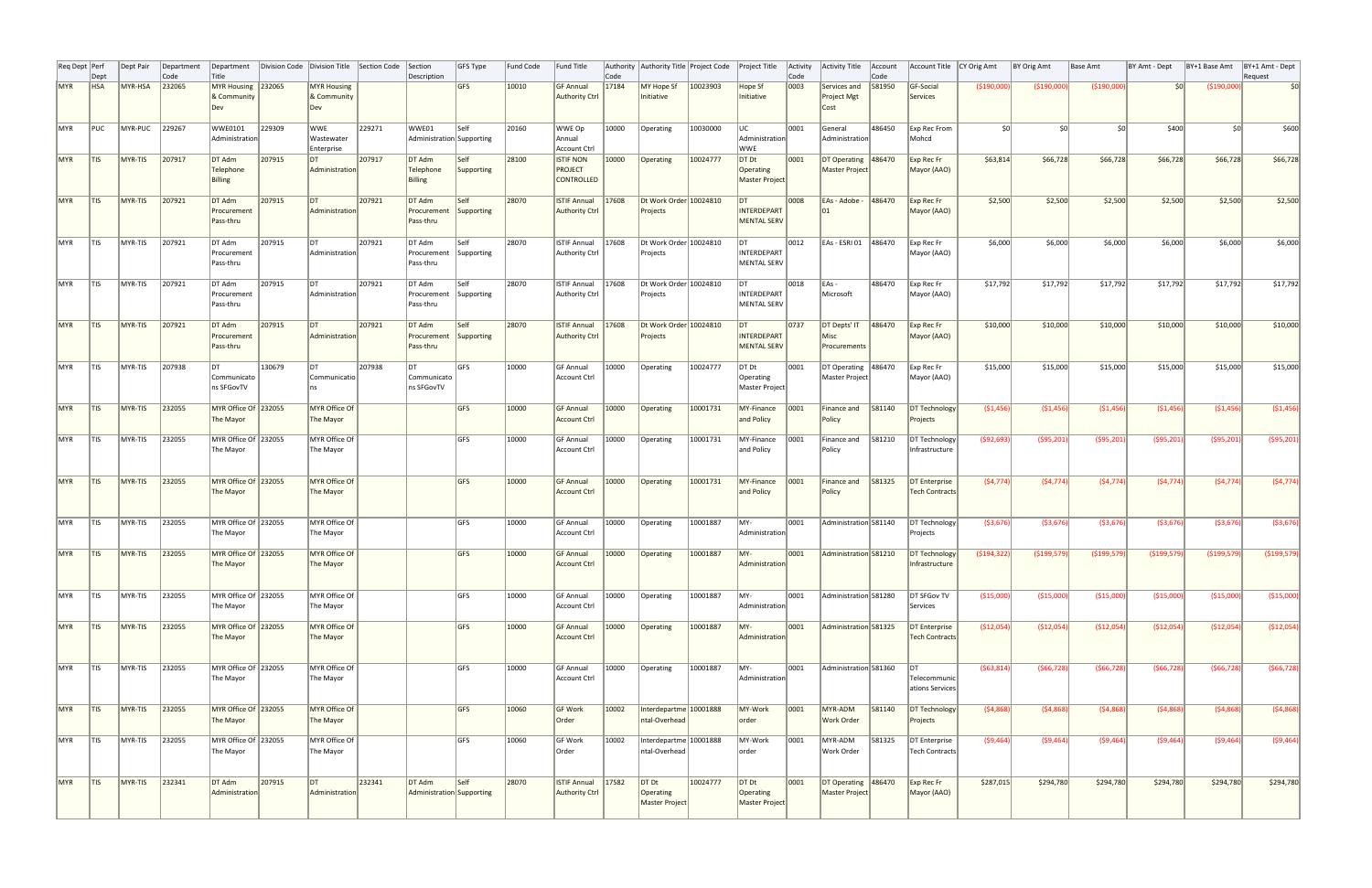| Req Dept   Perf | Dept                       | Dept Pair | Department<br>Code | Department<br>Title                      |        | Division Code Division Title Section Code |        | Section<br>Description                        | <b>GFS Type</b>           | Fund Code | <b>Fund Title</b>                                       | Code  | Authority Authority Title Project Code          |          | Project Title                                 | Activity<br>Code | <b>Activity Title</b>                        | Account<br>Code | Account Title   CY Orig Amt             |               | BY Orig Amt   | Base Amt     | BY Amt - Dept | BY+1 Base Amt | BY+1 Amt - Dept<br>Request |
|-----------------|----------------------------|-----------|--------------------|------------------------------------------|--------|-------------------------------------------|--------|-----------------------------------------------|---------------------------|-----------|---------------------------------------------------------|-------|-------------------------------------------------|----------|-----------------------------------------------|------------------|----------------------------------------------|-----------------|-----------------------------------------|---------------|---------------|--------------|---------------|---------------|----------------------------|
| <b>MYR</b>      | <b>HSA</b>                 | MYR-HSA   | 232065             | <b>MYR Housing</b><br>& Community<br>Dev | 232065 | <b>MYR Housing</b><br>& Community<br>Dev  |        |                                               | GFS                       | 10010     | <b>GF Annual</b><br>Authority Ctrl                      | 17184 | MY Hope Sf<br>Initiative                        | 10023903 | Hope Sf<br>Initiative                         | $ 0003\rangle$   | Services and<br><b>Project Mgt</b><br>Cost   | 581950          | GF-Social<br>Services                   | ( \$190,000]  | (\$190,000)   | ( \$190,000] | SOI           | ( \$190,000]  | 50                         |
| MYR             | PUC                        | MYR-PUC   | 229267             | WWE0101<br>Administration                | 229309 | WWE<br>Wastewater<br>Enterprise           | 229271 | WWE01<br>Administration Supporting            | <b>Self</b>               | 20160     | WWE Op<br>  Annual<br>Account Ctrl                      | 10000 | Operating                                       | 10030000 | luc<br>Administration<br><b>WWE</b>           | 0001             | General<br>Administration                    | 486450          | Exp Rec From<br>Mohcd                   | sol           | sol           | sol          | \$400         | SOI           | \$600                      |
| <b>MYR</b>      | ∣tis                       | MYR-TIS   | 207917             | DT Adm<br>Telephone<br><b>Billing</b>    | 207915 | DT <br>Administration                     | 207917 | DT Adm<br>Telephone<br>Billing                | Self<br>Supporting        | 28100     | <b>ISTIF NON</b><br><b>PROJECT</b><br><b>CONTROLLED</b> | 10000 | Operating                                       | 10024777 | DT Dt<br>Operating<br>Master Project          | 0001             | DT Operating 486470<br><b>Master Project</b> |                 | Exp Rec Fr<br>Mayor (AAO)               | \$63,814      | \$66,728      | \$66,728     | \$66,728      | \$66,728      | \$66,728                   |
| MYR             | T S                        | MYR-TIS   | 207921             | DT Adm<br>Procurement<br>Pass-thru       | 207915 | DT <br>Administration                     | 207921 | DT Adm<br>Procurement Supporting<br>Pass-thru | $\sf I$ Self              | 28070     | <b>ISTIF Annual</b><br>Authority Ctrl                   | 17608 | Dt Work Order 10024810<br>Projects              |          | Idt.<br>INTERDEPART<br>MENTAL SERV            | 0008             | EAs - Adobe -<br>$ 01\rangle$                | 486470          | Exp Rec Fr<br>Mayor (AAO)               | \$2,500       | \$2,500       | \$2,500      | \$2,500       | \$2,500       | \$2,500                    |
| MYR             | T S                        | MYR-TIS   | 207921             | DT Adm<br>Procurement<br>Pass-thru       | 207915 | DT <br>Administration                     | 207921 | DT Adm<br>Procurement Supporting<br>Pass-thru | $\sf I$ Self              | 28070     | <b>ISTIF Annual</b><br>Authority Ctrl                   | 17608 | Dt Work Order 10024810<br>Projects              |          | DT<br>INTERDEPART<br>MENTAL SERV              | $ 0012\rangle$   | EAs - ESRI 01 486470                         |                 | $\mathsf{Exp}$ Rec Fr<br>Mayor (AAO)    | \$6,000       | \$6,000       | \$6,000      | \$6,000       | \$6,000       | \$6,000                    |
| MYR             | T S                        | MYR-TIS   | 207921             | DT Adm<br>Procurement<br>Pass-thru       | 207915 | <b>DT</b><br>Administration               | 207921 | DT Adm<br>Procurement Supporting<br>Pass-thru | Self                      | 28070     | ISTIF Annual<br>Authority Ctrl                          | 17608 | Dt Work Order 10024810<br>Projects              |          | DT <br>INTERDEPART<br>MENTAL SERV             | 0018             | $EAs -$<br>Microsoft                         | 486470          | $\vert$ Exp Rec Fr<br>Mayor (AAO)       | \$17,792      | \$17,792      | \$17,792     | \$17,792      | \$17,792      | \$17,792                   |
| <b>MYR</b>      | T S                        | MYR-TIS   | 207921             | DT Adm<br>Procurement<br>Pass-thru       | 207915 | DT <br>Administration                     | 207921 | DT Adm<br>Procurement<br>Pass-thru            | <b>Self</b><br>Supporting | 28070     | <b>ISTIF Annual</b><br>Authority Ctrl                   | 17608 | Dt Work Order 10024810<br>Projects              |          | DT<br>INTERDEPART<br>MENTAL SERV              | $ 0737\rangle$   | DT Depts' IT<br>Misc<br>Procurements         | 486470          | $\mathsf{Exp}$ Rec Fr<br>Mayor (AAO)    | \$10,000      | \$10,000      | \$10,000     | \$10,000      | \$10,000      | \$10,000                   |
| MYR             | $\overline{\mathsf{ITIS}}$ | MYR-TIS   | 207938             | DT <br>Communicato<br>ns SFGovTV         | 130679 | IDT<br>Communicatio                       | 207938 | I DT<br>Communicato<br>ns SFGovTV             | IGFS                      | 10000     | <b>GF Annual</b><br><b>Account Ctrl</b>                 | 10000 | Operating                                       | 10024777 | $DT$ Dt<br>Operating<br>Master Project        | 0001             | DT Operating 486470<br>Master Project        |                 | $\vert$ Exp Rec Fr<br>Mayor (AAO)       | \$15,000      | \$15,000      | \$15,000     | \$15,000      | \$15,000      | \$15,000                   |
| <b>MYR</b>      | T S                        | $MYR-TIS$ | 232055             | MYR Office Of 232055<br>The Mayor        |        | MYR Office Of<br>The Mayor                |        |                                               | <b>GFS</b>                | 10000     | <b>GF Annual</b><br>Account Ctrl                        | 10000 | Operating                                       | 10001731 | MY-Finance<br>and Policy                      | 0001             | Finance and<br>  Policy                      | 581140          | DT Technology<br>Projects               | (51, 456)     | (51, 456)     | (51, 456)    | (51, 456)     | (51, 456)     | ( \$1,456)                 |
| MYR             | T S                        | MYR-TIS   | 232055             | MYR Office Of 232055<br>The Mayor        |        | MYR Office Of<br>The Mayor                |        |                                               | lgfs                      | 10000     | <b>GF Annual</b><br>Account Ctrl                        | 10000 | Operating                                       | 10001731 | MY-Finance<br>and Policy                      | 0001             | Finance and<br>Policy                        | 581210          | DT Technology<br>Infrastructure         | (592, 693)    | ( \$95, 201)  | (\$95,201)   | ( \$95, 201)  | ( \$95, 201)  | (\$95,201)                 |
| MYR TIS         |                            | MYR-TIS   | 232055             | MYR Office Of 232055<br>The Mayor        |        | MYR Office Of<br>The Mayor                |        |                                               | <b>GFS</b>                | 10000     | <b>GF Annual</b><br>Account Ctrl                        |       | 10000 Operating                                 | 10001731 | $\sqrt{\text{MY-Finance}}$ 0001<br>and Policy |                  | Finance and $ 581325$<br>Policy              |                 | DT Enterprise<br>Tech Contracts         | (S4, 774)     | (S4, 774)     | (S4, 774)    | (S4, 774)     | (S4, 774)     | (54, 774)                  |
| MYR             | T S                        | MYR-TIS   | 232055             | MYR Office Of 232055<br>The Mayor        |        | MYR Office Of<br>The Mayor                |        |                                               | <b>GFS</b>                | 10000     | <b>GF Annual</b><br>Account Ctrl                        | 10000 | Operating                                       | 10001887 | lMY-<br>Administration                        | 0001             | Administration 581140                        |                 | DT Technology<br>Projects               | ( \$3,676)    | ( \$3,676)    | ( \$3,676)   | ( \$3,676)    | ( \$3,676)    | ( \$3,676)                 |
| MYR             | T S                        | MYR-TIS   | 232055             | MYR Office Of 232055<br>The Mayor        |        | MYR Office Of<br>The Mayor                |        |                                               | <b>GFS</b>                | 10000     | <b>GF Annual</b><br>Account Ctrl                        | 10000 | Operating                                       | 10001887 | MY-<br>Administration                         | 0001             | Administration 581210                        |                 | DT Technology<br>Infrastructure         | ( \$194, 322) | ( \$199, 579] | (\$199,579)  | ( \$199,579)  | ( \$199,579)  | (\$199,579)                |
| MYR             | T S                        | MYR-TIS   | 232055             | MYR Office Of 232055<br>The Mayor        |        | MYR Office Of<br>The Mayor                |        |                                               | lgfs                      | 10000     | <b>GF Annual</b><br>Account Ctrl                        | 10000 | Operating                                       | 10001887 | lMY-<br>Administration                        | 0001             | Administration 581280                        |                 | DT SFGov TV<br>Services                 | ( \$15,000]   | ( \$15,000]   | ( \$15,000)  | (\$15,000)    | ( \$15,000]   | ( \$15,000)                |
| <b>MYR</b>      | T S                        | MYR-TIS   | 232055             | MYR Office Of 232055<br>The Mayor        |        | MYR Office Of<br>The Mayor                |        |                                               | <b>GFS</b>                | 10000     | <b>GF Annual</b><br>Account Ctrl                        | 10000 | Operating                                       | 10001887 | MY-<br>Administration                         | 0001             | Administration 581325                        |                 | DT Enterprise<br><b>Tech Contracts</b>  | (\$12,054)    | (\$12,054)    | (\$12,054)   | ( \$12,054)   | ( \$12,054)   | (\$12,054)                 |
| <b>MYR</b>      | T S                        | MYR-TIS   | 232055             | MYR Office Of 232055<br>The Mayor        |        | MYR Office Of<br>The Mayor                |        |                                               | lgfs.                     | 10000     | <b>GF Annual</b><br>Account Ctrl                        | 10000 | Operating                                       | 10001887 | lMY-<br>Administration                        | 0001             | Administration 581360                        |                 | Idt.<br>Telecommunic<br>ations Services | (563, 814)    | (566, 728)    | (566, 728)   | (566, 728)    | (566, 728)    | ( \$66, 728)               |
| <b>MYR</b>      | T S                        | MYR-TIS   | 232055             | MYR Office Of 232055<br>The Mayor        |        | MYR Office Of<br>The Mayor                |        |                                               | <b>GFS</b>                | 10060     | GF Work<br>Order                                        | 10002 | Interdepartme 10001888<br>ntal-Overhead         |          | MY-Work<br>order                              | 0001             | MYR-ADM<br><b>Work Order</b>                 | 581140          | DT Technology<br>Projects               | (54,868)      | (54,868)      | (54,868)     | (54,868)      | (54,868)      | (54,868)                   |
| MYR             | T S                        | MYR-TIS   | 232055             | MYR Office Of 232055<br>The Mayor        |        | MYR Office Of<br>The Mayor                |        |                                               | lgfs.                     | 10060     | GF Work<br> Order                                       | 10002 | Interdepartme 10001888<br>ntal-Overhead         |          | MY-Work<br> order                             | 0001             | MYR-ADM<br> Work Order                       | 581325          | DT Enterprise<br><b>Tech Contracts</b>  | (59, 464)     | (59, 464)     | ( \$9,464)   | (59, 464)     | (59, 464)     | (59, 464)                  |
| <b>MYR</b>      | T S                        | MYR-TIS   | 232341             | DT Adm<br>Administration                 | 207915 | DT <br>Administration                     | 232341 | DT Adm<br>Administration Supporting           | Self                      | 28070     | <b>ISTIF Annual</b><br>Authority Ctrl                   | 17582 | DT <sub>Dt</sub><br>Operating<br>Master Project | 10024777 | $DT$ Dt<br>Operating<br>Master Project        | 0001             | DT Operating 486470<br>Master Project        |                 | Exp Rec Fr<br>Mayor (AAO)               | \$287,015     | \$294,780     | \$294,780    | \$294,780     | \$294,780     | \$294,780                  |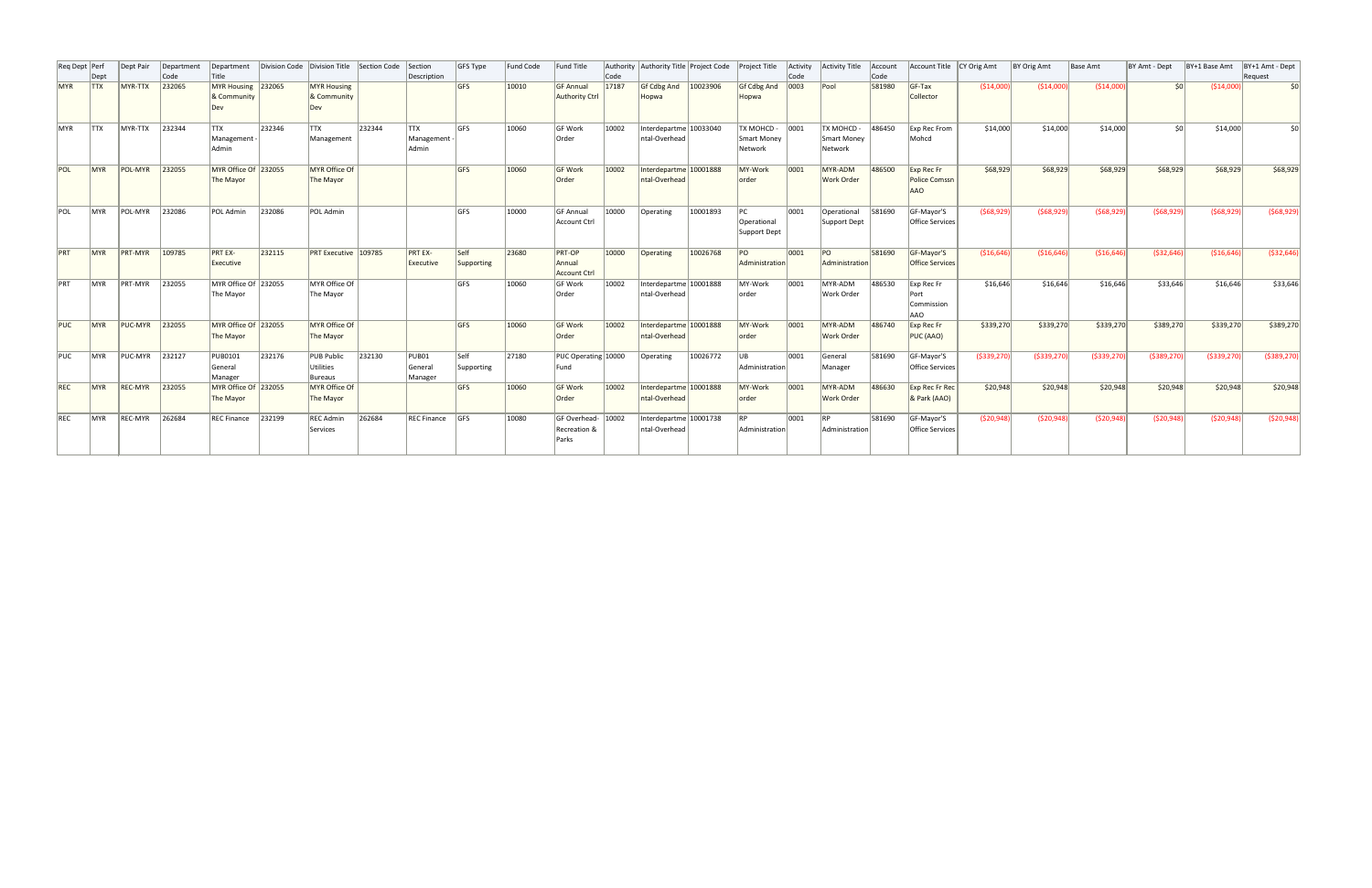| Reg Dept Perf | Dept        | Dept Pair      | Department<br>Code | Department<br>Title                  | Division Code | Division Title                           | Section Code | Section<br>Description                  | GFS Type           | Fund Code | Fund Title                                     | Code  | Authority Authority Title Project Code Project Title |          |                                      | Activity<br>Code | Activity Title                              | Account<br>Code | Account Title   CY Orig Amt             |               | BY Orig Amt   | Base Amt      | BY Amt - Dept | BY+1 Base Amt | BY+1 Amt - Dept<br>Request |
|---------------|-------------|----------------|--------------------|--------------------------------------|---------------|------------------------------------------|--------------|-----------------------------------------|--------------------|-----------|------------------------------------------------|-------|------------------------------------------------------|----------|--------------------------------------|------------------|---------------------------------------------|-----------------|-----------------------------------------|---------------|---------------|---------------|---------------|---------------|----------------------------|
| <b>MYR</b>    | <b>TTX</b>  | MYR-TTX        | 232065             | <b>MYR Housing</b><br>& Community    | 232065        | <b>MYR Housing</b><br>& Community<br>Dev |              |                                         | <b>GFS</b>         | 10010     | <b>GF Annual</b><br><b>Authority Ctrl</b>      | 17187 | Gf Cdbg And<br>Hopwa                                 | 10023906 | Gf Cdbg And<br>Hopwa                 | $ 0003$          | Pool                                        | 581980          | $ GF-Tax $<br>Collector                 | ( \$14,000]   | (514,000)     | (\$14,000]    | \$0           | ( \$14,000]   | \$0                        |
| MYR!          | <b>ITTX</b> | MYR-TTX        | 232344             | <b>TTX</b><br>Management<br>Admin    | 232346        | <b>TTX</b><br>Management                 | 232344       | ∣TTX<br>Management<br>Admin             | <b>GFS</b>         | 10060     | GF Work<br>Order                               | 10002 | Interdepartme 10033040<br>ntal-Overhead              |          | TX MOHCD -<br>Smart Money<br>Network | 0001             | TX MOHCD -<br><b>Smart Money</b><br>Network | 486450          | Exp Rec From<br>Mohcd                   | \$14,000      | \$14,000      | \$14,000      | ςυ            | \$14,000      | \$0                        |
| <b>POL</b>    | MYR         | POL-MYR        | 232055             | MYR Office Of 232055<br>The Mayor    |               | MYR Office Of<br>The Mayor               |              |                                         | <b>GFS</b>         | 10060     | <b>GF Work</b><br>Order                        | 10002 | Interdepartme 10001888<br>Intal-Overhead             |          | MY-Work<br>order                     | 0001             | MYR-ADM<br><b>Work Order</b>                | 486500          | Exp Rec Fr<br>Police Comssn<br>AAO      | \$68,929      | \$68,929      | \$68,929      | \$68,929      | \$68,929      | \$68,929                   |
| <b>POL</b>    | MYR!        | POL-MYR        | 232086             | POL Admin                            | 232086        | POL Admin                                |              |                                         | <b>GFS</b>         | 10000     | <b>GF Annual</b><br>Account Ctrl               | 10000 | Operating                                            | 10001893 | PC  <br>Operational<br>Support Dept  | 0001             | Operational<br>Support Dept                 | 581690          | GF-Mayor'S<br>Office Services           | (568,929)     | (568,929)     | (568, 929)    | (568, 929)    | (568,929)     | (568,929)                  |
| <b>PRT</b>    | <b>MYR</b>  | <b>PRT-MYR</b> | 109785             | <b>PRT EX-</b><br>Executive          | 232115        | PRT Executive   109785                   |              | <b>PRT EX-</b><br>Executive             | Self<br>Supporting | 23680     | <b>PRT-OP</b><br>Annual<br><b>Account Ctrl</b> | 10000 | Operating                                            | 10026768 | PO<br>Administration                 | 0001             | PO.<br>Administration                       | 581690          | GF-Mayor'S<br><b>Office Services</b>    | (\$16,646)    | (\$16,646)    | (\$16,646)    | ( \$32, 646)  | ( \$16,646)   | ( \$32, 646)               |
| <b>PRT</b>    | MYR         | PRT-MYR        | 232055             | MYR Office Of 232055<br>The Mayor    |               | MYR Office Of<br>The Mayor               |              |                                         | <b>GFS</b>         | 10060     | GF Work<br>Order                               | 10002 | Interdepartme 10001888<br>ntal-Overhead              |          | MY-Work<br>order                     | 0001             | MYR-ADM<br>Work Order                       | 486530          | Exp Rec Fr<br>Port<br>Commission<br>AAO | \$16,646      | \$16,646      | \$16,646      | \$33,646      | \$16,646      | \$33,646                   |
| <b>PUC</b>    | <b>MYR</b>  | PUC-MYR        | 232055             | MYR Office Of 232055<br>The Mayor    |               | MYR Office Of<br>The Mayor               |              |                                         | <b>GFS</b>         | 10060     | GF Work<br>Order                               | 10002 | Interdepartme 10001888<br>Intal-Overhead             |          | MY-Work<br><b>order</b>              | 0001             | MYR-ADM<br><b>Work Order</b>                | 486740          | Exp Rec Fr<br>PUC (AAO)                 | \$339,270     | \$339,270     | \$339,270     | \$389,270     | \$339,270     | \$389,270                  |
| PUC           | <b>MYR</b>  | PUC-MYR        | 232127             | <b>PUB0101</b><br>General<br>Manager | 232176        | PUB Public<br>Utilities<br>Bureaus       | 232130       | PUB <sub>01</sub><br>General<br>Manager | Self<br>Supporting | 27180     | PUC Operating 10000<br> Fund                   |       | Operating                                            | 10026772 | lub.<br>Administration               | 0001             | General<br>Manager                          | 581690          | GF-Mayor'S<br><b>Office Services</b>    | ( \$339, 270) | ( \$339, 270) | ( \$339, 270) | ( \$389, 270] | ( \$339, 270) | ( \$389, 270)              |
| <b>REC</b>    | <b>MYR</b>  | REC-MYR        | 232055             | MYR Office Of 232055<br>The Mayor    |               | MYR Office Of<br>The Mayor               |              |                                         | <b>GFS</b>         | 10060     | GF Work<br>Order                               | 10002 | Interdepartme 10001888<br>ntal-Overhead              |          | MY-Work<br>order                     | 0001             | MYR-ADM<br><b>Work Order</b>                | 486630          | <b>Exp Rec Fr Rec</b><br>& Park (AAO)   | \$20,948      | \$20,948      | \$20,948      | \$20,948      | \$20,948      | \$20,948                   |
| <b>REC</b>    | <b>IMYR</b> | REC-MYR        | 262684             | <b>REC Finance</b>                   | 232199        | <b>REC Admin</b><br>Services             | 262684       | REC Finance                             | <b>IGFS</b>        | 10080     | GF Overhead-   10002<br>Recreation &<br>Parks  |       | Interdepartme 10001738<br>Intal-Overhead             |          | RP.<br>Administration                | 0001             | RP<br>Administration                        | 581690          | GF-Mayor'S<br>Office Services           | (520,948)     | (520,948)     | ( \$20, 948)  | ( \$20, 948)  | (520,948)     | (520, 948)                 |